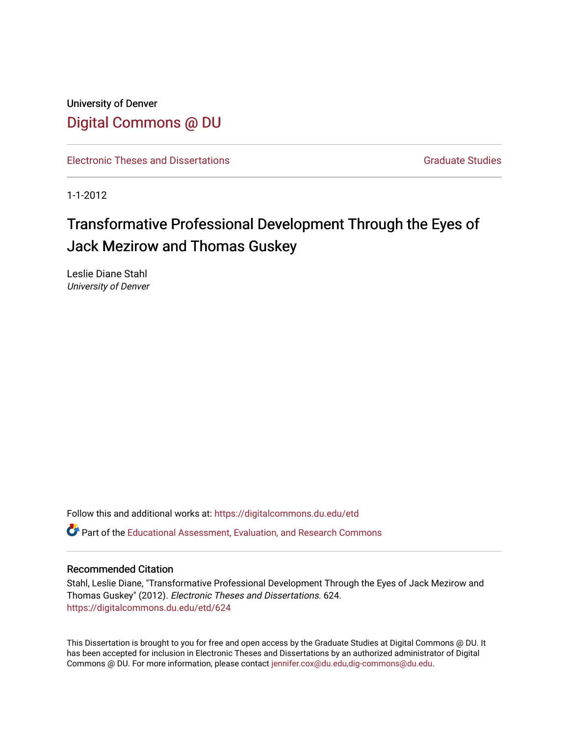University of Denver [Digital Commons @ DU](https://digitalcommons.du.edu/) 

[Electronic Theses and Dissertations](https://digitalcommons.du.edu/etd) [Graduate Studies](https://digitalcommons.du.edu/graduate) Graduate Studies

1-1-2012

# Transformative Professional Development Through the Eyes of Jack Mezirow and Thomas Guskey

Leslie Diane Stahl University of Denver

Follow this and additional works at: [https://digitalcommons.du.edu/etd](https://digitalcommons.du.edu/etd?utm_source=digitalcommons.du.edu%2Fetd%2F624&utm_medium=PDF&utm_campaign=PDFCoverPages) 

Part of the [Educational Assessment, Evaluation, and Research Commons](http://network.bepress.com/hgg/discipline/796?utm_source=digitalcommons.du.edu%2Fetd%2F624&utm_medium=PDF&utm_campaign=PDFCoverPages)

#### Recommended Citation

Stahl, Leslie Diane, "Transformative Professional Development Through the Eyes of Jack Mezirow and Thomas Guskey" (2012). Electronic Theses and Dissertations. 624. [https://digitalcommons.du.edu/etd/624](https://digitalcommons.du.edu/etd/624?utm_source=digitalcommons.du.edu%2Fetd%2F624&utm_medium=PDF&utm_campaign=PDFCoverPages) 

This Dissertation is brought to you for free and open access by the Graduate Studies at Digital Commons @ DU. It has been accepted for inclusion in Electronic Theses and Dissertations by an authorized administrator of Digital Commons @ DU. For more information, please contact [jennifer.cox@du.edu,dig-commons@du.edu.](mailto:jennifer.cox@du.edu,dig-commons@du.edu)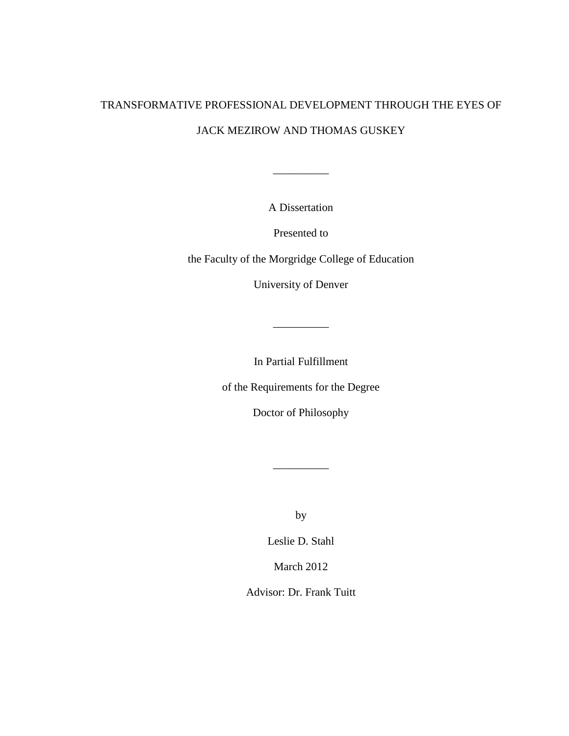## TRANSFORMATIVE PROFESSIONAL DEVELOPMENT THROUGH THE EYES OF JACK MEZIROW AND THOMAS GUSKEY

A Dissertation

\_\_\_\_\_\_\_\_\_\_

Presented to

the Faculty of the Morgridge College of Education

University of Denver

In Partial Fulfillment

\_\_\_\_\_\_\_\_\_\_

of the Requirements for the Degree

Doctor of Philosophy

by

 $\overline{\phantom{a}}$  , we can consider the constant of  $\overline{\phantom{a}}$ 

Leslie D. Stahl

March 2012

Advisor: Dr. Frank Tuitt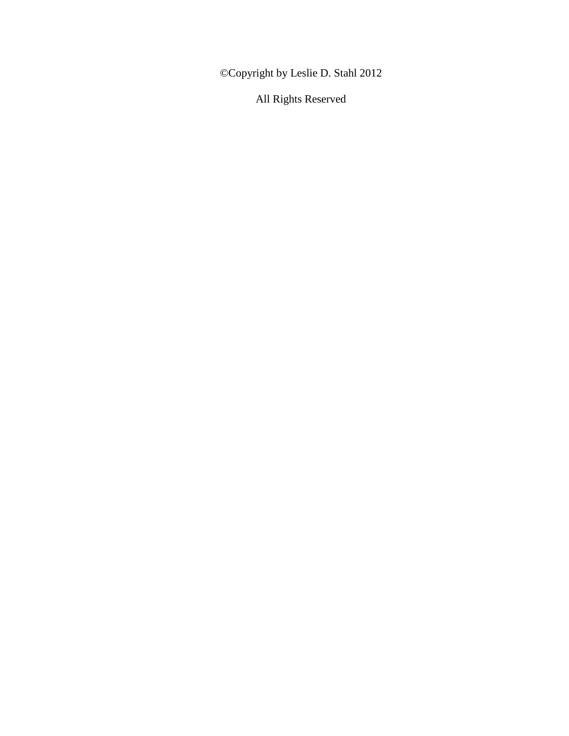©Copyright by Leslie D. Stahl 2012

All Rights Reserved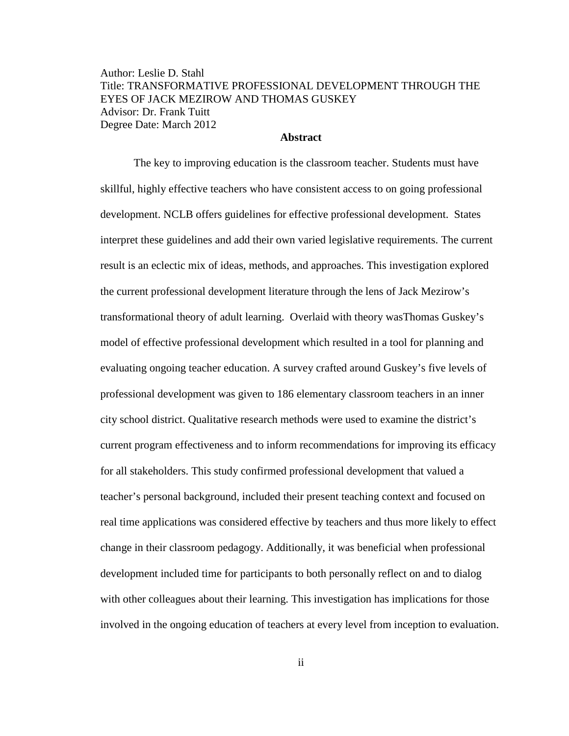Author: Leslie D. Stahl Title: TRANSFORMATIVE PROFESSIONAL DEVELOPMENT THROUGH THE EYES OF JACK MEZIROW AND THOMAS GUSKEY Advisor: Dr. Frank Tuitt Degree Date: March 2012

#### **Abstract**

The key to improving education is the classroom teacher. Students must have skillful, highly effective teachers who have consistent access to on going professional development. NCLB offers guidelines for effective professional development. States interpret these guidelines and add their own varied legislative requirements. The current result is an eclectic mix of ideas, methods, and approaches. This investigation explored the current professional development literature through the lens of Jack Mezirow's transformational theory of adult learning. Overlaid with theory wasThomas Guskey's model of effective professional development which resulted in a tool for planning and evaluating ongoing teacher education. A survey crafted around Guskey's five levels of professional development was given to 186 elementary classroom teachers in an inner city school district. Qualitative research methods were used to examine the district's current program effectiveness and to inform recommendations for improving its efficacy for all stakeholders. This study confirmed professional development that valued a teacher's personal background, included their present teaching context and focused on real time applications was considered effective by teachers and thus more likely to effect change in their classroom pedagogy. Additionally, it was beneficial when professional development included time for participants to both personally reflect on and to dialog with other colleagues about their learning. This investigation has implications for those involved in the ongoing education of teachers at every level from inception to evaluation.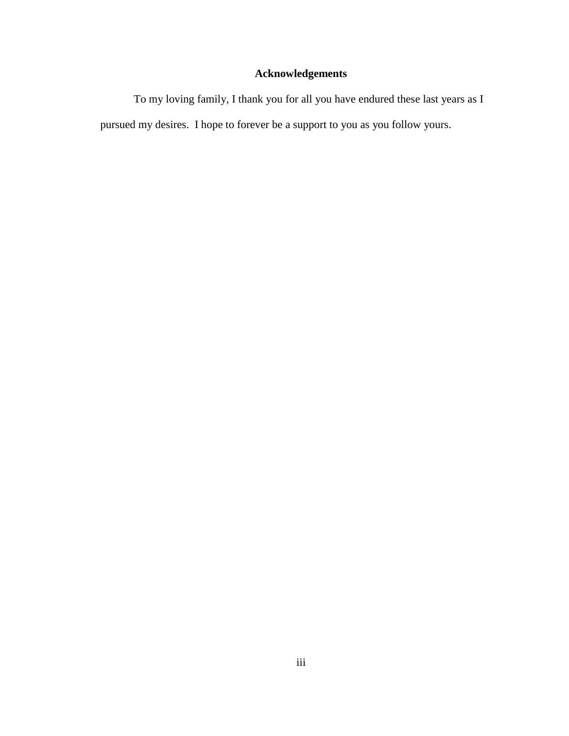## **Acknowledgements**

To my loving family, I thank you for all you have endured these last years as I pursued my desires. I hope to forever be a support to you as you follow yours.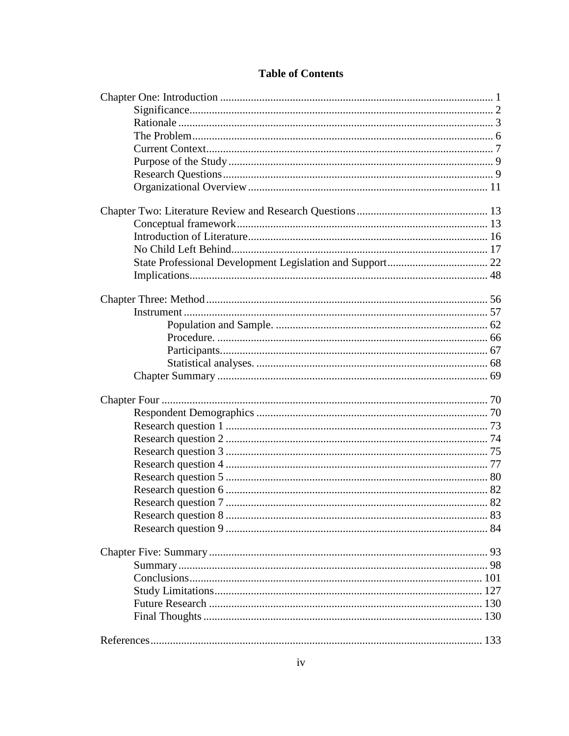### **Table of Contents**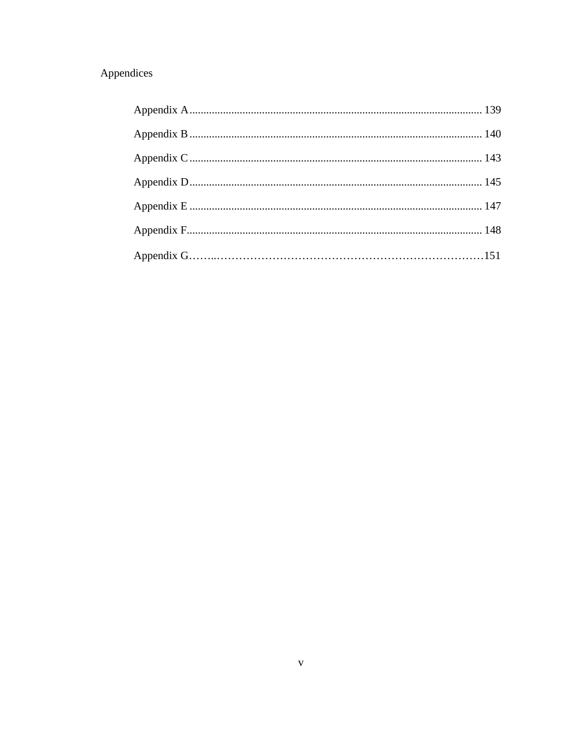## Appendices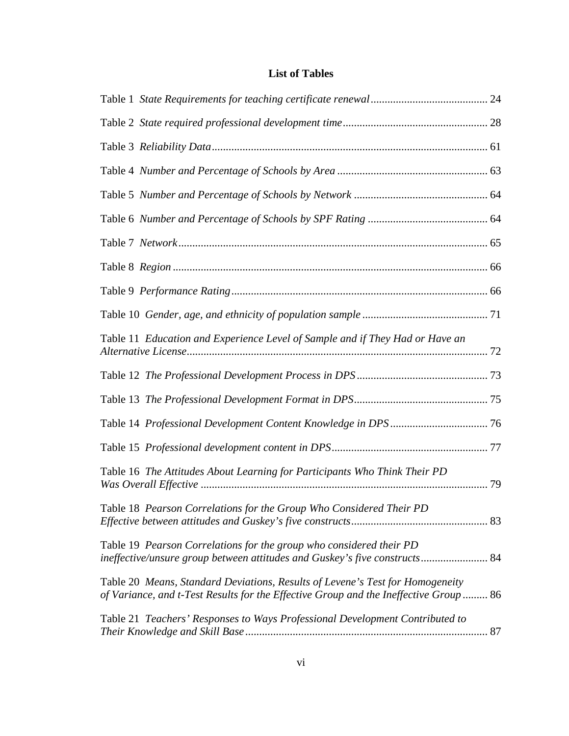## **List of Tables**

| Table 11 Education and Experience Level of Sample and if They Had or Have an                                                                                           |  |
|------------------------------------------------------------------------------------------------------------------------------------------------------------------------|--|
|                                                                                                                                                                        |  |
|                                                                                                                                                                        |  |
|                                                                                                                                                                        |  |
|                                                                                                                                                                        |  |
| Table 16 The Attitudes About Learning for Participants Who Think Their PD                                                                                              |  |
| Table 18 Pearson Correlations for the Group Who Considered Their PD                                                                                                    |  |
| Table 19 Pearson Correlations for the group who considered their PD<br>ineffective/unsure group between attitudes and Guskey's five constructs 84                      |  |
| Table 20 Means, Standard Deviations, Results of Levene's Test for Homogeneity<br>of Variance, and t-Test Results for the Effective Group and the Ineffective Group  86 |  |
| Table 21 Teachers' Responses to Ways Professional Development Contributed to                                                                                           |  |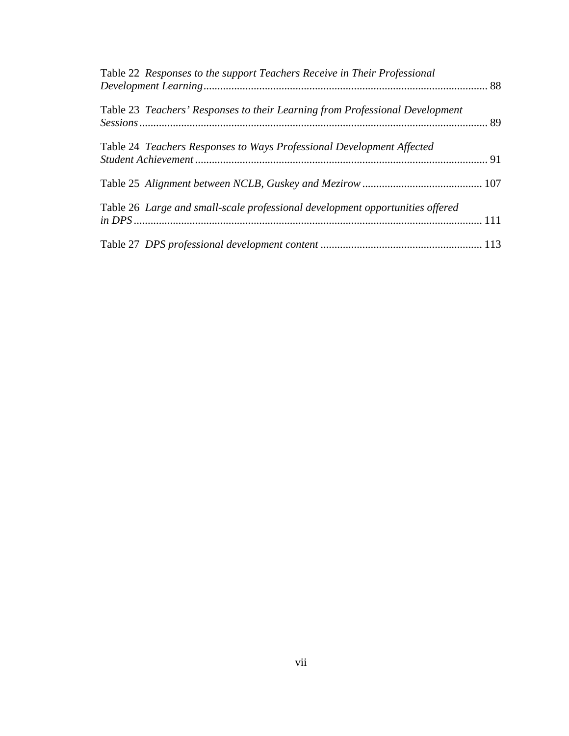| Table 22 Responses to the support Teachers Receive in Their Professional      |  |
|-------------------------------------------------------------------------------|--|
| Table 23 Teachers' Responses to their Learning from Professional Development  |  |
| Table 24 Teachers Responses to Ways Professional Development Affected         |  |
|                                                                               |  |
| Table 26 Large and small-scale professional development opportunities offered |  |
|                                                                               |  |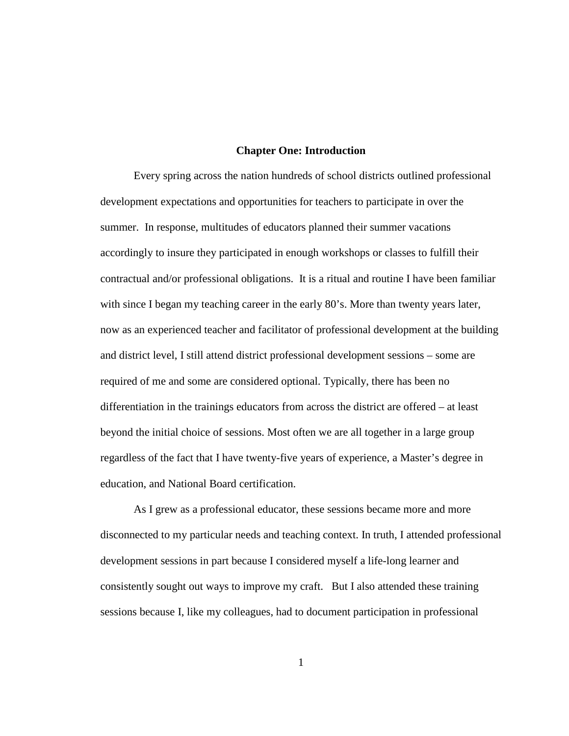#### **Chapter One: Introduction**

 Every spring across the nation hundreds of school districts outlined professional development expectations and opportunities for teachers to participate in over the summer. In response, multitudes of educators planned their summer vacations accordingly to insure they participated in enough workshops or classes to fulfill their contractual and/or professional obligations. It is a ritual and routine I have been familiar with since I began my teaching career in the early 80's. More than twenty years later, now as an experienced teacher and facilitator of professional development at the building and district level, I still attend district professional development sessions – some are required of me and some are considered optional. Typically, there has been no differentiation in the trainings educators from across the district are offered – at least beyond the initial choice of sessions. Most often we are all together in a large group regardless of the fact that I have twenty-five years of experience, a Master's degree in education, and National Board certification.

As I grew as a professional educator, these sessions became more and more disconnected to my particular needs and teaching context. In truth, I attended professional development sessions in part because I considered myself a life-long learner and consistently sought out ways to improve my craft. But I also attended these training sessions because I, like my colleagues, had to document participation in professional

1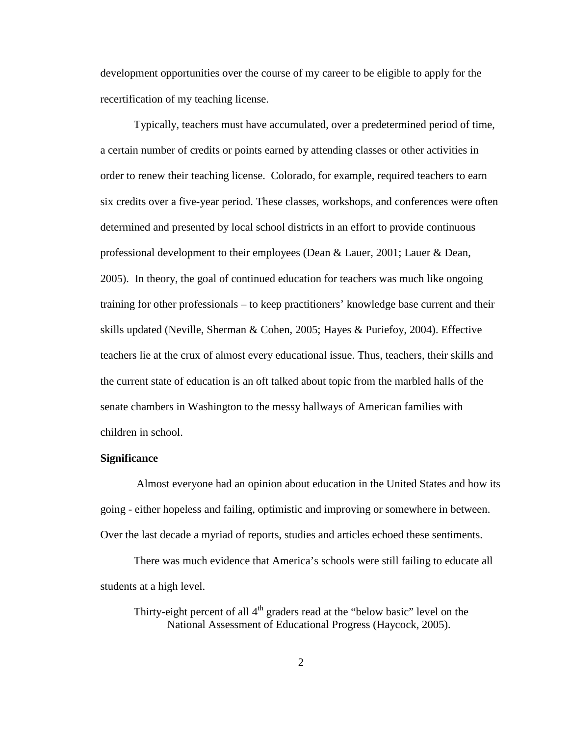development opportunities over the course of my career to be eligible to apply for the recertification of my teaching license.

Typically, teachers must have accumulated, over a predetermined period of time, a certain number of credits or points earned by attending classes or other activities in order to renew their teaching license. Colorado, for example, required teachers to earn six credits over a five-year period. These classes, workshops, and conferences were often determined and presented by local school districts in an effort to provide continuous professional development to their employees (Dean & Lauer, 2001; Lauer & Dean, 2005). In theory, the goal of continued education for teachers was much like ongoing training for other professionals – to keep practitioners' knowledge base current and their skills updated (Neville, Sherman & Cohen, 2005; Hayes & Puriefoy, 2004). Effective teachers lie at the crux of almost every educational issue. Thus, teachers, their skills and the current state of education is an oft talked about topic from the marbled halls of the senate chambers in Washington to the messy hallways of American families with children in school.

#### **Significance**

 Almost everyone had an opinion about education in the United States and how its going - either hopeless and failing, optimistic and improving or somewhere in between. Over the last decade a myriad of reports, studies and articles echoed these sentiments.

 There was much evidence that America's schools were still failing to educate all students at a high level.

Thirty-eight percent of all  $4<sup>th</sup>$  graders read at the "below basic" level on the National Assessment of Educational Progress (Haycock, 2005).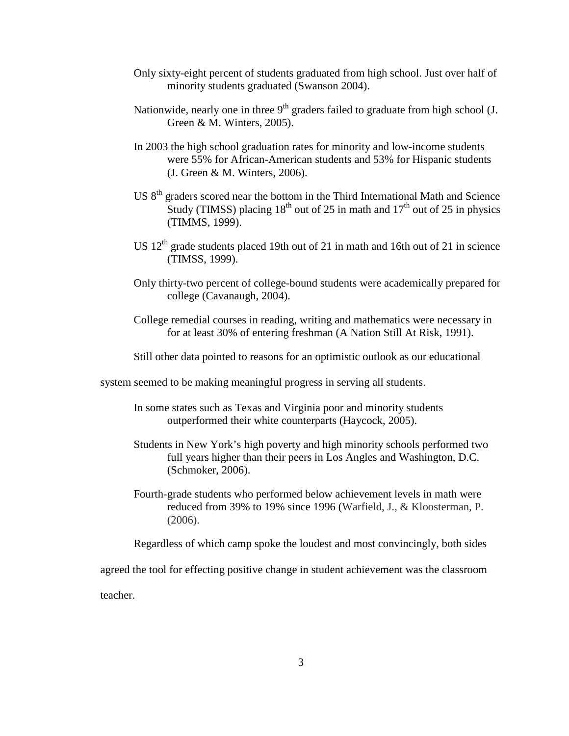- Only sixty-eight percent of students graduated from high school. Just over half of minority students graduated (Swanson 2004).
- Nationwide, nearly one in three  $9<sup>th</sup>$  graders failed to graduate from high school (J. Green & M. Winters, 2005).
- In 2003 the high school graduation rates for minority and low-income students were 55% for African-American students and 53% for Hispanic students (J. Green & M. Winters, 2006).
- US 8th graders scored near the bottom in the Third International Math and Science Study (TIMSS) placing  $18<sup>th</sup>$  out of 25 in math and  $17<sup>th</sup>$  out of 25 in physics (TIMMS, 1999).
- US  $12<sup>th</sup>$  grade students placed 19th out of 21 in math and 16th out of 21 in science (TIMSS, 1999).
- Only thirty-two percent of college-bound students were academically prepared for college (Cavanaugh, 2004).
- College remedial courses in reading, writing and mathematics were necessary in for at least 30% of entering freshman (A Nation Still At Risk, 1991).
- Still other data pointed to reasons for an optimistic outlook as our educational

system seemed to be making meaningful progress in serving all students.

- In some states such as Texas and Virginia poor and minority students outperformed their white counterparts (Haycock, 2005).
- Students in New York's high poverty and high minority schools performed two full years higher than their peers in Los Angles and Washington, D.C. (Schmoker, 2006).
- Fourth-grade students who performed below achievement levels in math were reduced from 39% to 19% since 1996 (Warfield, J., & Kloosterman, P. (2006).

Regardless of which camp spoke the loudest and most convincingly, both sides

agreed the tool for effecting positive change in student achievement was the classroom

teacher.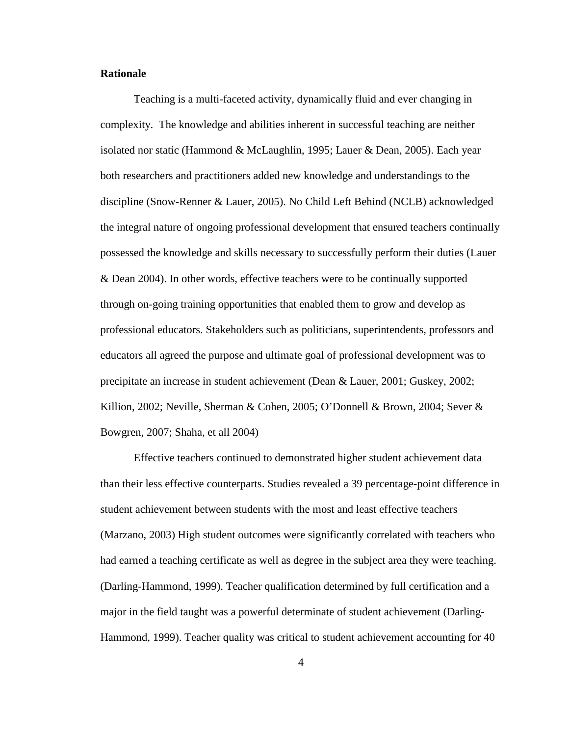#### **Rationale**

Teaching is a multi-faceted activity, dynamically fluid and ever changing in complexity. The knowledge and abilities inherent in successful teaching are neither isolated nor static (Hammond & McLaughlin, 1995; Lauer & Dean, 2005). Each year both researchers and practitioners added new knowledge and understandings to the discipline (Snow-Renner & Lauer, 2005). No Child Left Behind (NCLB) acknowledged the integral nature of ongoing professional development that ensured teachers continually possessed the knowledge and skills necessary to successfully perform their duties (Lauer & Dean 2004). In other words, effective teachers were to be continually supported through on-going training opportunities that enabled them to grow and develop as professional educators. Stakeholders such as politicians, superintendents, professors and educators all agreed the purpose and ultimate goal of professional development was to precipitate an increase in student achievement (Dean & Lauer, 2001; Guskey, 2002; Killion, 2002; Neville, Sherman & Cohen, 2005; O'Donnell & Brown, 2004; Sever & Bowgren, 2007; Shaha, et all 2004)

Effective teachers continued to demonstrated higher student achievement data than their less effective counterparts. Studies revealed a 39 percentage-point difference in student achievement between students with the most and least effective teachers (Marzano, 2003) High student outcomes were significantly correlated with teachers who had earned a teaching certificate as well as degree in the subject area they were teaching. (Darling-Hammond, 1999). Teacher qualification determined by full certification and a major in the field taught was a powerful determinate of student achievement (Darling-Hammond, 1999). Teacher quality was critical to student achievement accounting for 40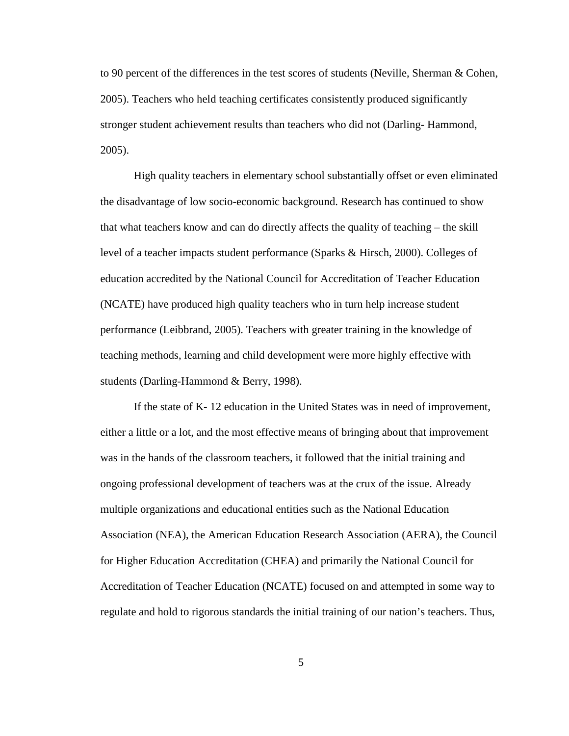to 90 percent of the differences in the test scores of students (Neville, Sherman & Cohen, 2005). Teachers who held teaching certificates consistently produced significantly stronger student achievement results than teachers who did not (Darling- Hammond, 2005).

High quality teachers in elementary school substantially offset or even eliminated the disadvantage of low socio-economic background. Research has continued to show that what teachers know and can do directly affects the quality of teaching – the skill level of a teacher impacts student performance (Sparks & Hirsch, 2000). Colleges of education accredited by the National Council for Accreditation of Teacher Education (NCATE) have produced high quality teachers who in turn help increase student performance (Leibbrand, 2005). Teachers with greater training in the knowledge of teaching methods, learning and child development were more highly effective with students (Darling-Hammond & Berry, 1998).

If the state of K- 12 education in the United States was in need of improvement, either a little or a lot, and the most effective means of bringing about that improvement was in the hands of the classroom teachers, it followed that the initial training and ongoing professional development of teachers was at the crux of the issue. Already multiple organizations and educational entities such as the National Education Association (NEA), the American Education Research Association (AERA), the Council for Higher Education Accreditation (CHEA) and primarily the National Council for Accreditation of Teacher Education (NCATE) focused on and attempted in some way to regulate and hold to rigorous standards the initial training of our nation's teachers. Thus,

5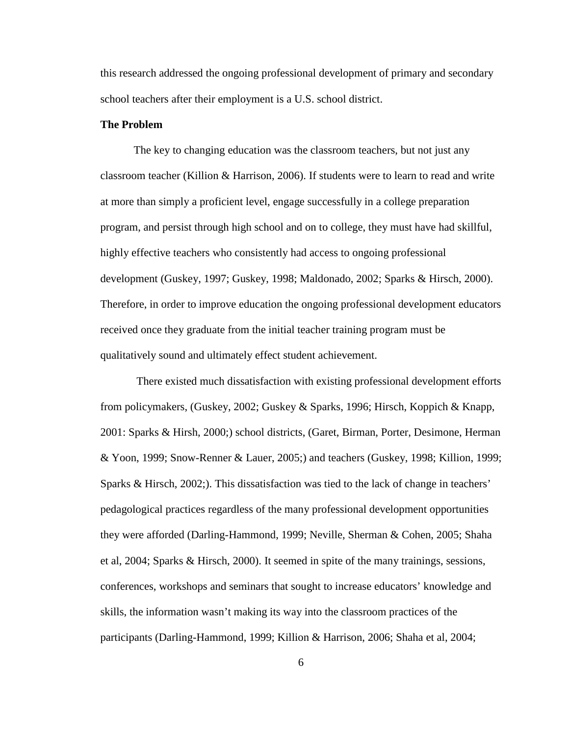this research addressed the ongoing professional development of primary and secondary school teachers after their employment is a U.S. school district.

#### **The Problem**

The key to changing education was the classroom teachers, but not just any classroom teacher (Killion & Harrison, 2006). If students were to learn to read and write at more than simply a proficient level, engage successfully in a college preparation program, and persist through high school and on to college, they must have had skillful, highly effective teachers who consistently had access to ongoing professional development (Guskey, 1997; Guskey, 1998; Maldonado, 2002; Sparks & Hirsch, 2000). Therefore, in order to improve education the ongoing professional development educators received once they graduate from the initial teacher training program must be qualitatively sound and ultimately effect student achievement.

 There existed much dissatisfaction with existing professional development efforts from policymakers, (Guskey, 2002; Guskey & Sparks, 1996; Hirsch, Koppich & Knapp, 2001: Sparks & Hirsh, 2000;) school districts, (Garet, Birman, Porter, Desimone, Herman & Yoon, 1999; Snow-Renner & Lauer, 2005;) and teachers (Guskey, 1998; Killion, 1999; Sparks & Hirsch, 2002;). This dissatisfaction was tied to the lack of change in teachers' pedagological practices regardless of the many professional development opportunities they were afforded (Darling-Hammond, 1999; Neville, Sherman & Cohen, 2005; Shaha et al, 2004; Sparks & Hirsch, 2000). It seemed in spite of the many trainings, sessions, conferences, workshops and seminars that sought to increase educators' knowledge and skills, the information wasn't making its way into the classroom practices of the participants (Darling-Hammond, 1999; Killion & Harrison, 2006; Shaha et al, 2004;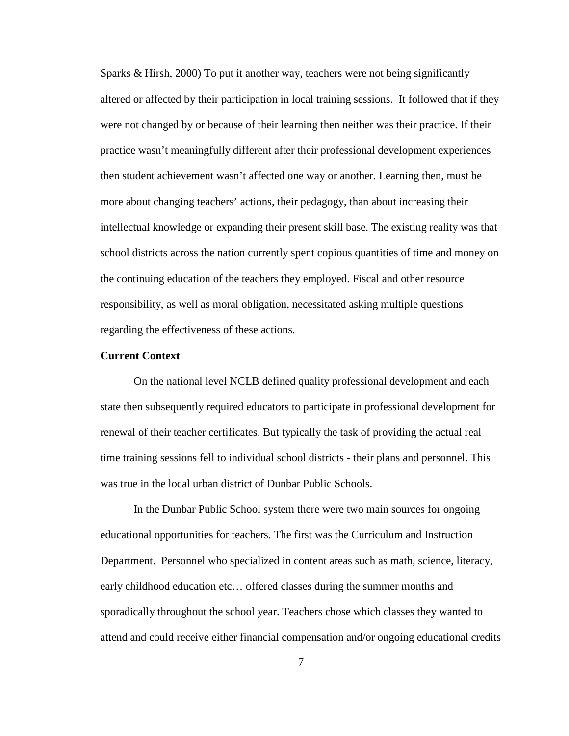Sparks & Hirsh, 2000) To put it another way, teachers were not being significantly altered or affected by their participation in local training sessions. It followed that if they were not changed by or because of their learning then neither was their practice. If their practice wasn't meaningfully different after their professional development experiences then student achievement wasn't affected one way or another. Learning then, must be more about changing teachers' actions, their pedagogy, than about increasing their intellectual knowledge or expanding their present skill base. The existing reality was that school districts across the nation currently spent copious quantities of time and money on the continuing education of the teachers they employed. Fiscal and other resource responsibility, as well as moral obligation, necessitated asking multiple questions regarding the effectiveness of these actions.

#### **Current Context**

On the national level NCLB defined quality professional development and each state then subsequently required educators to participate in professional development for renewal of their teacher certificates. But typically the task of providing the actual real time training sessions fell to individual school districts - their plans and personnel. This was true in the local urban district of Dunbar Public Schools.

In the Dunbar Public School system there were two main sources for ongoing educational opportunities for teachers. The first was the Curriculum and Instruction Department. Personnel who specialized in content areas such as math, science, literacy, early childhood education etc… offered classes during the summer months and sporadically throughout the school year. Teachers chose which classes they wanted to attend and could receive either financial compensation and/or ongoing educational credits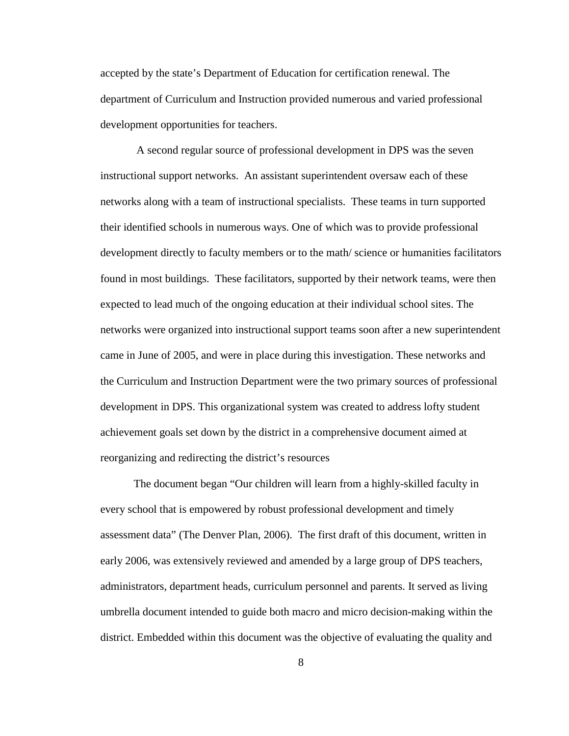accepted by the state's Department of Education for certification renewal. The department of Curriculum and Instruction provided numerous and varied professional development opportunities for teachers.

 A second regular source of professional development in DPS was the seven instructional support networks. An assistant superintendent oversaw each of these networks along with a team of instructional specialists. These teams in turn supported their identified schools in numerous ways. One of which was to provide professional development directly to faculty members or to the math/ science or humanities facilitators found in most buildings. These facilitators, supported by their network teams, were then expected to lead much of the ongoing education at their individual school sites. The networks were organized into instructional support teams soon after a new superintendent came in June of 2005, and were in place during this investigation. These networks and the Curriculum and Instruction Department were the two primary sources of professional development in DPS. This organizational system was created to address lofty student achievement goals set down by the district in a comprehensive document aimed at reorganizing and redirecting the district's resources

The document began "Our children will learn from a highly-skilled faculty in every school that is empowered by robust professional development and timely assessment data" (The Denver Plan, 2006). The first draft of this document, written in early 2006, was extensively reviewed and amended by a large group of DPS teachers, administrators, department heads, curriculum personnel and parents. It served as living umbrella document intended to guide both macro and micro decision-making within the district. Embedded within this document was the objective of evaluating the quality and

8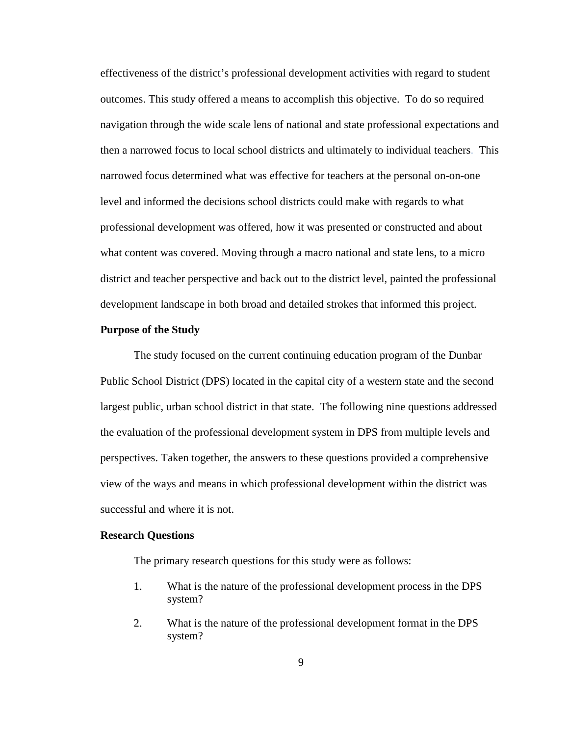effectiveness of the district's professional development activities with regard to student outcomes. This study offered a means to accomplish this objective. To do so required navigation through the wide scale lens of national and state professional expectations and then a narrowed focus to local school districts and ultimately to individual teachers. This narrowed focus determined what was effective for teachers at the personal on-on-one level and informed the decisions school districts could make with regards to what professional development was offered, how it was presented or constructed and about what content was covered. Moving through a macro national and state lens, to a micro district and teacher perspective and back out to the district level, painted the professional development landscape in both broad and detailed strokes that informed this project.

#### **Purpose of the Study**

The study focused on the current continuing education program of the Dunbar Public School District (DPS) located in the capital city of a western state and the second largest public, urban school district in that state. The following nine questions addressed the evaluation of the professional development system in DPS from multiple levels and perspectives. Taken together, the answers to these questions provided a comprehensive view of the ways and means in which professional development within the district was successful and where it is not.

#### **Research Questions**

The primary research questions for this study were as follows:

- 1. What is the nature of the professional development process in the DPS system?
- 2. What is the nature of the professional development format in the DPS system?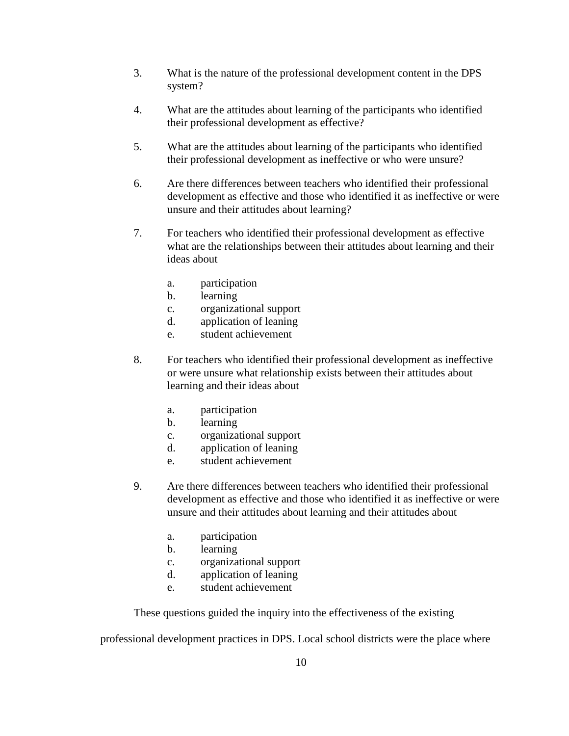- 3. What is the nature of the professional development content in the DPS system?
- 4. What are the attitudes about learning of the participants who identified their professional development as effective?
- 5. What are the attitudes about learning of the participants who identified their professional development as ineffective or who were unsure?
- 6. Are there differences between teachers who identified their professional development as effective and those who identified it as ineffective or were unsure and their attitudes about learning?
- 7. For teachers who identified their professional development as effective what are the relationships between their attitudes about learning and their ideas about
	- a. participation
	- b. learning
	- c. organizational support
	- d. application of leaning
	- e. student achievement
- 8. For teachers who identified their professional development as ineffective or were unsure what relationship exists between their attitudes about learning and their ideas about
	- a. participation
	- b. learning
	- c. organizational support
	- d. application of leaning
	- e. student achievement
- 9. Are there differences between teachers who identified their professional development as effective and those who identified it as ineffective or were unsure and their attitudes about learning and their attitudes about
	- a. participation
	- b. learning
	- c. organizational support
	- d. application of leaning
	- e. student achievement

These questions guided the inquiry into the effectiveness of the existing

professional development practices in DPS. Local school districts were the place where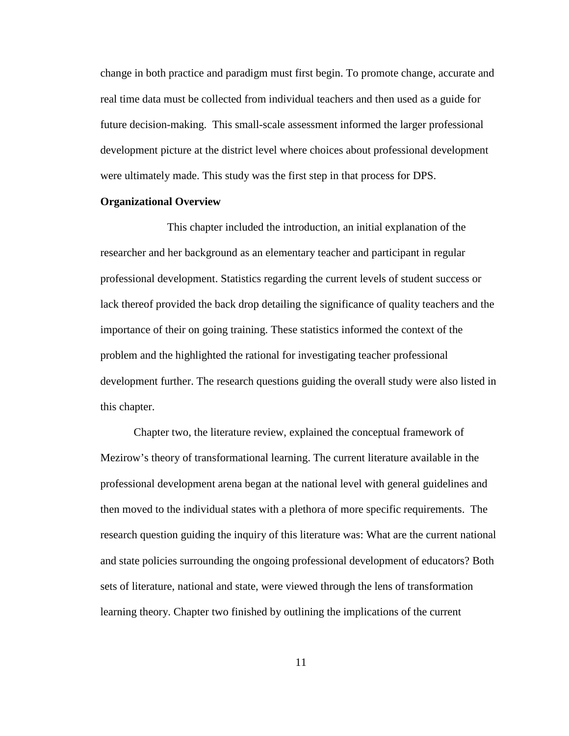change in both practice and paradigm must first begin. To promote change, accurate and real time data must be collected from individual teachers and then used as a guide for future decision-making. This small-scale assessment informed the larger professional development picture at the district level where choices about professional development were ultimately made. This study was the first step in that process for DPS.

#### **Organizational Overview**

 This chapter included the introduction, an initial explanation of the researcher and her background as an elementary teacher and participant in regular professional development. Statistics regarding the current levels of student success or lack thereof provided the back drop detailing the significance of quality teachers and the importance of their on going training. These statistics informed the context of the problem and the highlighted the rational for investigating teacher professional development further. The research questions guiding the overall study were also listed in this chapter.

Chapter two, the literature review, explained the conceptual framework of Mezirow's theory of transformational learning. The current literature available in the professional development arena began at the national level with general guidelines and then moved to the individual states with a plethora of more specific requirements. The research question guiding the inquiry of this literature was: What are the current national and state policies surrounding the ongoing professional development of educators? Both sets of literature, national and state, were viewed through the lens of transformation learning theory. Chapter two finished by outlining the implications of the current

11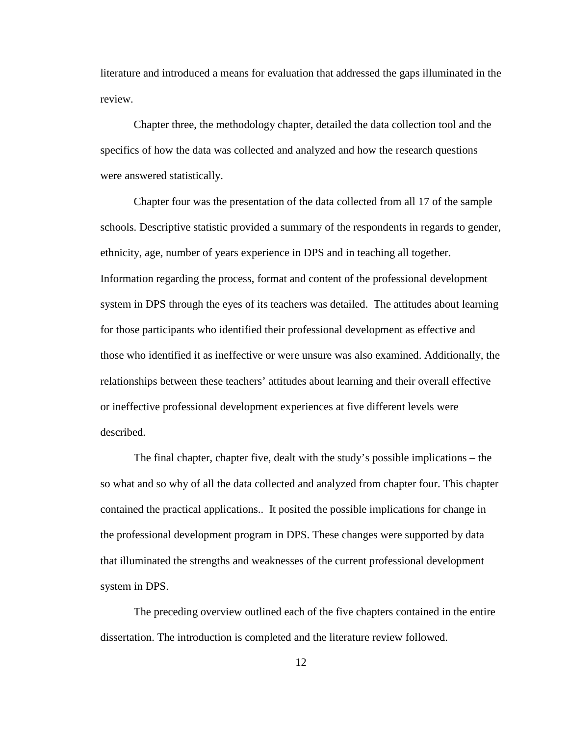literature and introduced a means for evaluation that addressed the gaps illuminated in the review.

Chapter three, the methodology chapter, detailed the data collection tool and the specifics of how the data was collected and analyzed and how the research questions were answered statistically.

Chapter four was the presentation of the data collected from all 17 of the sample schools. Descriptive statistic provided a summary of the respondents in regards to gender, ethnicity, age, number of years experience in DPS and in teaching all together. Information regarding the process, format and content of the professional development system in DPS through the eyes of its teachers was detailed. The attitudes about learning for those participants who identified their professional development as effective and those who identified it as ineffective or were unsure was also examined. Additionally, the relationships between these teachers' attitudes about learning and their overall effective or ineffective professional development experiences at five different levels were described.

The final chapter, chapter five, dealt with the study's possible implications – the so what and so why of all the data collected and analyzed from chapter four. This chapter contained the practical applications.. It posited the possible implications for change in the professional development program in DPS. These changes were supported by data that illuminated the strengths and weaknesses of the current professional development system in DPS.

The preceding overview outlined each of the five chapters contained in the entire dissertation. The introduction is completed and the literature review followed.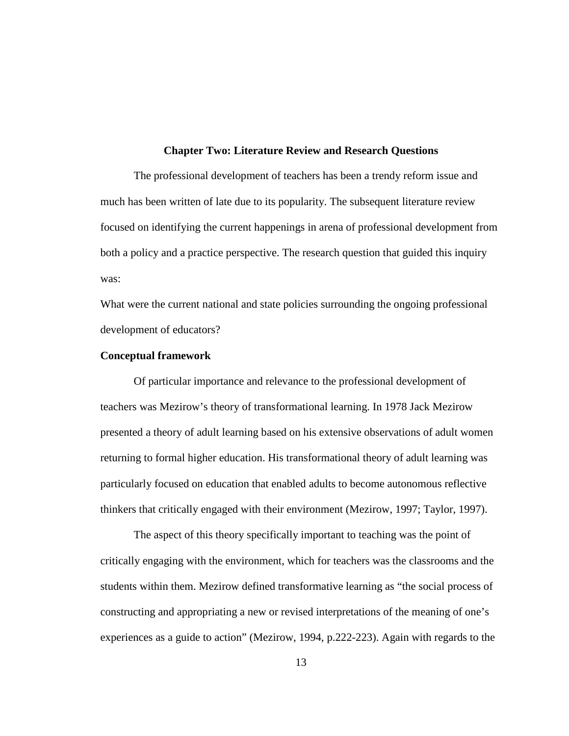#### **Chapter Two: Literature Review and Research Questions**

The professional development of teachers has been a trendy reform issue and much has been written of late due to its popularity. The subsequent literature review focused on identifying the current happenings in arena of professional development from both a policy and a practice perspective. The research question that guided this inquiry was:

What were the current national and state policies surrounding the ongoing professional development of educators?

#### **Conceptual framework**

Of particular importance and relevance to the professional development of teachers was Mezirow's theory of transformational learning. In 1978 Jack Mezirow presented a theory of adult learning based on his extensive observations of adult women returning to formal higher education. His transformational theory of adult learning was particularly focused on education that enabled adults to become autonomous reflective thinkers that critically engaged with their environment (Mezirow, 1997; Taylor, 1997).

The aspect of this theory specifically important to teaching was the point of critically engaging with the environment, which for teachers was the classrooms and the students within them. Mezirow defined transformative learning as "the social process of constructing and appropriating a new or revised interpretations of the meaning of one's experiences as a guide to action" (Mezirow, 1994, p.222-223). Again with regards to the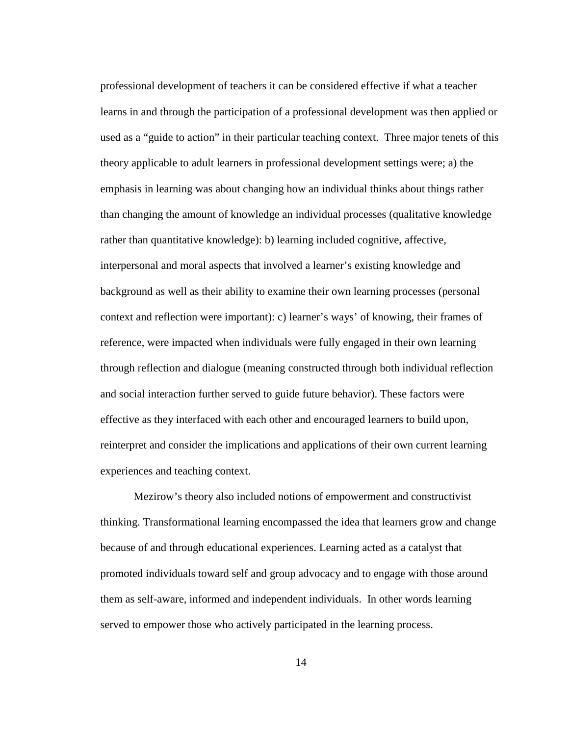professional development of teachers it can be considered effective if what a teacher learns in and through the participation of a professional development was then applied or used as a "guide to action" in their particular teaching context. Three major tenets of this theory applicable to adult learners in professional development settings were; a) the emphasis in learning was about changing how an individual thinks about things rather than changing the amount of knowledge an individual processes (qualitative knowledge rather than quantitative knowledge): b) learning included cognitive, affective, interpersonal and moral aspects that involved a learner's existing knowledge and background as well as their ability to examine their own learning processes (personal context and reflection were important): c) learner's ways' of knowing, their frames of reference, were impacted when individuals were fully engaged in their own learning through reflection and dialogue (meaning constructed through both individual reflection and social interaction further served to guide future behavior). These factors were effective as they interfaced with each other and encouraged learners to build upon, reinterpret and consider the implications and applications of their own current learning experiences and teaching context.

 Mezirow's theory also included notions of empowerment and constructivist thinking. Transformational learning encompassed the idea that learners grow and change because of and through educational experiences. Learning acted as a catalyst that promoted individuals toward self and group advocacy and to engage with those around them as self-aware, informed and independent individuals. In other words learning served to empower those who actively participated in the learning process.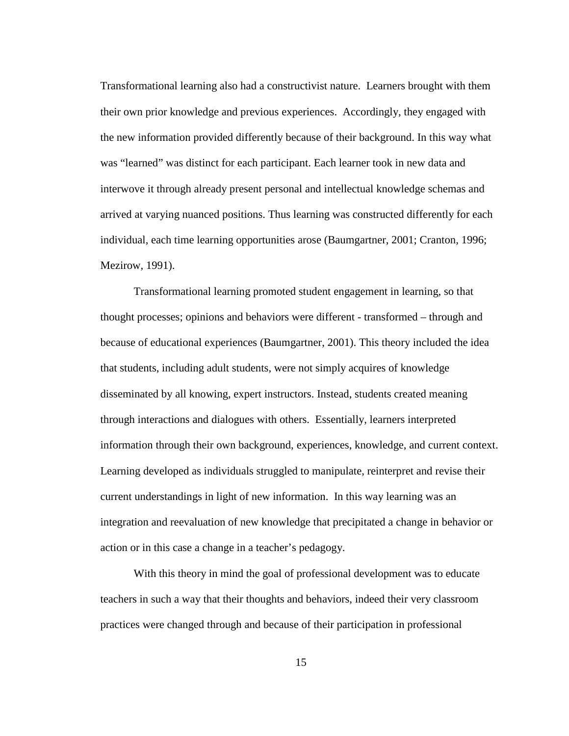Transformational learning also had a constructivist nature. Learners brought with them their own prior knowledge and previous experiences. Accordingly, they engaged with the new information provided differently because of their background. In this way what was "learned" was distinct for each participant. Each learner took in new data and interwove it through already present personal and intellectual knowledge schemas and arrived at varying nuanced positions. Thus learning was constructed differently for each individual, each time learning opportunities arose (Baumgartner, 2001; Cranton, 1996; Mezirow, 1991).

Transformational learning promoted student engagement in learning, so that thought processes; opinions and behaviors were different - transformed – through and because of educational experiences (Baumgartner, 2001). This theory included the idea that students, including adult students, were not simply acquires of knowledge disseminated by all knowing, expert instructors. Instead, students created meaning through interactions and dialogues with others. Essentially, learners interpreted information through their own background, experiences, knowledge, and current context. Learning developed as individuals struggled to manipulate, reinterpret and revise their current understandings in light of new information. In this way learning was an integration and reevaluation of new knowledge that precipitated a change in behavior or action or in this case a change in a teacher's pedagogy.

 With this theory in mind the goal of professional development was to educate teachers in such a way that their thoughts and behaviors, indeed their very classroom practices were changed through and because of their participation in professional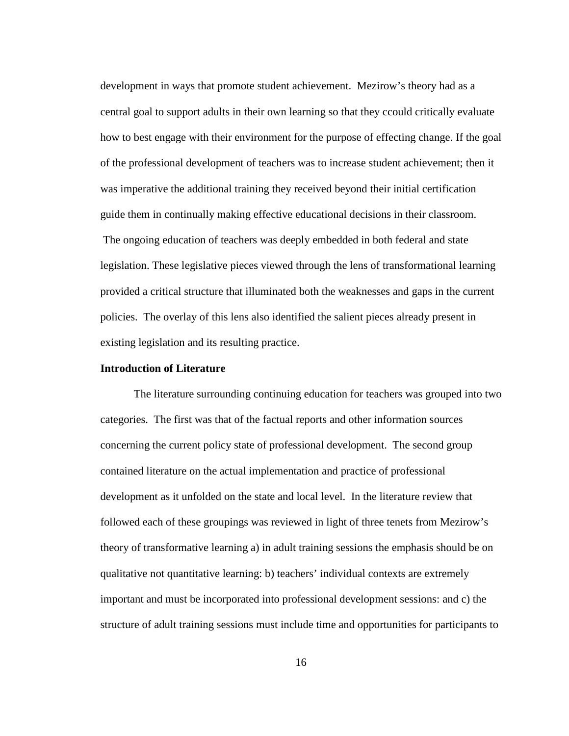development in ways that promote student achievement. Mezirow's theory had as a central goal to support adults in their own learning so that they ccould critically evaluate how to best engage with their environment for the purpose of effecting change. If the goal of the professional development of teachers was to increase student achievement; then it was imperative the additional training they received beyond their initial certification guide them in continually making effective educational decisions in their classroom. The ongoing education of teachers was deeply embedded in both federal and state legislation. These legislative pieces viewed through the lens of transformational learning provided a critical structure that illuminated both the weaknesses and gaps in the current policies. The overlay of this lens also identified the salient pieces already present in existing legislation and its resulting practice.

#### **Introduction of Literature**

 The literature surrounding continuing education for teachers was grouped into two categories. The first was that of the factual reports and other information sources concerning the current policy state of professional development. The second group contained literature on the actual implementation and practice of professional development as it unfolded on the state and local level. In the literature review that followed each of these groupings was reviewed in light of three tenets from Mezirow's theory of transformative learning a) in adult training sessions the emphasis should be on qualitative not quantitative learning: b) teachers' individual contexts are extremely important and must be incorporated into professional development sessions: and c) the structure of adult training sessions must include time and opportunities for participants to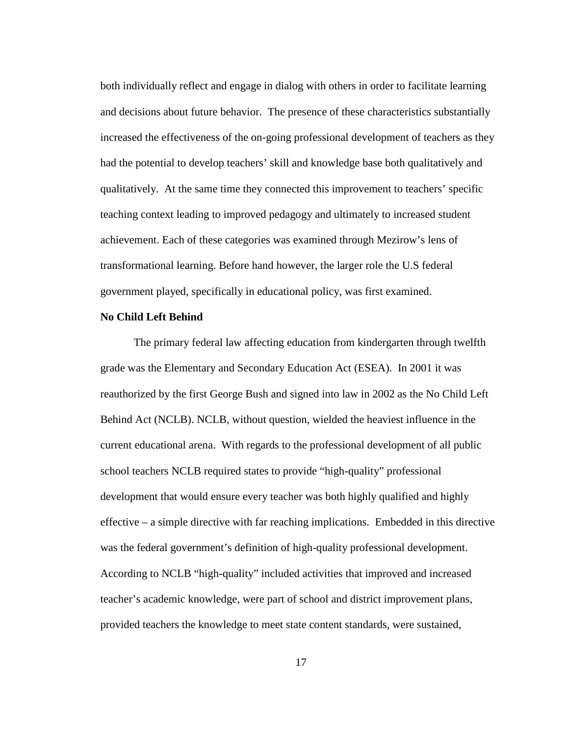both individually reflect and engage in dialog with others in order to facilitate learning and decisions about future behavior. The presence of these characteristics substantially increased the effectiveness of the on-going professional development of teachers as they had the potential to develop teachers' skill and knowledge base both qualitatively and qualitatively. At the same time they connected this improvement to teachers' specific teaching context leading to improved pedagogy and ultimately to increased student achievement. Each of these categories was examined through Mezirow's lens of transformational learning. Before hand however, the larger role the U.S federal government played, specifically in educational policy, was first examined.

#### **No Child Left Behind**

The primary federal law affecting education from kindergarten through twelfth grade was the Elementary and Secondary Education Act (ESEA). In 2001 it was reauthorized by the first George Bush and signed into law in 2002 as the No Child Left Behind Act (NCLB). NCLB, without question, wielded the heaviest influence in the current educational arena. With regards to the professional development of all public school teachers NCLB required states to provide "high-quality" professional development that would ensure every teacher was both highly qualified and highly effective – a simple directive with far reaching implications. Embedded in this directive was the federal government's definition of high-quality professional development. According to NCLB "high-quality" included activities that improved and increased teacher's academic knowledge, were part of school and district improvement plans, provided teachers the knowledge to meet state content standards, were sustained,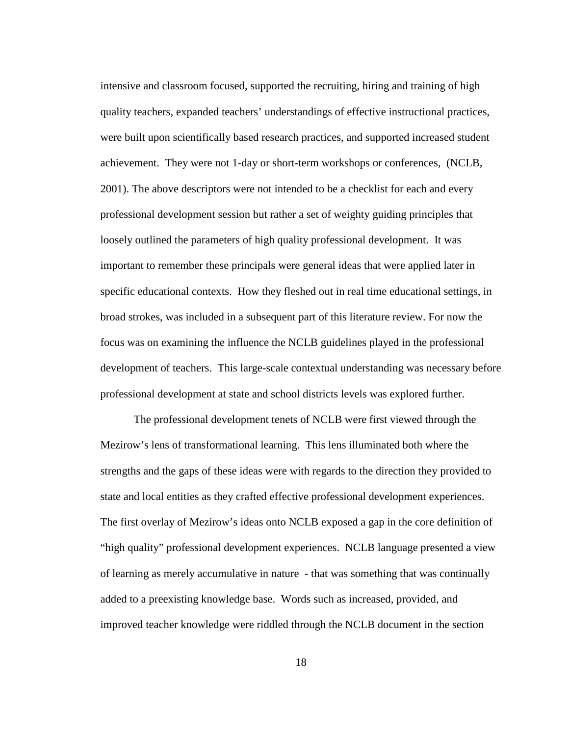intensive and classroom focused, supported the recruiting, hiring and training of high quality teachers, expanded teachers' understandings of effective instructional practices, were built upon scientifically based research practices, and supported increased student achievement. They were not 1-day or short-term workshops or conferences, (NCLB, 2001). The above descriptors were not intended to be a checklist for each and every professional development session but rather a set of weighty guiding principles that loosely outlined the parameters of high quality professional development. It was important to remember these principals were general ideas that were applied later in specific educational contexts. How they fleshed out in real time educational settings, in broad strokes, was included in a subsequent part of this literature review. For now the focus was on examining the influence the NCLB guidelines played in the professional development of teachers. This large-scale contextual understanding was necessary before professional development at state and school districts levels was explored further.

The professional development tenets of NCLB were first viewed through the Mezirow's lens of transformational learning. This lens illuminated both where the strengths and the gaps of these ideas were with regards to the direction they provided to state and local entities as they crafted effective professional development experiences. The first overlay of Mezirow's ideas onto NCLB exposed a gap in the core definition of "high quality" professional development experiences. NCLB language presented a view of learning as merely accumulative in nature - that was something that was continually added to a preexisting knowledge base. Words such as increased, provided, and improved teacher knowledge were riddled through the NCLB document in the section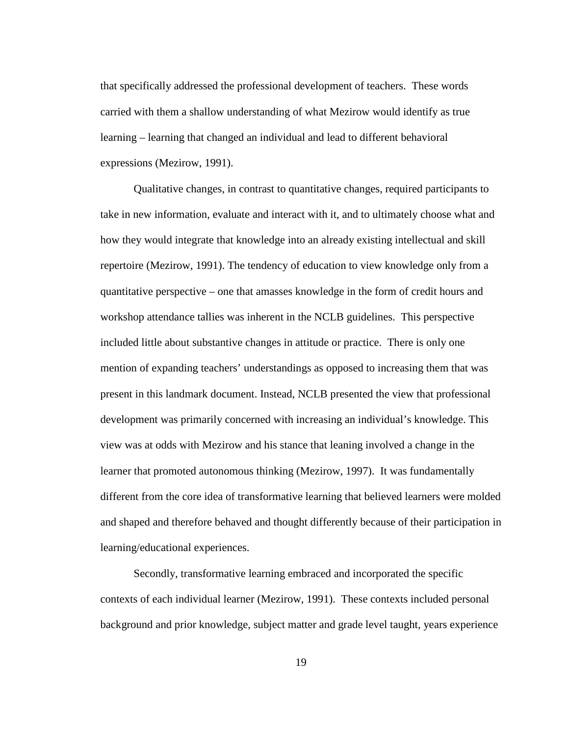that specifically addressed the professional development of teachers. These words carried with them a shallow understanding of what Mezirow would identify as true learning – learning that changed an individual and lead to different behavioral expressions (Mezirow, 1991).

Qualitative changes, in contrast to quantitative changes, required participants to take in new information, evaluate and interact with it, and to ultimately choose what and how they would integrate that knowledge into an already existing intellectual and skill repertoire (Mezirow, 1991). The tendency of education to view knowledge only from a quantitative perspective – one that amasses knowledge in the form of credit hours and workshop attendance tallies was inherent in the NCLB guidelines. This perspective included little about substantive changes in attitude or practice. There is only one mention of expanding teachers' understandings as opposed to increasing them that was present in this landmark document. Instead, NCLB presented the view that professional development was primarily concerned with increasing an individual's knowledge. This view was at odds with Mezirow and his stance that leaning involved a change in the learner that promoted autonomous thinking (Mezirow, 1997). It was fundamentally different from the core idea of transformative learning that believed learners were molded and shaped and therefore behaved and thought differently because of their participation in learning/educational experiences.

Secondly, transformative learning embraced and incorporated the specific contexts of each individual learner (Mezirow, 1991). These contexts included personal background and prior knowledge, subject matter and grade level taught, years experience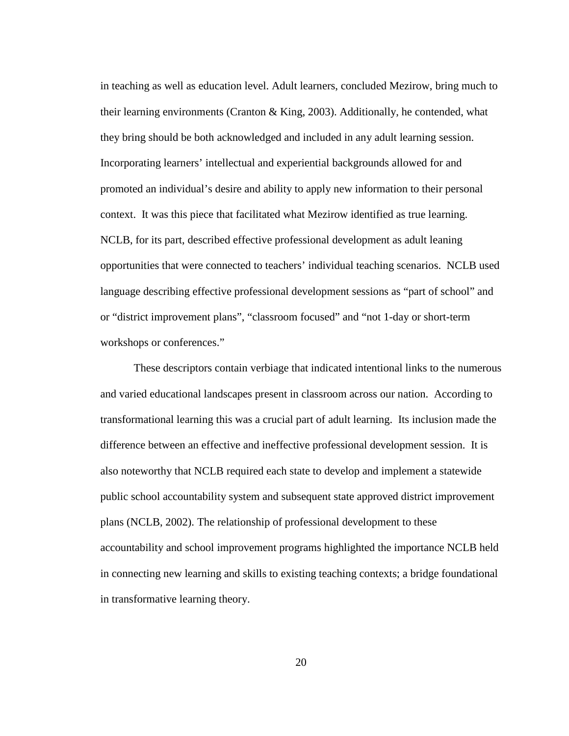in teaching as well as education level. Adult learners, concluded Mezirow, bring much to their learning environments (Cranton & King, 2003). Additionally, he contended, what they bring should be both acknowledged and included in any adult learning session. Incorporating learners' intellectual and experiential backgrounds allowed for and promoted an individual's desire and ability to apply new information to their personal context. It was this piece that facilitated what Mezirow identified as true learning. NCLB, for its part, described effective professional development as adult leaning opportunities that were connected to teachers' individual teaching scenarios. NCLB used language describing effective professional development sessions as "part of school" and or "district improvement plans", "classroom focused" and "not 1-day or short-term workshops or conferences."

These descriptors contain verbiage that indicated intentional links to the numerous and varied educational landscapes present in classroom across our nation. According to transformational learning this was a crucial part of adult learning. Its inclusion made the difference between an effective and ineffective professional development session. It is also noteworthy that NCLB required each state to develop and implement a statewide public school accountability system and subsequent state approved district improvement plans (NCLB, 2002). The relationship of professional development to these accountability and school improvement programs highlighted the importance NCLB held in connecting new learning and skills to existing teaching contexts; a bridge foundational in transformative learning theory.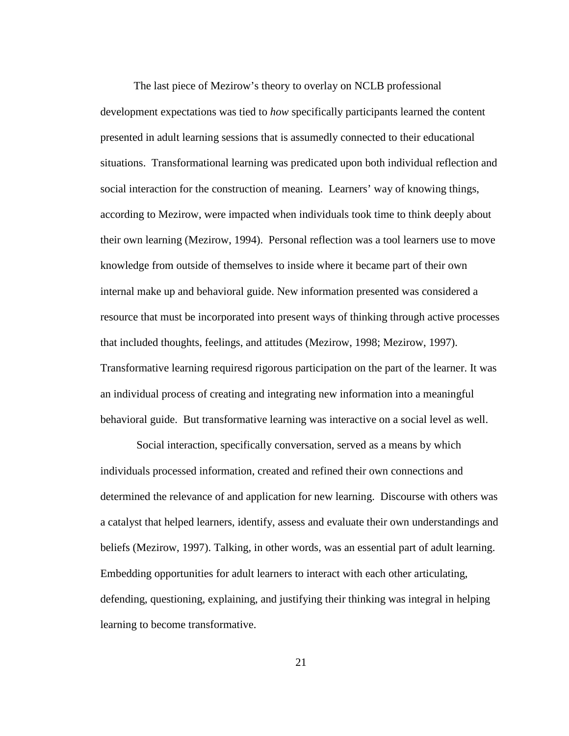The last piece of Mezirow's theory to overlay on NCLB professional development expectations was tied to *how* specifically participants learned the content presented in adult learning sessions that is assumedly connected to their educational situations. Transformational learning was predicated upon both individual reflection and social interaction for the construction of meaning. Learners' way of knowing things, according to Mezirow, were impacted when individuals took time to think deeply about their own learning (Mezirow, 1994). Personal reflection was a tool learners use to move knowledge from outside of themselves to inside where it became part of their own internal make up and behavioral guide. New information presented was considered a resource that must be incorporated into present ways of thinking through active processes that included thoughts, feelings, and attitudes (Mezirow, 1998; Mezirow, 1997). Transformative learning requiresd rigorous participation on the part of the learner. It was an individual process of creating and integrating new information into a meaningful behavioral guide. But transformative learning was interactive on a social level as well.

 Social interaction, specifically conversation, served as a means by which individuals processed information, created and refined their own connections and determined the relevance of and application for new learning. Discourse with others was a catalyst that helped learners, identify, assess and evaluate their own understandings and beliefs (Mezirow, 1997). Talking, in other words, was an essential part of adult learning. Embedding opportunities for adult learners to interact with each other articulating, defending, questioning, explaining, and justifying their thinking was integral in helping learning to become transformative.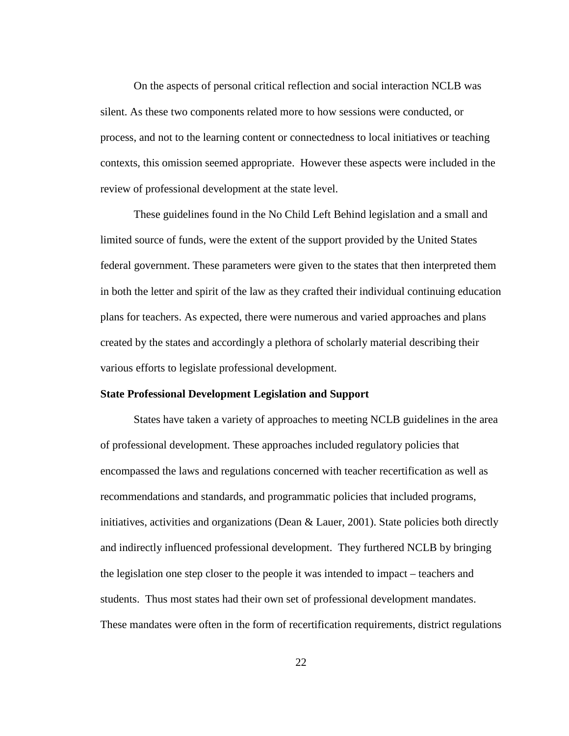On the aspects of personal critical reflection and social interaction NCLB was silent. As these two components related more to how sessions were conducted, or process, and not to the learning content or connectedness to local initiatives or teaching contexts, this omission seemed appropriate. However these aspects were included in the review of professional development at the state level.

These guidelines found in the No Child Left Behind legislation and a small and limited source of funds, were the extent of the support provided by the United States federal government. These parameters were given to the states that then interpreted them in both the letter and spirit of the law as they crafted their individual continuing education plans for teachers. As expected, there were numerous and varied approaches and plans created by the states and accordingly a plethora of scholarly material describing their various efforts to legislate professional development.

#### **State Professional Development Legislation and Support**

States have taken a variety of approaches to meeting NCLB guidelines in the area of professional development. These approaches included regulatory policies that encompassed the laws and regulations concerned with teacher recertification as well as recommendations and standards, and programmatic policies that included programs, initiatives, activities and organizations (Dean & Lauer, 2001). State policies both directly and indirectly influenced professional development. They furthered NCLB by bringing the legislation one step closer to the people it was intended to impact – teachers and students. Thus most states had their own set of professional development mandates. These mandates were often in the form of recertification requirements, district regulations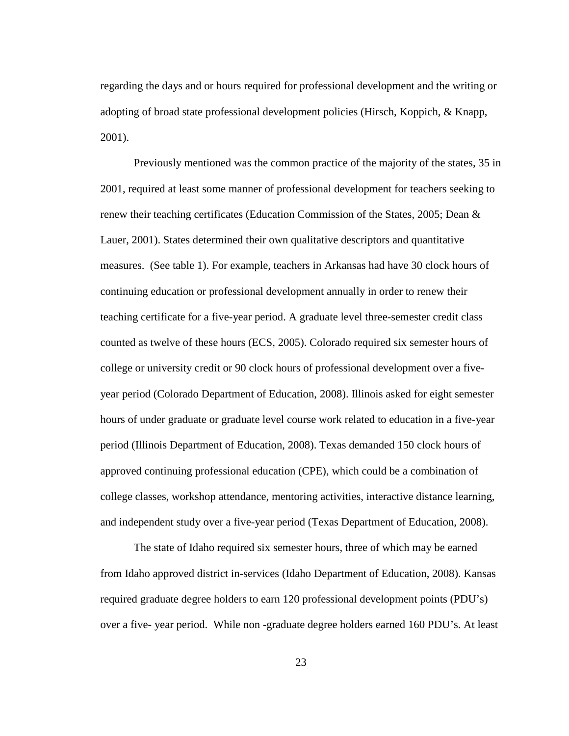regarding the days and or hours required for professional development and the writing or adopting of broad state professional development policies (Hirsch, Koppich, & Knapp, 2001).

Previously mentioned was the common practice of the majority of the states, 35 in 2001, required at least some manner of professional development for teachers seeking to renew their teaching certificates (Education Commission of the States, 2005; Dean & Lauer, 2001). States determined their own qualitative descriptors and quantitative measures. (See table 1). For example, teachers in Arkansas had have 30 clock hours of continuing education or professional development annually in order to renew their teaching certificate for a five-year period. A graduate level three-semester credit class counted as twelve of these hours (ECS, 2005). Colorado required six semester hours of college or university credit or 90 clock hours of professional development over a fiveyear period (Colorado Department of Education, 2008). Illinois asked for eight semester hours of under graduate or graduate level course work related to education in a five-year period (Illinois Department of Education, 2008). Texas demanded 150 clock hours of approved continuing professional education (CPE), which could be a combination of college classes, workshop attendance, mentoring activities, interactive distance learning, and independent study over a five-year period (Texas Department of Education, 2008).

The state of Idaho required six semester hours, three of which may be earned from Idaho approved district in-services (Idaho Department of Education, 2008). Kansas required graduate degree holders to earn 120 professional development points (PDU's) over a five- year period. While non -graduate degree holders earned 160 PDU's. At least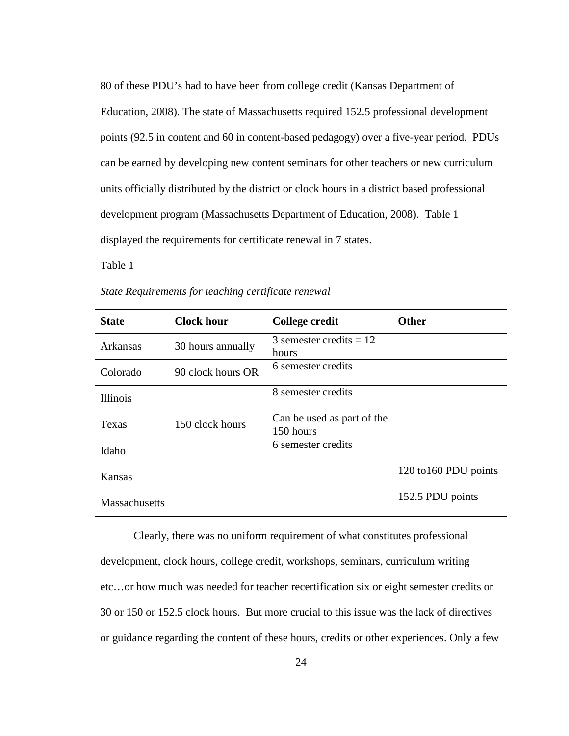80 of these PDU's had to have been from college credit (Kansas Department of Education, 2008). The state of Massachusetts required 152.5 professional development points (92.5 in content and 60 in content-based pedagogy) over a five-year period. PDUs can be earned by developing new content seminars for other teachers or new curriculum units officially distributed by the district or clock hours in a district based professional development program (Massachusetts Department of Education, 2008). Table 1 displayed the requirements for certificate renewal in 7 states.

Table 1

| <b>State</b>    | <b>Clock hour</b> | <b>College credit</b>                   | <b>Other</b>          |
|-----------------|-------------------|-----------------------------------------|-----------------------|
| <b>Arkansas</b> | 30 hours annually | 3 semester credits $= 12$<br>hours      |                       |
| Colorado        | 90 clock hours OR | 6 semester credits                      |                       |
| <b>Illinois</b> |                   | 8 semester credits                      |                       |
| Texas           | 150 clock hours   | Can be used as part of the<br>150 hours |                       |
| Idaho           |                   | 6 semester credits                      |                       |
| Kansas          |                   |                                         | 120 to 160 PDU points |
| Massachusetts   |                   |                                         | 152.5 PDU points      |

*State Requirements for teaching certificate renewal* 

Clearly, there was no uniform requirement of what constitutes professional development, clock hours, college credit, workshops, seminars, curriculum writing etc…or how much was needed for teacher recertification six or eight semester credits or 30 or 150 or 152.5 clock hours. But more crucial to this issue was the lack of directives or guidance regarding the content of these hours, credits or other experiences. Only a few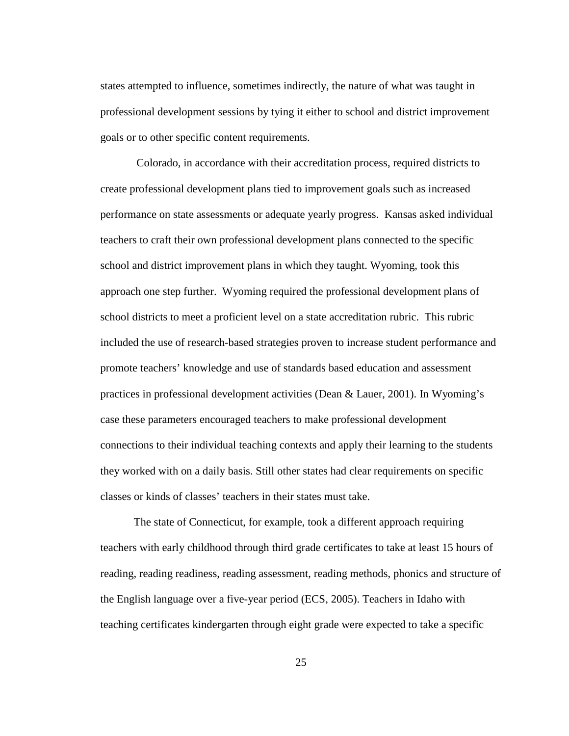states attempted to influence, sometimes indirectly, the nature of what was taught in professional development sessions by tying it either to school and district improvement goals or to other specific content requirements.

 Colorado, in accordance with their accreditation process, required districts to create professional development plans tied to improvement goals such as increased performance on state assessments or adequate yearly progress. Kansas asked individual teachers to craft their own professional development plans connected to the specific school and district improvement plans in which they taught. Wyoming, took this approach one step further. Wyoming required the professional development plans of school districts to meet a proficient level on a state accreditation rubric. This rubric included the use of research-based strategies proven to increase student performance and promote teachers' knowledge and use of standards based education and assessment practices in professional development activities (Dean & Lauer, 2001). In Wyoming's case these parameters encouraged teachers to make professional development connections to their individual teaching contexts and apply their learning to the students they worked with on a daily basis. Still other states had clear requirements on specific classes or kinds of classes' teachers in their states must take.

The state of Connecticut, for example, took a different approach requiring teachers with early childhood through third grade certificates to take at least 15 hours of reading, reading readiness, reading assessment, reading methods, phonics and structure of the English language over a five-year period (ECS, 2005). Teachers in Idaho with teaching certificates kindergarten through eight grade were expected to take a specific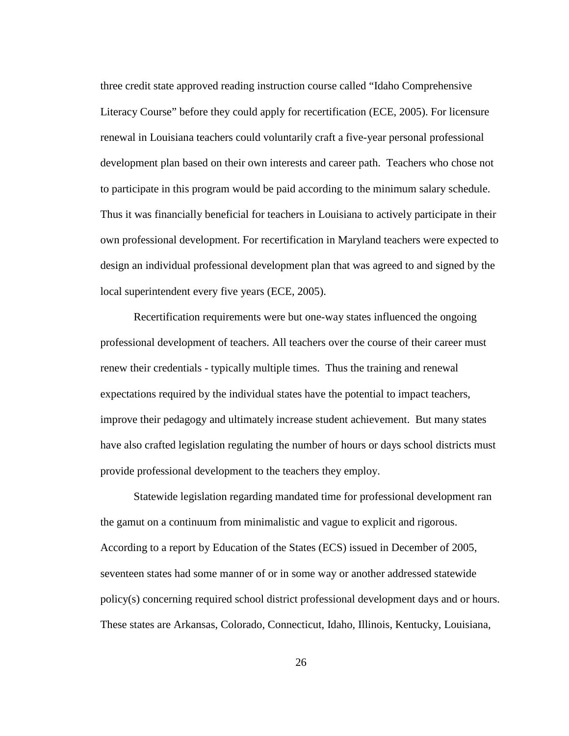three credit state approved reading instruction course called "Idaho Comprehensive Literacy Course" before they could apply for recertification (ECE, 2005). For licensure renewal in Louisiana teachers could voluntarily craft a five-year personal professional development plan based on their own interests and career path. Teachers who chose not to participate in this program would be paid according to the minimum salary schedule. Thus it was financially beneficial for teachers in Louisiana to actively participate in their own professional development. For recertification in Maryland teachers were expected to design an individual professional development plan that was agreed to and signed by the local superintendent every five years (ECE, 2005).

Recertification requirements were but one-way states influenced the ongoing professional development of teachers. All teachers over the course of their career must renew their credentials - typically multiple times. Thus the training and renewal expectations required by the individual states have the potential to impact teachers, improve their pedagogy and ultimately increase student achievement. But many states have also crafted legislation regulating the number of hours or days school districts must provide professional development to the teachers they employ.

Statewide legislation regarding mandated time for professional development ran the gamut on a continuum from minimalistic and vague to explicit and rigorous. According to a report by Education of the States (ECS) issued in December of 2005, seventeen states had some manner of or in some way or another addressed statewide policy(s) concerning required school district professional development days and or hours. These states are Arkansas, Colorado, Connecticut, Idaho, Illinois, Kentucky, Louisiana,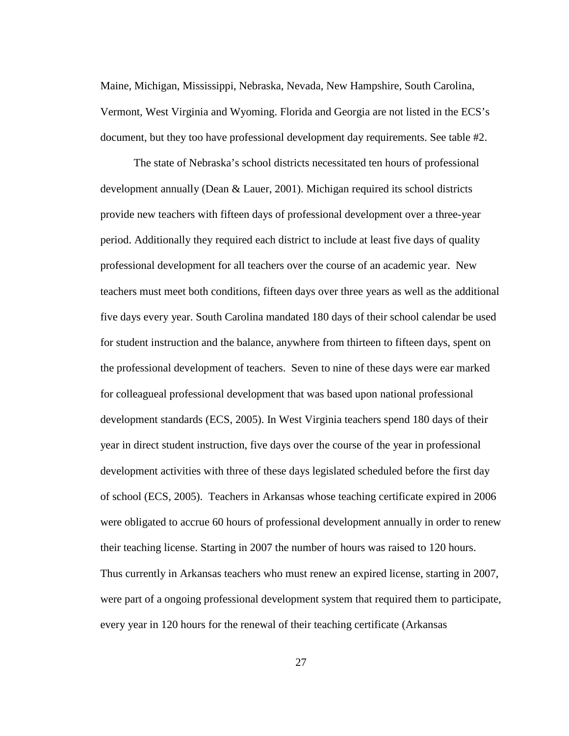Maine, Michigan, Mississippi, Nebraska, Nevada, New Hampshire, South Carolina, Vermont, West Virginia and Wyoming. Florida and Georgia are not listed in the ECS's document, but they too have professional development day requirements. See table #2.

The state of Nebraska's school districts necessitated ten hours of professional development annually (Dean & Lauer, 2001). Michigan required its school districts provide new teachers with fifteen days of professional development over a three-year period. Additionally they required each district to include at least five days of quality professional development for all teachers over the course of an academic year. New teachers must meet both conditions, fifteen days over three years as well as the additional five days every year. South Carolina mandated 180 days of their school calendar be used for student instruction and the balance, anywhere from thirteen to fifteen days, spent on the professional development of teachers. Seven to nine of these days were ear marked for colleagueal professional development that was based upon national professional development standards (ECS, 2005). In West Virginia teachers spend 180 days of their year in direct student instruction, five days over the course of the year in professional development activities with three of these days legislated scheduled before the first day of school (ECS, 2005). Teachers in Arkansas whose teaching certificate expired in 2006 were obligated to accrue 60 hours of professional development annually in order to renew their teaching license. Starting in 2007 the number of hours was raised to 120 hours. Thus currently in Arkansas teachers who must renew an expired license, starting in 2007, were part of a ongoing professional development system that required them to participate, every year in 120 hours for the renewal of their teaching certificate (Arkansas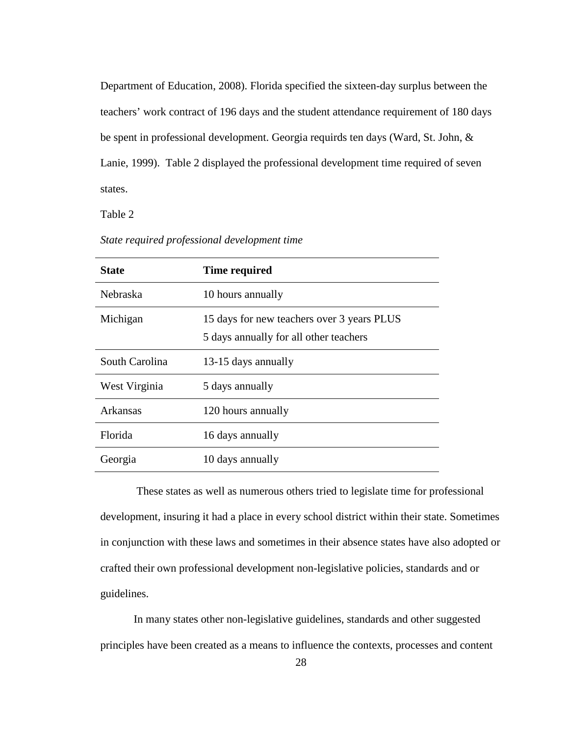Department of Education, 2008). Florida specified the sixteen-day surplus between the teachers' work contract of 196 days and the student attendance requirement of 180 days be spent in professional development. Georgia requirds ten days (Ward, St. John, & Lanie, 1999). Table 2 displayed the professional development time required of seven states.

Table 2

| <b>State</b>    | <b>Time required</b>                                                                 |  |
|-----------------|--------------------------------------------------------------------------------------|--|
| Nebraska        | 10 hours annually                                                                    |  |
| Michigan        | 15 days for new teachers over 3 years PLUS<br>5 days annually for all other teachers |  |
| South Carolina  | 13-15 days annually                                                                  |  |
| West Virginia   | 5 days annually                                                                      |  |
| <b>Arkansas</b> | 120 hours annually                                                                   |  |
| Florida         | 16 days annually                                                                     |  |
| Georgia         | 10 days annually                                                                     |  |

*State required professional development time* 

 These states as well as numerous others tried to legislate time for professional development, insuring it had a place in every school district within their state. Sometimes in conjunction with these laws and sometimes in their absence states have also adopted or crafted their own professional development non-legislative policies, standards and or guidelines.

In many states other non-legislative guidelines, standards and other suggested principles have been created as a means to influence the contexts, processes and content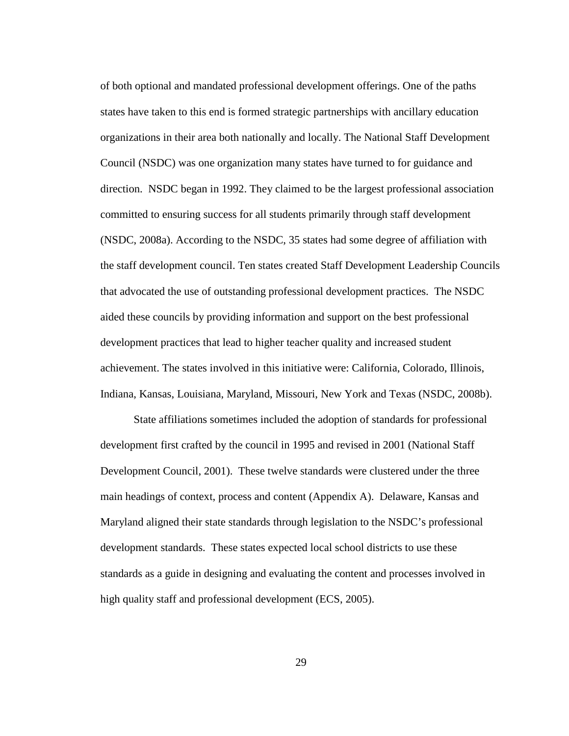of both optional and mandated professional development offerings. One of the paths states have taken to this end is formed strategic partnerships with ancillary education organizations in their area both nationally and locally. The National Staff Development Council (NSDC) was one organization many states have turned to for guidance and direction. NSDC began in 1992. They claimed to be the largest professional association committed to ensuring success for all students primarily through staff development (NSDC, 2008a). According to the NSDC, 35 states had some degree of affiliation with the staff development council. Ten states created Staff Development Leadership Councils that advocated the use of outstanding professional development practices. The NSDC aided these councils by providing information and support on the best professional development practices that lead to higher teacher quality and increased student achievement. The states involved in this initiative were: California, Colorado, Illinois, Indiana, Kansas, Louisiana, Maryland, Missouri, New York and Texas (NSDC, 2008b).

State affiliations sometimes included the adoption of standards for professional development first crafted by the council in 1995 and revised in 2001 (National Staff Development Council, 2001). These twelve standards were clustered under the three main headings of context, process and content (Appendix A). Delaware, Kansas and Maryland aligned their state standards through legislation to the NSDC's professional development standards. These states expected local school districts to use these standards as a guide in designing and evaluating the content and processes involved in high quality staff and professional development (ECS, 2005).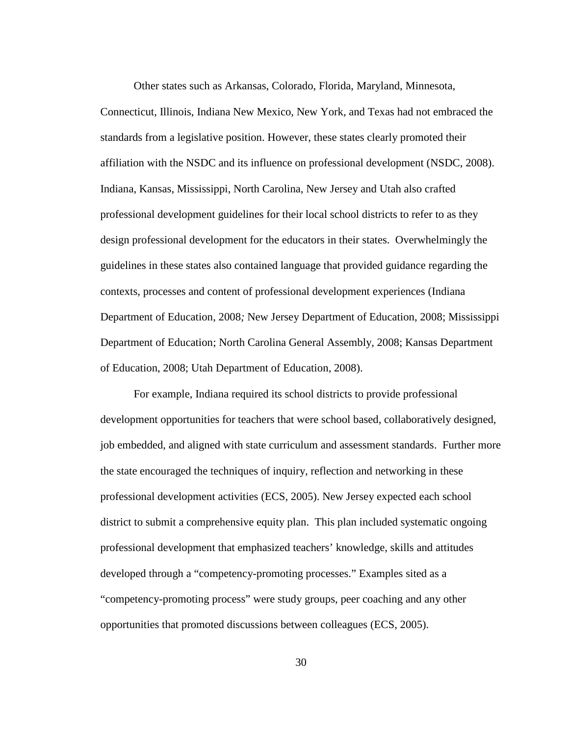Other states such as Arkansas, Colorado, Florida, Maryland, Minnesota, Connecticut, Illinois, Indiana New Mexico, New York, and Texas had not embraced the standards from a legislative position. However, these states clearly promoted their affiliation with the NSDC and its influence on professional development (NSDC, 2008). Indiana, Kansas, Mississippi, North Carolina, New Jersey and Utah also crafted professional development guidelines for their local school districts to refer to as they design professional development for the educators in their states. Overwhelmingly the guidelines in these states also contained language that provided guidance regarding the contexts, processes and content of professional development experiences (Indiana Department of Education, 2008*;* New Jersey Department of Education, 2008; Mississippi Department of Education; North Carolina General Assembly, 2008; Kansas Department of Education, 2008; Utah Department of Education, 2008).

For example, Indiana required its school districts to provide professional development opportunities for teachers that were school based, collaboratively designed, job embedded, and aligned with state curriculum and assessment standards. Further more the state encouraged the techniques of inquiry, reflection and networking in these professional development activities (ECS, 2005). New Jersey expected each school district to submit a comprehensive equity plan. This plan included systematic ongoing professional development that emphasized teachers' knowledge, skills and attitudes developed through a "competency-promoting processes." Examples sited as a "competency-promoting process" were study groups, peer coaching and any other opportunities that promoted discussions between colleagues (ECS, 2005).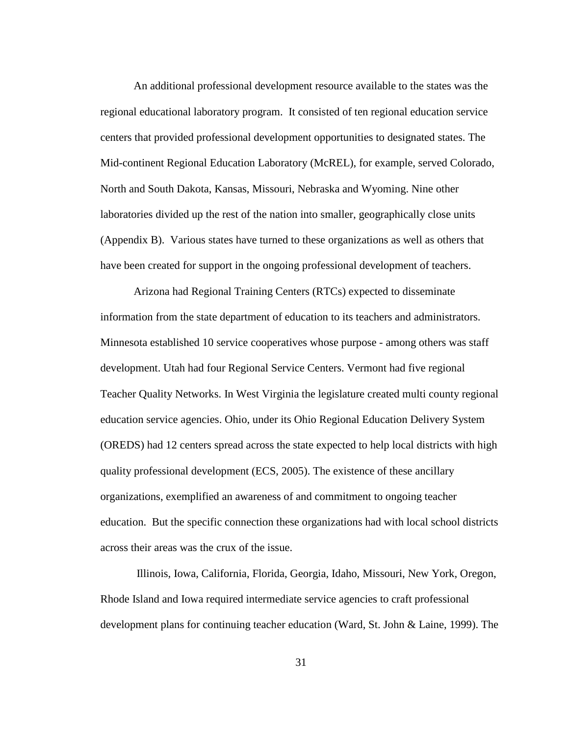An additional professional development resource available to the states was the regional educational laboratory program. It consisted of ten regional education service centers that provided professional development opportunities to designated states. The Mid-continent Regional Education Laboratory (McREL), for example, served Colorado, North and South Dakota, Kansas, Missouri, Nebraska and Wyoming. Nine other laboratories divided up the rest of the nation into smaller, geographically close units (Appendix B). Various states have turned to these organizations as well as others that have been created for support in the ongoing professional development of teachers.

Arizona had Regional Training Centers (RTCs) expected to disseminate information from the state department of education to its teachers and administrators. Minnesota established 10 service cooperatives whose purpose - among others was staff development. Utah had four Regional Service Centers. Vermont had five regional Teacher Quality Networks. In West Virginia the legislature created multi county regional education service agencies. Ohio, under its Ohio Regional Education Delivery System (OREDS) had 12 centers spread across the state expected to help local districts with high quality professional development (ECS, 2005). The existence of these ancillary organizations, exemplified an awareness of and commitment to ongoing teacher education. But the specific connection these organizations had with local school districts across their areas was the crux of the issue.

 Illinois, Iowa, California, Florida, Georgia, Idaho, Missouri, New York, Oregon, Rhode Island and Iowa required intermediate service agencies to craft professional development plans for continuing teacher education (Ward, St. John & Laine, 1999). The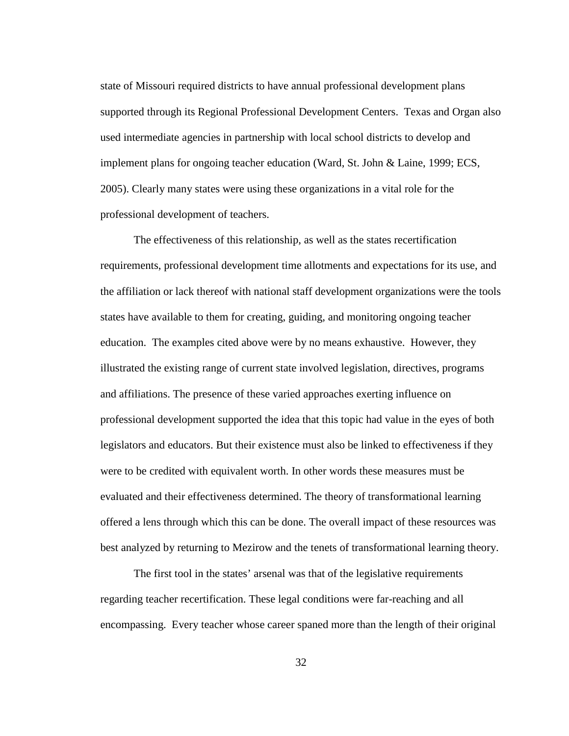state of Missouri required districts to have annual professional development plans supported through its Regional Professional Development Centers. Texas and Organ also used intermediate agencies in partnership with local school districts to develop and implement plans for ongoing teacher education (Ward, St. John & Laine, 1999; ECS, 2005). Clearly many states were using these organizations in a vital role for the professional development of teachers.

The effectiveness of this relationship, as well as the states recertification requirements, professional development time allotments and expectations for its use, and the affiliation or lack thereof with national staff development organizations were the tools states have available to them for creating, guiding, and monitoring ongoing teacher education. The examples cited above were by no means exhaustive. However, they illustrated the existing range of current state involved legislation, directives, programs and affiliations. The presence of these varied approaches exerting influence on professional development supported the idea that this topic had value in the eyes of both legislators and educators. But their existence must also be linked to effectiveness if they were to be credited with equivalent worth. In other words these measures must be evaluated and their effectiveness determined. The theory of transformational learning offered a lens through which this can be done. The overall impact of these resources was best analyzed by returning to Mezirow and the tenets of transformational learning theory.

The first tool in the states' arsenal was that of the legislative requirements regarding teacher recertification. These legal conditions were far-reaching and all encompassing. Every teacher whose career spaned more than the length of their original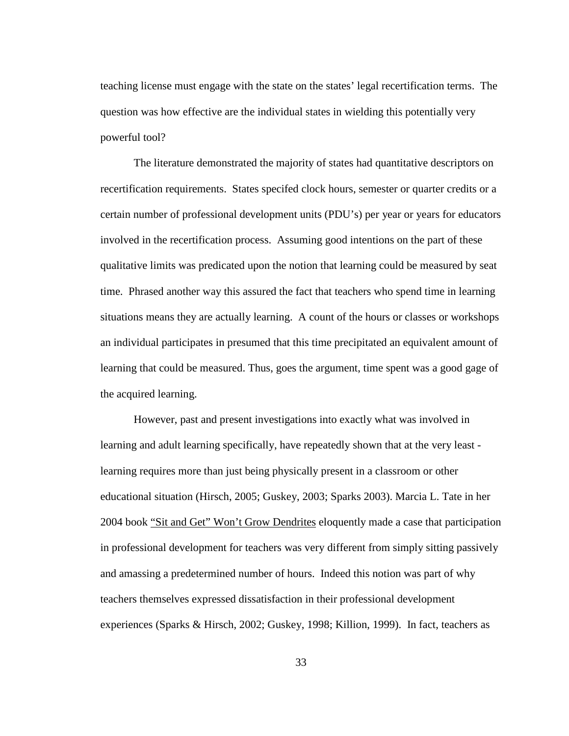teaching license must engage with the state on the states' legal recertification terms. The question was how effective are the individual states in wielding this potentially very powerful tool?

The literature demonstrated the majority of states had quantitative descriptors on recertification requirements. States specifed clock hours, semester or quarter credits or a certain number of professional development units (PDU's) per year or years for educators involved in the recertification process. Assuming good intentions on the part of these qualitative limits was predicated upon the notion that learning could be measured by seat time. Phrased another way this assured the fact that teachers who spend time in learning situations means they are actually learning. A count of the hours or classes or workshops an individual participates in presumed that this time precipitated an equivalent amount of learning that could be measured. Thus, goes the argument, time spent was a good gage of the acquired learning.

However, past and present investigations into exactly what was involved in learning and adult learning specifically, have repeatedly shown that at the very least learning requires more than just being physically present in a classroom or other educational situation (Hirsch, 2005; Guskey, 2003; Sparks 2003). Marcia L. Tate in her 2004 book "Sit and Get" Won't Grow Dendrites eloquently made a case that participation in professional development for teachers was very different from simply sitting passively and amassing a predetermined number of hours. Indeed this notion was part of why teachers themselves expressed dissatisfaction in their professional development experiences (Sparks & Hirsch, 2002; Guskey, 1998; Killion, 1999). In fact, teachers as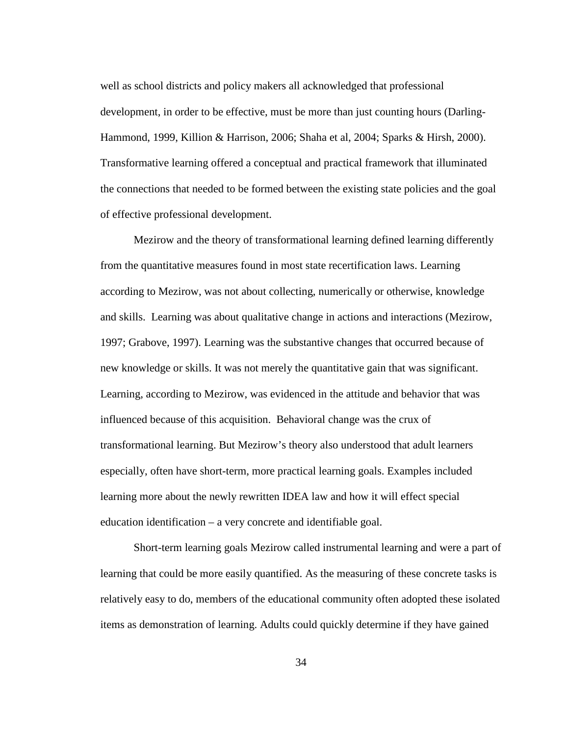well as school districts and policy makers all acknowledged that professional development, in order to be effective, must be more than just counting hours (Darling-Hammond, 1999, Killion & Harrison, 2006; Shaha et al, 2004; Sparks & Hirsh, 2000). Transformative learning offered a conceptual and practical framework that illuminated the connections that needed to be formed between the existing state policies and the goal of effective professional development.

Mezirow and the theory of transformational learning defined learning differently from the quantitative measures found in most state recertification laws. Learning according to Mezirow, was not about collecting, numerically or otherwise, knowledge and skills. Learning was about qualitative change in actions and interactions (Mezirow, 1997; Grabove, 1997). Learning was the substantive changes that occurred because of new knowledge or skills. It was not merely the quantitative gain that was significant. Learning, according to Mezirow, was evidenced in the attitude and behavior that was influenced because of this acquisition. Behavioral change was the crux of transformational learning. But Mezirow's theory also understood that adult learners especially, often have short-term, more practical learning goals. Examples included learning more about the newly rewritten IDEA law and how it will effect special education identification – a very concrete and identifiable goal.

Short-term learning goals Mezirow called instrumental learning and were a part of learning that could be more easily quantified. As the measuring of these concrete tasks is relatively easy to do, members of the educational community often adopted these isolated items as demonstration of learning. Adults could quickly determine if they have gained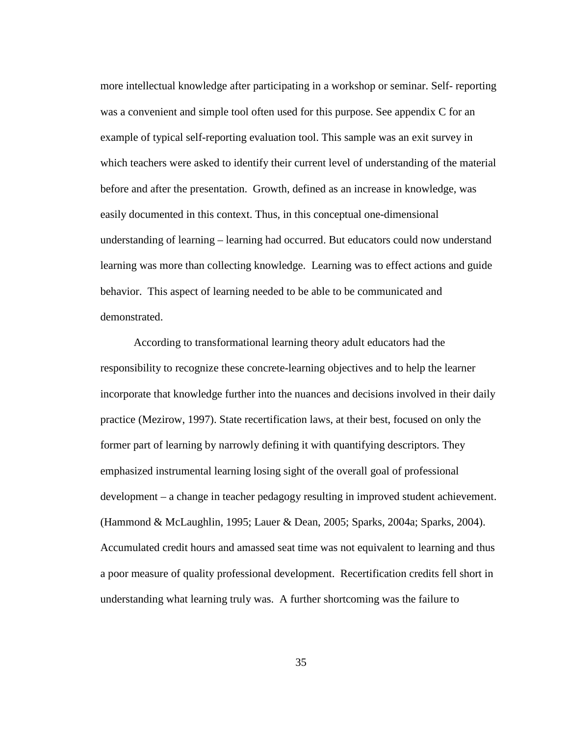more intellectual knowledge after participating in a workshop or seminar. Self- reporting was a convenient and simple tool often used for this purpose. See appendix C for an example of typical self-reporting evaluation tool. This sample was an exit survey in which teachers were asked to identify their current level of understanding of the material before and after the presentation. Growth, defined as an increase in knowledge, was easily documented in this context. Thus, in this conceptual one-dimensional understanding of learning – learning had occurred. But educators could now understand learning was more than collecting knowledge. Learning was to effect actions and guide behavior. This aspect of learning needed to be able to be communicated and demonstrated.

According to transformational learning theory adult educators had the responsibility to recognize these concrete-learning objectives and to help the learner incorporate that knowledge further into the nuances and decisions involved in their daily practice (Mezirow, 1997). State recertification laws, at their best, focused on only the former part of learning by narrowly defining it with quantifying descriptors. They emphasized instrumental learning losing sight of the overall goal of professional development – a change in teacher pedagogy resulting in improved student achievement. (Hammond & McLaughlin, 1995; Lauer & Dean, 2005; Sparks, 2004a; Sparks, 2004). Accumulated credit hours and amassed seat time was not equivalent to learning and thus a poor measure of quality professional development. Recertification credits fell short in understanding what learning truly was. A further shortcoming was the failure to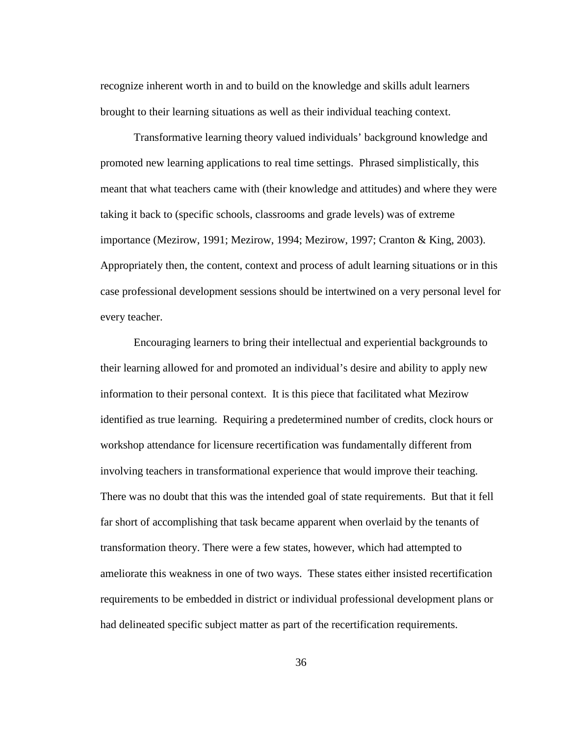recognize inherent worth in and to build on the knowledge and skills adult learners brought to their learning situations as well as their individual teaching context.

Transformative learning theory valued individuals' background knowledge and promoted new learning applications to real time settings. Phrased simplistically, this meant that what teachers came with (their knowledge and attitudes) and where they were taking it back to (specific schools, classrooms and grade levels) was of extreme importance (Mezirow, 1991; Mezirow, 1994; Mezirow, 1997; Cranton & King, 2003). Appropriately then, the content, context and process of adult learning situations or in this case professional development sessions should be intertwined on a very personal level for every teacher.

Encouraging learners to bring their intellectual and experiential backgrounds to their learning allowed for and promoted an individual's desire and ability to apply new information to their personal context. It is this piece that facilitated what Mezirow identified as true learning. Requiring a predetermined number of credits, clock hours or workshop attendance for licensure recertification was fundamentally different from involving teachers in transformational experience that would improve their teaching. There was no doubt that this was the intended goal of state requirements. But that it fell far short of accomplishing that task became apparent when overlaid by the tenants of transformation theory. There were a few states, however, which had attempted to ameliorate this weakness in one of two ways. These states either insisted recertification requirements to be embedded in district or individual professional development plans or had delineated specific subject matter as part of the recertification requirements.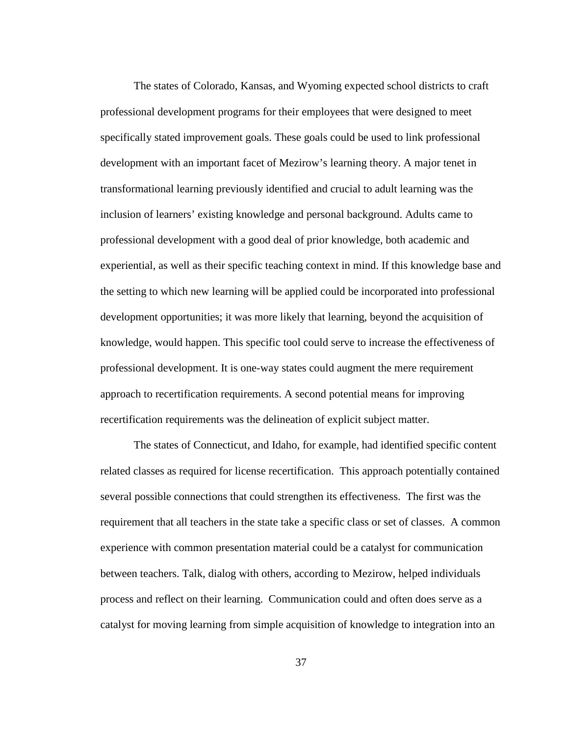The states of Colorado, Kansas, and Wyoming expected school districts to craft professional development programs for their employees that were designed to meet specifically stated improvement goals. These goals could be used to link professional development with an important facet of Mezirow's learning theory. A major tenet in transformational learning previously identified and crucial to adult learning was the inclusion of learners' existing knowledge and personal background. Adults came to professional development with a good deal of prior knowledge, both academic and experiential, as well as their specific teaching context in mind. If this knowledge base and the setting to which new learning will be applied could be incorporated into professional development opportunities; it was more likely that learning, beyond the acquisition of knowledge, would happen. This specific tool could serve to increase the effectiveness of professional development. It is one-way states could augment the mere requirement approach to recertification requirements. A second potential means for improving recertification requirements was the delineation of explicit subject matter.

The states of Connecticut, and Idaho, for example, had identified specific content related classes as required for license recertification. This approach potentially contained several possible connections that could strengthen its effectiveness. The first was the requirement that all teachers in the state take a specific class or set of classes. A common experience with common presentation material could be a catalyst for communication between teachers. Talk, dialog with others, according to Mezirow, helped individuals process and reflect on their learning. Communication could and often does serve as a catalyst for moving learning from simple acquisition of knowledge to integration into an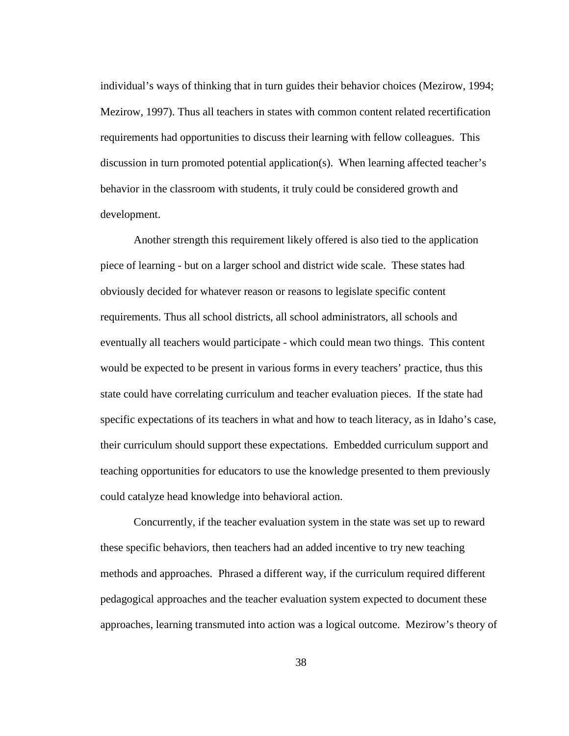individual's ways of thinking that in turn guides their behavior choices (Mezirow, 1994; Mezirow, 1997). Thus all teachers in states with common content related recertification requirements had opportunities to discuss their learning with fellow colleagues. This discussion in turn promoted potential application(s). When learning affected teacher's behavior in the classroom with students, it truly could be considered growth and development.

Another strength this requirement likely offered is also tied to the application piece of learning - but on a larger school and district wide scale. These states had obviously decided for whatever reason or reasons to legislate specific content requirements. Thus all school districts, all school administrators, all schools and eventually all teachers would participate - which could mean two things. This content would be expected to be present in various forms in every teachers' practice, thus this state could have correlating curriculum and teacher evaluation pieces. If the state had specific expectations of its teachers in what and how to teach literacy, as in Idaho's case, their curriculum should support these expectations. Embedded curriculum support and teaching opportunities for educators to use the knowledge presented to them previously could catalyze head knowledge into behavioral action.

Concurrently, if the teacher evaluation system in the state was set up to reward these specific behaviors, then teachers had an added incentive to try new teaching methods and approaches. Phrased a different way, if the curriculum required different pedagogical approaches and the teacher evaluation system expected to document these approaches, learning transmuted into action was a logical outcome. Mezirow's theory of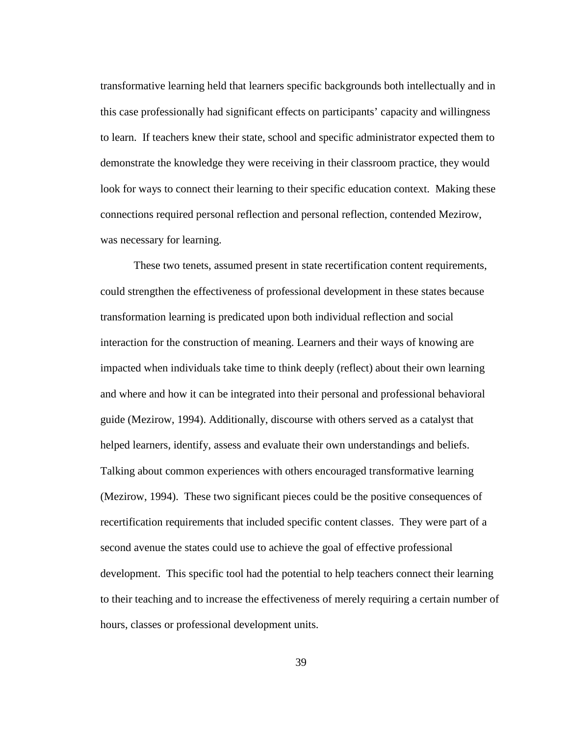transformative learning held that learners specific backgrounds both intellectually and in this case professionally had significant effects on participants' capacity and willingness to learn. If teachers knew their state, school and specific administrator expected them to demonstrate the knowledge they were receiving in their classroom practice, they would look for ways to connect their learning to their specific education context. Making these connections required personal reflection and personal reflection, contended Mezirow, was necessary for learning.

These two tenets, assumed present in state recertification content requirements, could strengthen the effectiveness of professional development in these states because transformation learning is predicated upon both individual reflection and social interaction for the construction of meaning. Learners and their ways of knowing are impacted when individuals take time to think deeply (reflect) about their own learning and where and how it can be integrated into their personal and professional behavioral guide (Mezirow, 1994). Additionally, discourse with others served as a catalyst that helped learners, identify, assess and evaluate their own understandings and beliefs. Talking about common experiences with others encouraged transformative learning (Mezirow, 1994). These two significant pieces could be the positive consequences of recertification requirements that included specific content classes. They were part of a second avenue the states could use to achieve the goal of effective professional development. This specific tool had the potential to help teachers connect their learning to their teaching and to increase the effectiveness of merely requiring a certain number of hours, classes or professional development units.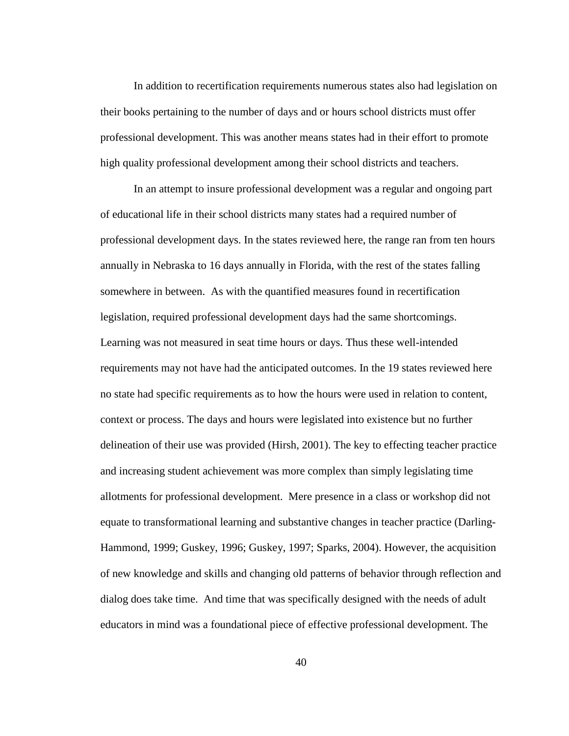In addition to recertification requirements numerous states also had legislation on their books pertaining to the number of days and or hours school districts must offer professional development. This was another means states had in their effort to promote high quality professional development among their school districts and teachers.

 In an attempt to insure professional development was a regular and ongoing part of educational life in their school districts many states had a required number of professional development days. In the states reviewed here, the range ran from ten hours annually in Nebraska to 16 days annually in Florida, with the rest of the states falling somewhere in between. As with the quantified measures found in recertification legislation, required professional development days had the same shortcomings. Learning was not measured in seat time hours or days. Thus these well-intended requirements may not have had the anticipated outcomes. In the 19 states reviewed here no state had specific requirements as to how the hours were used in relation to content, context or process. The days and hours were legislated into existence but no further delineation of their use was provided (Hirsh, 2001). The key to effecting teacher practice and increasing student achievement was more complex than simply legislating time allotments for professional development. Mere presence in a class or workshop did not equate to transformational learning and substantive changes in teacher practice (Darling-Hammond, 1999; Guskey, 1996; Guskey, 1997; Sparks, 2004). However, the acquisition of new knowledge and skills and changing old patterns of behavior through reflection and dialog does take time. And time that was specifically designed with the needs of adult educators in mind was a foundational piece of effective professional development. The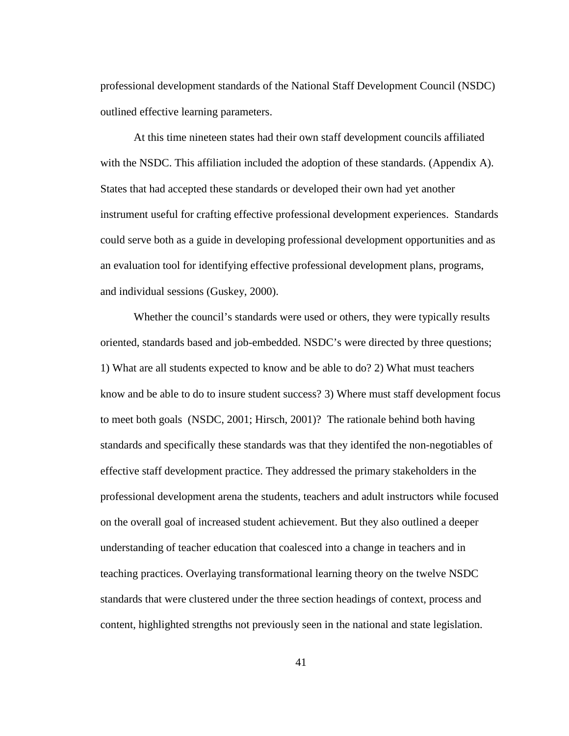professional development standards of the National Staff Development Council (NSDC) outlined effective learning parameters.

 At this time nineteen states had their own staff development councils affiliated with the NSDC. This affiliation included the adoption of these standards. (Appendix A). States that had accepted these standards or developed their own had yet another instrument useful for crafting effective professional development experiences. Standards could serve both as a guide in developing professional development opportunities and as an evaluation tool for identifying effective professional development plans, programs, and individual sessions (Guskey, 2000).

Whether the council's standards were used or others, they were typically results oriented, standards based and job-embedded. NSDC's were directed by three questions; 1) What are all students expected to know and be able to do? 2) What must teachers know and be able to do to insure student success? 3) Where must staff development focus to meet both goals(NSDC, 2001; Hirsch, 2001)? The rationale behind both having standards and specifically these standards was that they identifed the non-negotiables of effective staff development practice. They addressed the primary stakeholders in the professional development arena the students, teachers and adult instructors while focused on the overall goal of increased student achievement. But they also outlined a deeper understanding of teacher education that coalesced into a change in teachers and in teaching practices. Overlaying transformational learning theory on the twelve NSDC standards that were clustered under the three section headings of context, process and content, highlighted strengths not previously seen in the national and state legislation.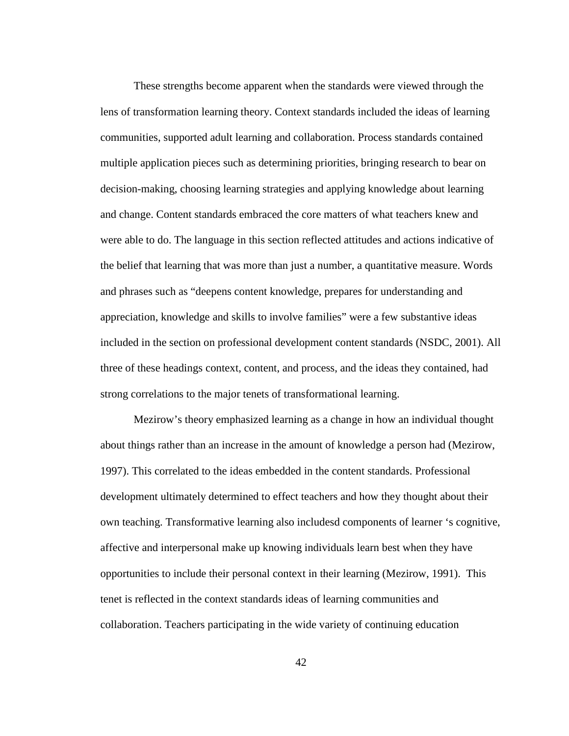These strengths become apparent when the standards were viewed through the lens of transformation learning theory. Context standards included the ideas of learning communities, supported adult learning and collaboration. Process standards contained multiple application pieces such as determining priorities, bringing research to bear on decision-making, choosing learning strategies and applying knowledge about learning and change. Content standards embraced the core matters of what teachers knew and were able to do. The language in this section reflected attitudes and actions indicative of the belief that learning that was more than just a number, a quantitative measure. Words and phrases such as "deepens content knowledge, prepares for understanding and appreciation, knowledge and skills to involve families" were a few substantive ideas included in the section on professional development content standards (NSDC, 2001). All three of these headings context, content, and process, and the ideas they contained, had strong correlations to the major tenets of transformational learning.

Mezirow's theory emphasized learning as a change in how an individual thought about things rather than an increase in the amount of knowledge a person had (Mezirow, 1997). This correlated to the ideas embedded in the content standards. Professional development ultimately determined to effect teachers and how they thought about their own teaching. Transformative learning also includesd components of learner 's cognitive, affective and interpersonal make up knowing individuals learn best when they have opportunities to include their personal context in their learning (Mezirow, 1991). This tenet is reflected in the context standards ideas of learning communities and collaboration. Teachers participating in the wide variety of continuing education

42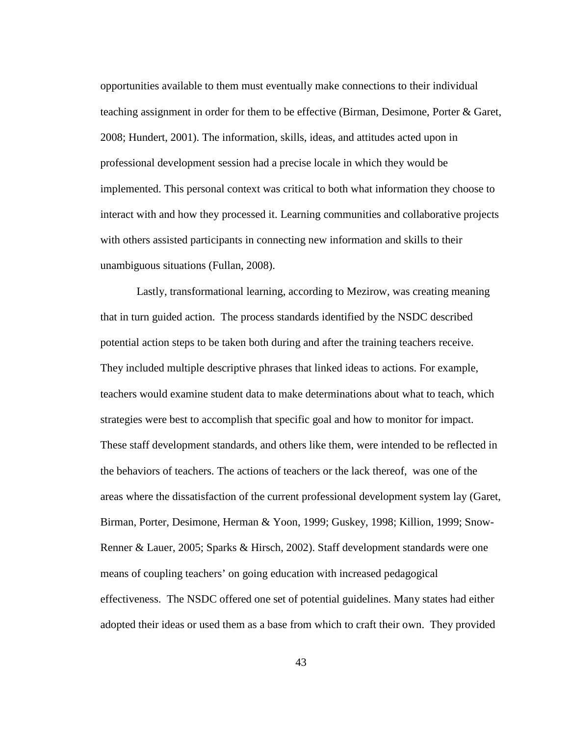opportunities available to them must eventually make connections to their individual teaching assignment in order for them to be effective (Birman, Desimone, Porter & Garet, 2008; Hundert, 2001). The information, skills, ideas, and attitudes acted upon in professional development session had a precise locale in which they would be implemented. This personal context was critical to both what information they choose to interact with and how they processed it. Learning communities and collaborative projects with others assisted participants in connecting new information and skills to their unambiguous situations (Fullan, 2008).

 Lastly, transformational learning, according to Mezirow, was creating meaning that in turn guided action. The process standards identified by the NSDC described potential action steps to be taken both during and after the training teachers receive. They included multiple descriptive phrases that linked ideas to actions. For example, teachers would examine student data to make determinations about what to teach, which strategies were best to accomplish that specific goal and how to monitor for impact. These staff development standards, and others like them, were intended to be reflected in the behaviors of teachers. The actions of teachers or the lack thereof, was one of the areas where the dissatisfaction of the current professional development system lay (Garet, Birman, Porter, Desimone, Herman & Yoon, 1999; Guskey, 1998; Killion, 1999; Snow-Renner & Lauer, 2005; Sparks & Hirsch, 2002). Staff development standards were one means of coupling teachers' on going education with increased pedagogical effectiveness. The NSDC offered one set of potential guidelines. Many states had either adopted their ideas or used them as a base from which to craft their own. They provided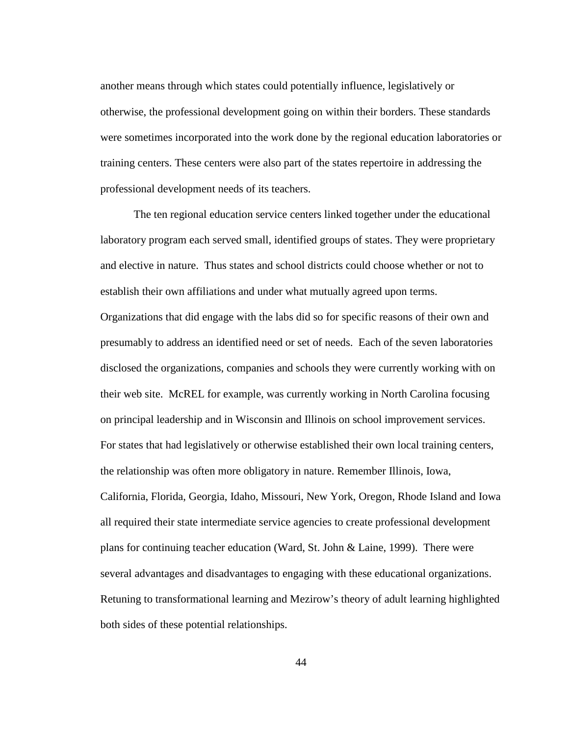another means through which states could potentially influence, legislatively or otherwise, the professional development going on within their borders. These standards were sometimes incorporated into the work done by the regional education laboratories or training centers. These centers were also part of the states repertoire in addressing the professional development needs of its teachers.

The ten regional education service centers linked together under the educational laboratory program each served small, identified groups of states. They were proprietary and elective in nature. Thus states and school districts could choose whether or not to establish their own affiliations and under what mutually agreed upon terms. Organizations that did engage with the labs did so for specific reasons of their own and presumably to address an identified need or set of needs. Each of the seven laboratories disclosed the organizations, companies and schools they were currently working with on their web site. McREL for example, was currently working in North Carolina focusing on principal leadership and in Wisconsin and Illinois on school improvement services. For states that had legislatively or otherwise established their own local training centers, the relationship was often more obligatory in nature. Remember Illinois, Iowa, California, Florida, Georgia, Idaho, Missouri, New York, Oregon, Rhode Island and Iowa all required their state intermediate service agencies to create professional development plans for continuing teacher education (Ward, St. John & Laine, 1999). There were several advantages and disadvantages to engaging with these educational organizations. Retuning to transformational learning and Mezirow's theory of adult learning highlighted both sides of these potential relationships.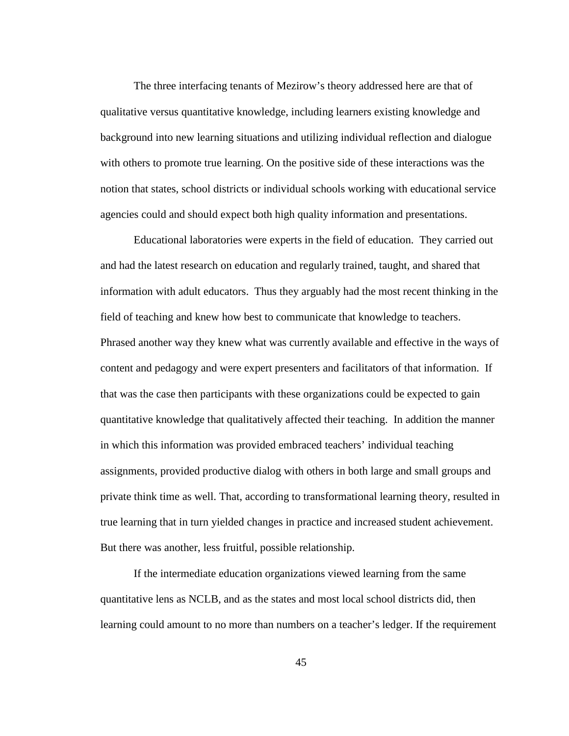The three interfacing tenants of Mezirow's theory addressed here are that of qualitative versus quantitative knowledge, including learners existing knowledge and background into new learning situations and utilizing individual reflection and dialogue with others to promote true learning. On the positive side of these interactions was the notion that states, school districts or individual schools working with educational service agencies could and should expect both high quality information and presentations.

Educational laboratories were experts in the field of education. They carried out and had the latest research on education and regularly trained, taught, and shared that information with adult educators. Thus they arguably had the most recent thinking in the field of teaching and knew how best to communicate that knowledge to teachers. Phrased another way they knew what was currently available and effective in the ways of content and pedagogy and were expert presenters and facilitators of that information. If that was the case then participants with these organizations could be expected to gain quantitative knowledge that qualitatively affected their teaching. In addition the manner in which this information was provided embraced teachers' individual teaching assignments, provided productive dialog with others in both large and small groups and private think time as well. That, according to transformational learning theory, resulted in true learning that in turn yielded changes in practice and increased student achievement. But there was another, less fruitful, possible relationship.

If the intermediate education organizations viewed learning from the same quantitative lens as NCLB, and as the states and most local school districts did, then learning could amount to no more than numbers on a teacher's ledger. If the requirement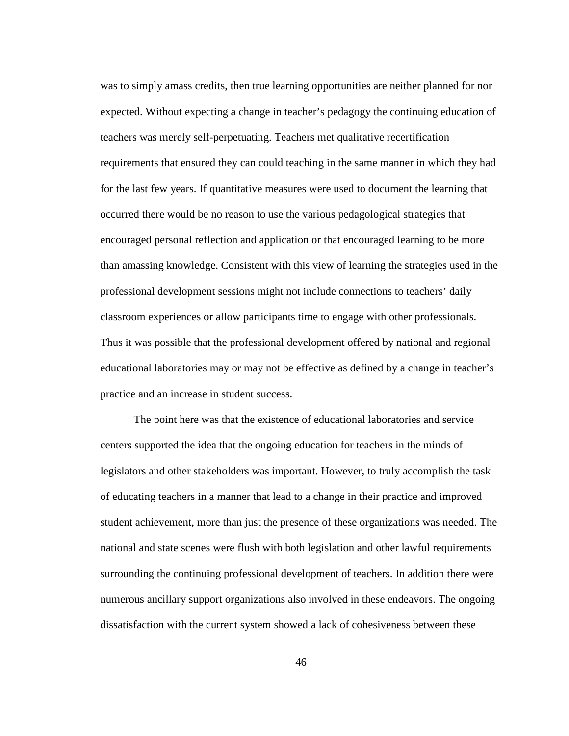was to simply amass credits, then true learning opportunities are neither planned for nor expected. Without expecting a change in teacher's pedagogy the continuing education of teachers was merely self-perpetuating. Teachers met qualitative recertification requirements that ensured they can could teaching in the same manner in which they had for the last few years. If quantitative measures were used to document the learning that occurred there would be no reason to use the various pedagological strategies that encouraged personal reflection and application or that encouraged learning to be more than amassing knowledge. Consistent with this view of learning the strategies used in the professional development sessions might not include connections to teachers' daily classroom experiences or allow participants time to engage with other professionals. Thus it was possible that the professional development offered by national and regional educational laboratories may or may not be effective as defined by a change in teacher's practice and an increase in student success.

The point here was that the existence of educational laboratories and service centers supported the idea that the ongoing education for teachers in the minds of legislators and other stakeholders was important. However, to truly accomplish the task of educating teachers in a manner that lead to a change in their practice and improved student achievement, more than just the presence of these organizations was needed. The national and state scenes were flush with both legislation and other lawful requirements surrounding the continuing professional development of teachers. In addition there were numerous ancillary support organizations also involved in these endeavors. The ongoing dissatisfaction with the current system showed a lack of cohesiveness between these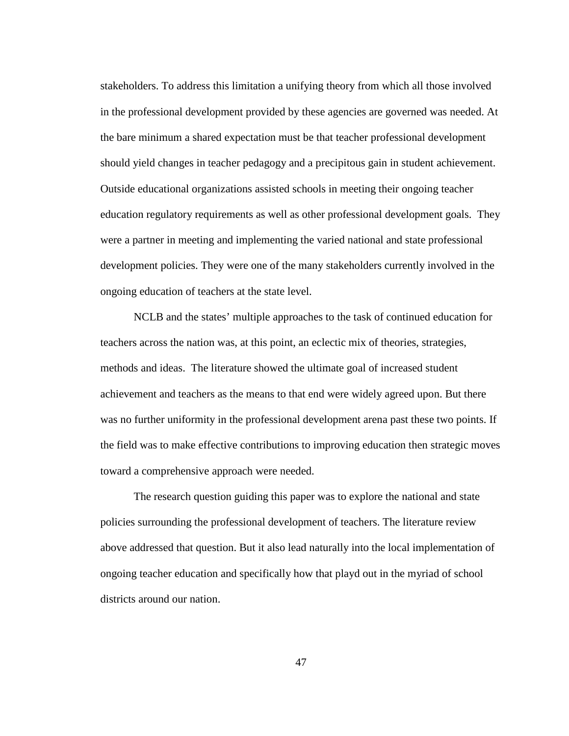stakeholders. To address this limitation a unifying theory from which all those involved in the professional development provided by these agencies are governed was needed. At the bare minimum a shared expectation must be that teacher professional development should yield changes in teacher pedagogy and a precipitous gain in student achievement. Outside educational organizations assisted schools in meeting their ongoing teacher education regulatory requirements as well as other professional development goals. They were a partner in meeting and implementing the varied national and state professional development policies. They were one of the many stakeholders currently involved in the ongoing education of teachers at the state level.

NCLB and the states' multiple approaches to the task of continued education for teachers across the nation was, at this point, an eclectic mix of theories, strategies, methods and ideas. The literature showed the ultimate goal of increased student achievement and teachers as the means to that end were widely agreed upon. But there was no further uniformity in the professional development arena past these two points. If the field was to make effective contributions to improving education then strategic moves toward a comprehensive approach were needed.

The research question guiding this paper was to explore the national and state policies surrounding the professional development of teachers. The literature review above addressed that question. But it also lead naturally into the local implementation of ongoing teacher education and specifically how that playd out in the myriad of school districts around our nation.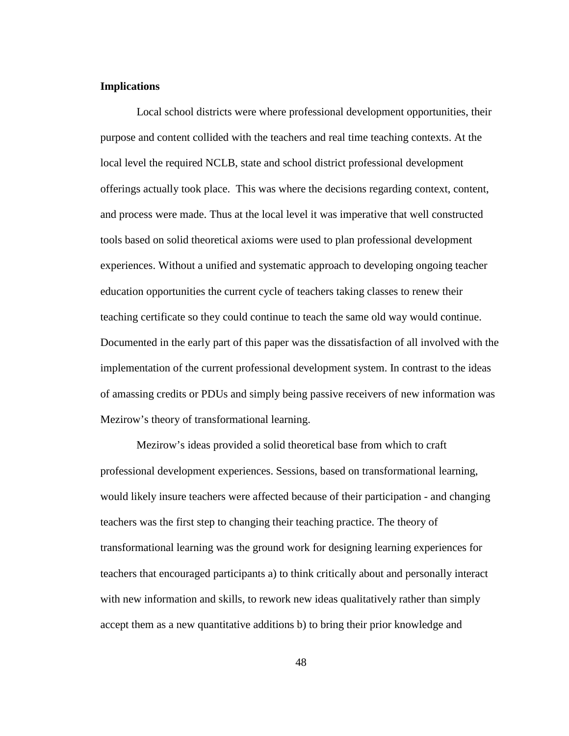## **Implications**

 Local school districts were where professional development opportunities, their purpose and content collided with the teachers and real time teaching contexts. At the local level the required NCLB, state and school district professional development offerings actually took place. This was where the decisions regarding context, content, and process were made. Thus at the local level it was imperative that well constructed tools based on solid theoretical axioms were used to plan professional development experiences. Without a unified and systematic approach to developing ongoing teacher education opportunities the current cycle of teachers taking classes to renew their teaching certificate so they could continue to teach the same old way would continue. Documented in the early part of this paper was the dissatisfaction of all involved with the implementation of the current professional development system. In contrast to the ideas of amassing credits or PDUs and simply being passive receivers of new information was Mezirow's theory of transformational learning.

 Mezirow's ideas provided a solid theoretical base from which to craft professional development experiences. Sessions, based on transformational learning, would likely insure teachers were affected because of their participation - and changing teachers was the first step to changing their teaching practice. The theory of transformational learning was the ground work for designing learning experiences for teachers that encouraged participants a) to think critically about and personally interact with new information and skills, to rework new ideas qualitatively rather than simply accept them as a new quantitative additions b) to bring their prior knowledge and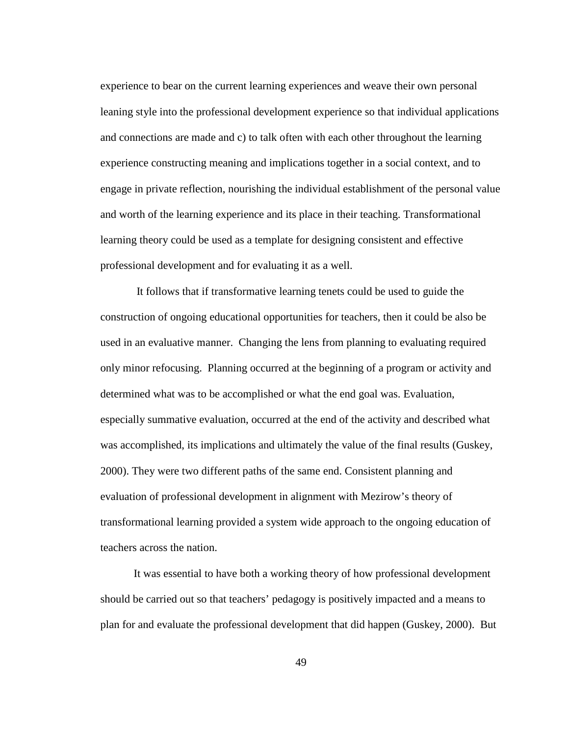experience to bear on the current learning experiences and weave their own personal leaning style into the professional development experience so that individual applications and connections are made and c) to talk often with each other throughout the learning experience constructing meaning and implications together in a social context, and to engage in private reflection, nourishing the individual establishment of the personal value and worth of the learning experience and its place in their teaching. Transformational learning theory could be used as a template for designing consistent and effective professional development and for evaluating it as a well.

 It follows that if transformative learning tenets could be used to guide the construction of ongoing educational opportunities for teachers, then it could be also be used in an evaluative manner. Changing the lens from planning to evaluating required only minor refocusing. Planning occurred at the beginning of a program or activity and determined what was to be accomplished or what the end goal was. Evaluation, especially summative evaluation, occurred at the end of the activity and described what was accomplished, its implications and ultimately the value of the final results (Guskey, 2000). They were two different paths of the same end. Consistent planning and evaluation of professional development in alignment with Mezirow's theory of transformational learning provided a system wide approach to the ongoing education of teachers across the nation.

It was essential to have both a working theory of how professional development should be carried out so that teachers' pedagogy is positively impacted and a means to plan for and evaluate the professional development that did happen (Guskey, 2000). But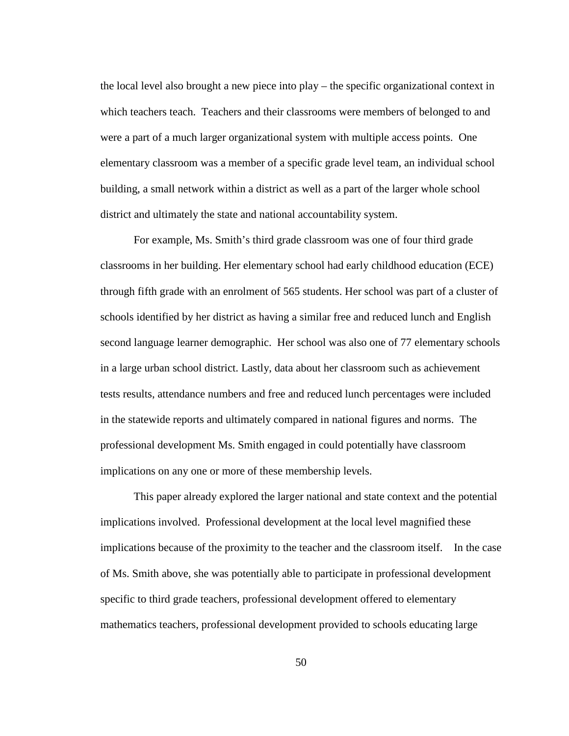the local level also brought a new piece into play – the specific organizational context in which teachers teach. Teachers and their classrooms were members of belonged to and were a part of a much larger organizational system with multiple access points. One elementary classroom was a member of a specific grade level team, an individual school building, a small network within a district as well as a part of the larger whole school district and ultimately the state and national accountability system.

For example, Ms. Smith's third grade classroom was one of four third grade classrooms in her building. Her elementary school had early childhood education (ECE) through fifth grade with an enrolment of 565 students. Her school was part of a cluster of schools identified by her district as having a similar free and reduced lunch and English second language learner demographic. Her school was also one of 77 elementary schools in a large urban school district. Lastly, data about her classroom such as achievement tests results, attendance numbers and free and reduced lunch percentages were included in the statewide reports and ultimately compared in national figures and norms. The professional development Ms. Smith engaged in could potentially have classroom implications on any one or more of these membership levels.

This paper already explored the larger national and state context and the potential implications involved. Professional development at the local level magnified these implications because of the proximity to the teacher and the classroom itself. In the case of Ms. Smith above, she was potentially able to participate in professional development specific to third grade teachers, professional development offered to elementary mathematics teachers, professional development provided to schools educating large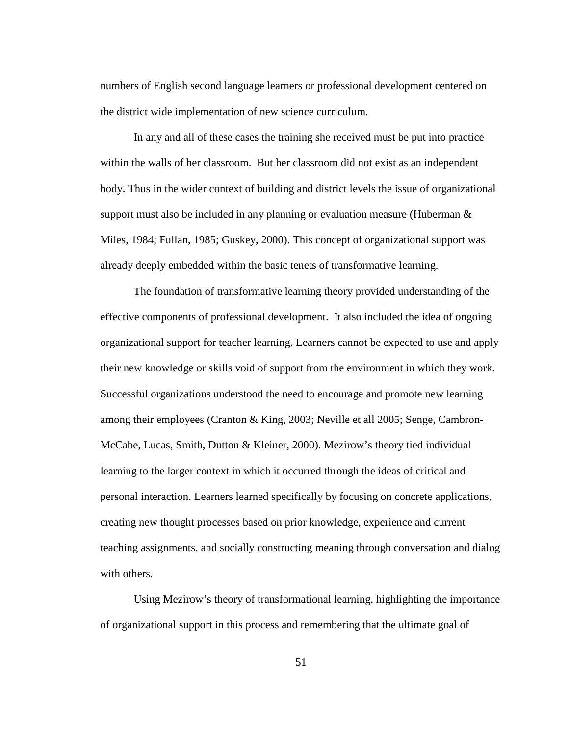numbers of English second language learners or professional development centered on the district wide implementation of new science curriculum.

In any and all of these cases the training she received must be put into practice within the walls of her classroom. But her classroom did not exist as an independent body. Thus in the wider context of building and district levels the issue of organizational support must also be included in any planning or evaluation measure (Huberman  $\&$ Miles, 1984; Fullan, 1985; Guskey, 2000). This concept of organizational support was already deeply embedded within the basic tenets of transformative learning.

The foundation of transformative learning theory provided understanding of the effective components of professional development. It also included the idea of ongoing organizational support for teacher learning. Learners cannot be expected to use and apply their new knowledge or skills void of support from the environment in which they work. Successful organizations understood the need to encourage and promote new learning among their employees (Cranton & King, 2003; Neville et all 2005; Senge, Cambron-McCabe, Lucas, Smith, Dutton & Kleiner, 2000). Mezirow's theory tied individual learning to the larger context in which it occurred through the ideas of critical and personal interaction. Learners learned specifically by focusing on concrete applications, creating new thought processes based on prior knowledge, experience and current teaching assignments, and socially constructing meaning through conversation and dialog with others.

Using Mezirow's theory of transformational learning, highlighting the importance of organizational support in this process and remembering that the ultimate goal of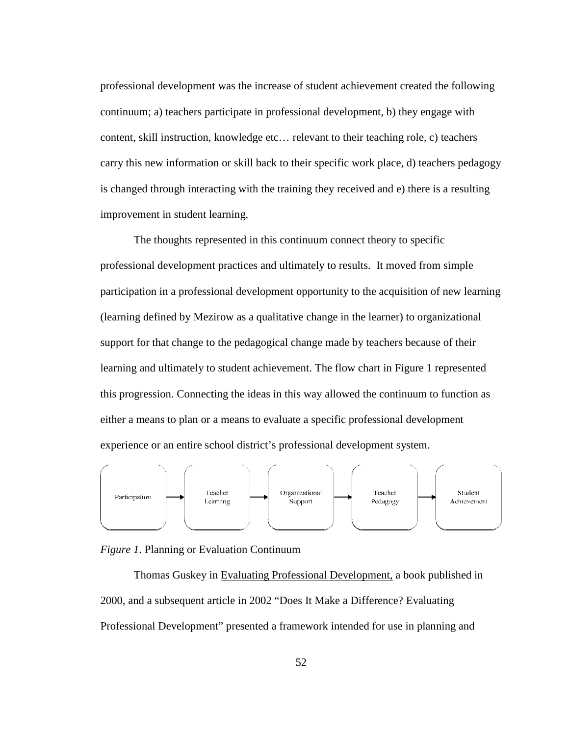professional development was the increase of student achievement created the following continuum; a) teachers participate in professional development, b) they engage with content, skill instruction, knowledge etc… relevant to their teaching role, c) teachers continuum; a) teachers participate in professional development, b) they engage with<br>content, skill instruction, knowledge etc... relevant to their teaching role, c) teachers<br>carry this new information or skill back to thei is changed through interacting with the training they received and e) there is a resulting improvement in student learning. is changed through interacting with the training they received and e) there is a result<br>
improvement in student learning.<br>
The thoughts represented in this continuum connect theory to specific<br>
professional development pra

The thoughts represented in this continuum connect theory to specific participation in a professional development opportunity to the acquisition of new learning<br>(learning defined by Mezirow as a qualitative change in the learner) to organizational<br>support for that change to the pedagogical c (learning defined by Mezirow as a qualitative change in the learner) to organizational support for that change to the pedagogical change made by teachers because of their learning and ultimately to student achievement. The flow chart in Figure 1 represented this progression. Connecting the ideas in this way allowed the continuum to function as either a means to plan or a means to evaluate a specific professional development experience or an entire school district's professional development system.



*Figure 1*. Planning or Evaluation Continuum

Thomas Guskey in Evaluating Professional Development, a book published in 2000, and a subsequent article in 2002 "Does It Make a Difference? Evaluating Professional Development" presented a framework intended for use in planning and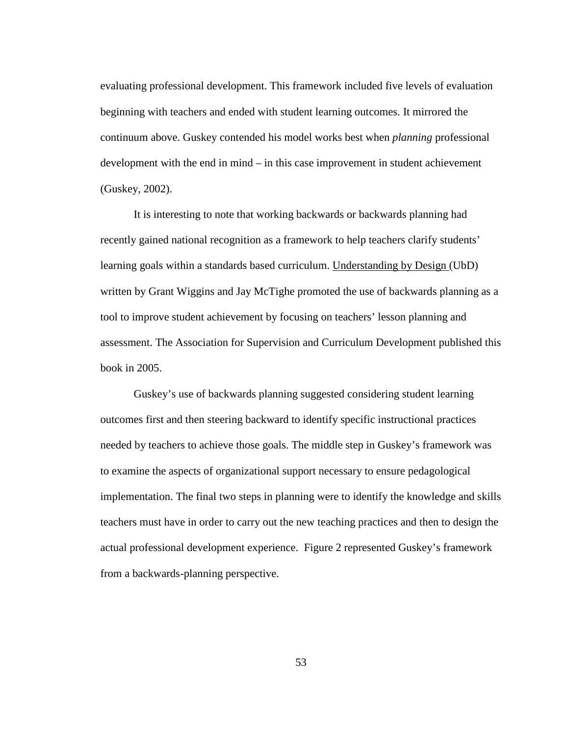evaluating professional development. This framework included five levels of evaluation beginning with teachers and ended with student learning outcomes. It mirrored the continuum above. Guskey contended his model works best when *planning* professional development with the end in mind – in this case improvement in student achievement (Guskey, 2002).

It is interesting to note that working backwards or backwards planning had recently gained national recognition as a framework to help teachers clarify students' learning goals within a standards based curriculum. Understanding by Design (UbD) written by Grant Wiggins and Jay McTighe promoted the use of backwards planning as a tool to improve student achievement by focusing on teachers' lesson planning and assessment. The Association for Supervision and Curriculum Development published this book in 2005.

Guskey's use of backwards planning suggested considering student learning outcomes first and then steering backward to identify specific instructional practices needed by teachers to achieve those goals. The middle step in Guskey's framework was to examine the aspects of organizational support necessary to ensure pedagological implementation. The final two steps in planning were to identify the knowledge and skills teachers must have in order to carry out the new teaching practices and then to design the actual professional development experience. Figure 2 represented Guskey's framework from a backwards-planning perspective.

53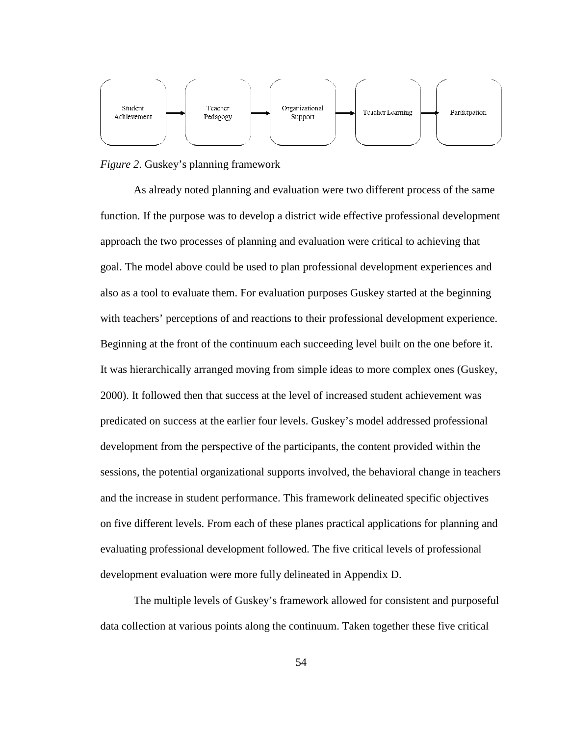

*Figure 2*. Guskey's planning framework

As already noted planning and evaluation were two different proce function. If the purpose was to develop a district wide effective professional development function. If the purpose was to develop a district wide effective professional developn<br>approach the two processes of planning and evaluation were critical to achieving that goal. The model above could be used to plan professional development experiences and also as a tool to evaluate them. For evaluation purposes Guskey started at the beginning with teachers' perceptions of and reactions to their professional development experience. Beginning at the front of the continuum each succeeding level built on the one before it. It was hierarchically arranged moving from simple ideas to more complex ones (Guskey, 2000). It followed then that success at the level of increased student achievement was predicated on success at the earlier four levels. Guskey's model addressed addressed professional development from the perspective of the participants, the content provided within the sessions, the potential organizational supports involved, the behavioral change in teachers sessions, the potential organizational supports involved, the behavioral change in teache<br>and the increase in student performance. This framework delineated specific objectives on five different levels. From each of these planes practical applications for planning and evaluating professional development followed. The five critical levels of profe development evaluation were more fully delineated in Appendix D. re two different process of the same<br>
e effective professional developmen<br>
on were critical to achieving that<br>
ional development experiences and<br>
ses Guskey started at the beginning<br>
rofessional development experience.<br>
di framework delineated specific objectives<br>anes practical applications for planning an<br>. The five critical levels of professional

The multiple levels of Guskey's framework allowed for consistent and purposeful data collection at various points along the continuum. Taken together these five critical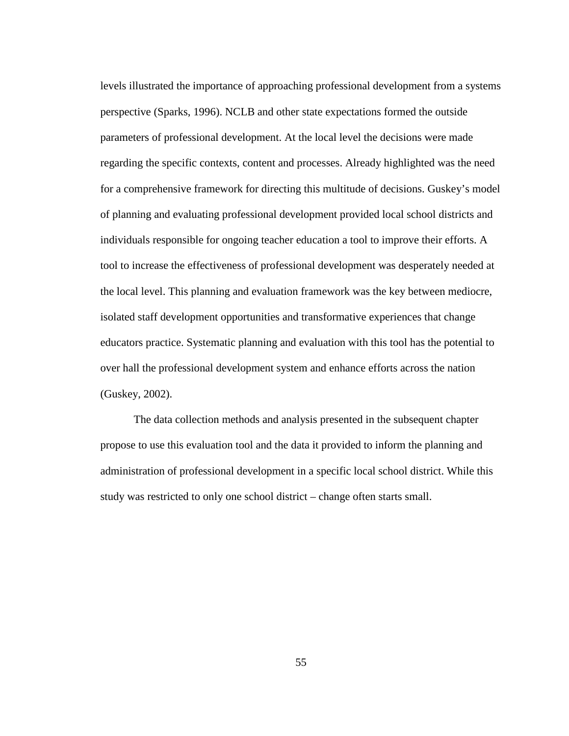levels illustrated the importance of approaching professional development from a systems perspective (Sparks, 1996). NCLB and other state expectations formed the outside parameters of professional development. At the local level the decisions were made regarding the specific contexts, content and processes. Already highlighted was the need for a comprehensive framework for directing this multitude of decisions. Guskey's model of planning and evaluating professional development provided local school districts and individuals responsible for ongoing teacher education a tool to improve their efforts. A tool to increase the effectiveness of professional development was desperately needed at the local level. This planning and evaluation framework was the key between mediocre, isolated staff development opportunities and transformative experiences that change educators practice. Systematic planning and evaluation with this tool has the potential to over hall the professional development system and enhance efforts across the nation (Guskey, 2002).

The data collection methods and analysis presented in the subsequent chapter propose to use this evaluation tool and the data it provided to inform the planning and administration of professional development in a specific local school district. While this study was restricted to only one school district – change often starts small.

55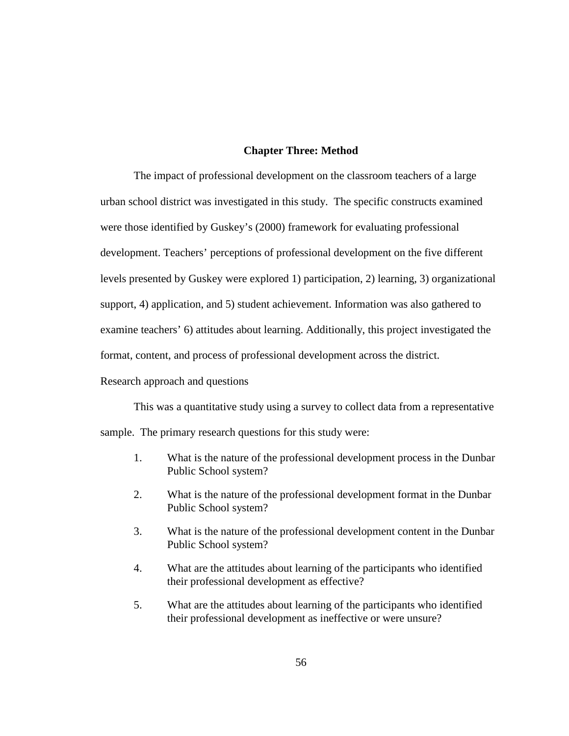## **Chapter Three: Method**

 The impact of professional development on the classroom teachers of a large urban school district was investigated in this study. The specific constructs examined were those identified by Guskey's (2000) framework for evaluating professional development. Teachers' perceptions of professional development on the five different levels presented by Guskey were explored 1) participation, 2) learning, 3) organizational support, 4) application, and 5) student achievement. Information was also gathered to examine teachers' 6) attitudes about learning. Additionally, this project investigated the format, content, and process of professional development across the district.

Research approach and questions

This was a quantitative study using a survey to collect data from a representative

sample. The primary research questions for this study were:

- 1. What is the nature of the professional development process in the Dunbar Public School system?
- 2. What is the nature of the professional development format in the Dunbar Public School system?
- 3. What is the nature of the professional development content in the Dunbar Public School system?
- 4. What are the attitudes about learning of the participants who identified their professional development as effective?
- 5. What are the attitudes about learning of the participants who identified their professional development as ineffective or were unsure?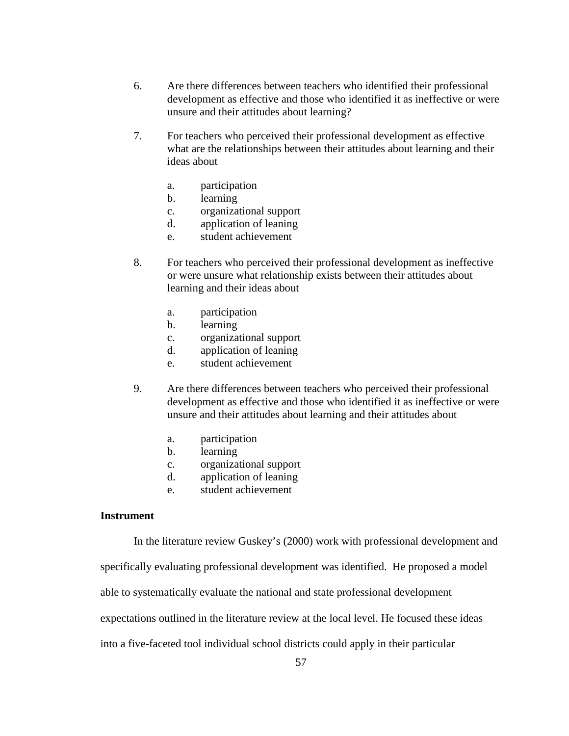- 6. Are there differences between teachers who identified their professional development as effective and those who identified it as ineffective or were unsure and their attitudes about learning?
- 7. For teachers who perceived their professional development as effective what are the relationships between their attitudes about learning and their ideas about
	- a. participation
	- b. learning
	- c. organizational support
	- d. application of leaning
	- e. student achievement
- 8. For teachers who perceived their professional development as ineffective or were unsure what relationship exists between their attitudes about learning and their ideas about
	- a. participation
	- b. learning
	- c. organizational support
	- d. application of leaning
	- e. student achievement
- 9. Are there differences between teachers who perceived their professional development as effective and those who identified it as ineffective or were unsure and their attitudes about learning and their attitudes about
	- a. participation
	- b. learning
	- c. organizational support
	- d. application of leaning
	- e. student achievement

## **Instrument**

In the literature review Guskey's (2000) work with professional development and

specifically evaluating professional development was identified. He proposed a model

able to systematically evaluate the national and state professional development

expectations outlined in the literature review at the local level. He focused these ideas

into a five-faceted tool individual school districts could apply in their particular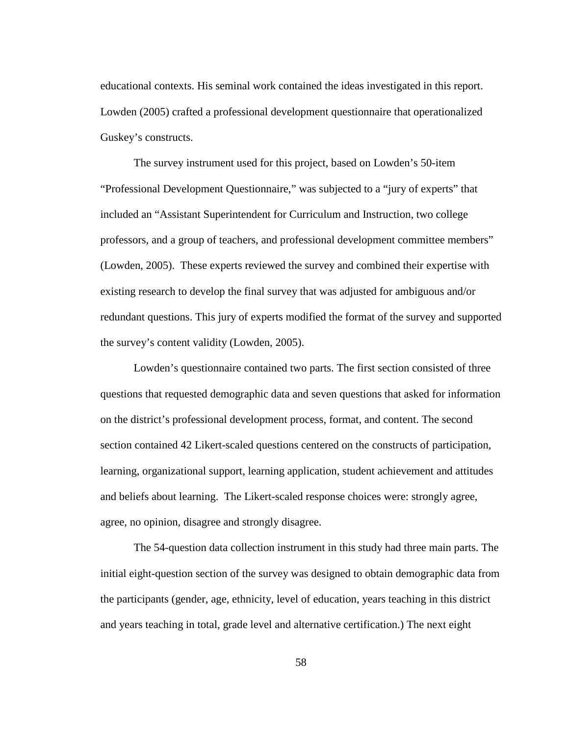educational contexts. His seminal work contained the ideas investigated in this report. Lowden (2005) crafted a professional development questionnaire that operationalized Guskey's constructs.

The survey instrument used for this project, based on Lowden's 50-item "Professional Development Questionnaire," was subjected to a "jury of experts" that included an "Assistant Superintendent for Curriculum and Instruction, two college professors, and a group of teachers, and professional development committee members" (Lowden, 2005). These experts reviewed the survey and combined their expertise with existing research to develop the final survey that was adjusted for ambiguous and/or redundant questions. This jury of experts modified the format of the survey and supported the survey's content validity (Lowden, 2005).

Lowden's questionnaire contained two parts. The first section consisted of three questions that requested demographic data and seven questions that asked for information on the district's professional development process, format, and content. The second section contained 42 Likert-scaled questions centered on the constructs of participation, learning, organizational support, learning application, student achievement and attitudes and beliefs about learning. The Likert-scaled response choices were: strongly agree, agree, no opinion, disagree and strongly disagree.

The 54-question data collection instrument in this study had three main parts. The initial eight-question section of the survey was designed to obtain demographic data from the participants (gender, age, ethnicity, level of education, years teaching in this district and years teaching in total, grade level and alternative certification.) The next eight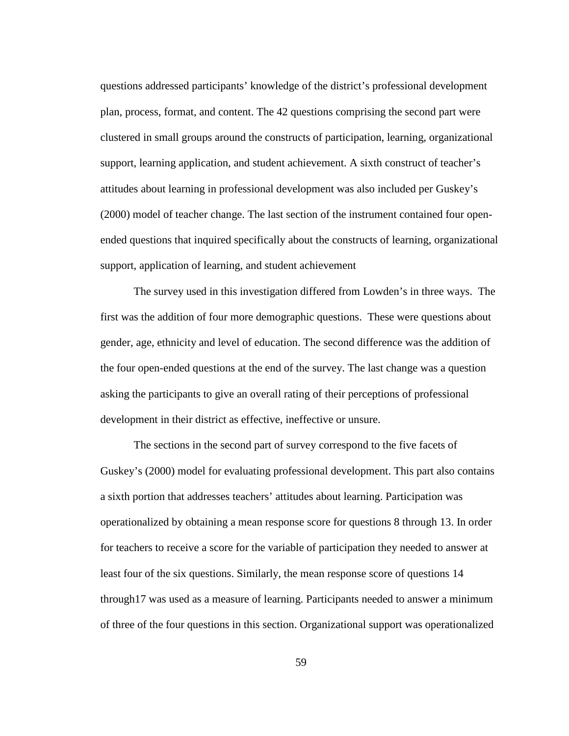questions addressed participants' knowledge of the district's professional development plan, process, format, and content. The 42 questions comprising the second part were clustered in small groups around the constructs of participation, learning, organizational support, learning application, and student achievement. A sixth construct of teacher's attitudes about learning in professional development was also included per Guskey's (2000) model of teacher change. The last section of the instrument contained four openended questions that inquired specifically about the constructs of learning, organizational support, application of learning, and student achievement

The survey used in this investigation differed from Lowden's in three ways. The first was the addition of four more demographic questions. These were questions about gender, age, ethnicity and level of education. The second difference was the addition of the four open-ended questions at the end of the survey. The last change was a question asking the participants to give an overall rating of their perceptions of professional development in their district as effective, ineffective or unsure.

The sections in the second part of survey correspond to the five facets of Guskey's (2000) model for evaluating professional development. This part also contains a sixth portion that addresses teachers' attitudes about learning. Participation was operationalized by obtaining a mean response score for questions 8 through 13. In order for teachers to receive a score for the variable of participation they needed to answer at least four of the six questions. Similarly, the mean response score of questions 14 through17 was used as a measure of learning. Participants needed to answer a minimum of three of the four questions in this section. Organizational support was operationalized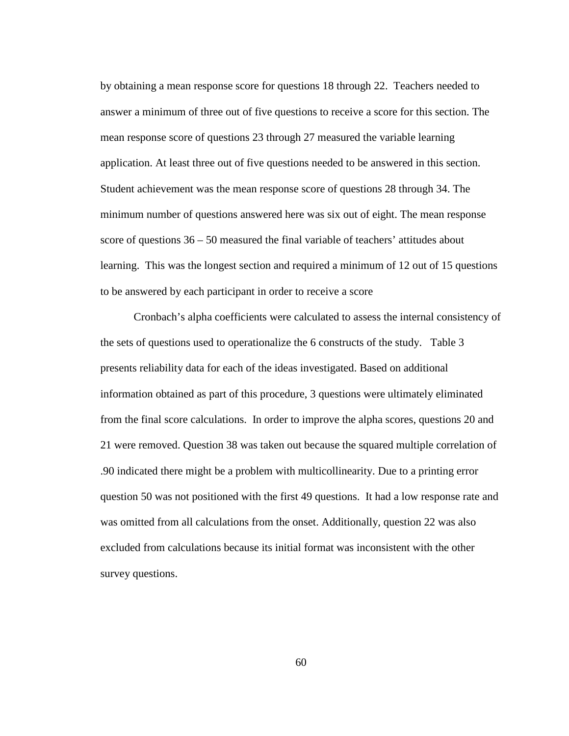by obtaining a mean response score for questions 18 through 22. Teachers needed to answer a minimum of three out of five questions to receive a score for this section. The mean response score of questions 23 through 27 measured the variable learning application. At least three out of five questions needed to be answered in this section. Student achievement was the mean response score of questions 28 through 34. The minimum number of questions answered here was six out of eight. The mean response score of questions 36 – 50 measured the final variable of teachers' attitudes about learning. This was the longest section and required a minimum of 12 out of 15 questions to be answered by each participant in order to receive a score

Cronbach's alpha coefficients were calculated to assess the internal consistency of the sets of questions used to operationalize the 6 constructs of the study. Table 3 presents reliability data for each of the ideas investigated. Based on additional information obtained as part of this procedure, 3 questions were ultimately eliminated from the final score calculations. In order to improve the alpha scores, questions 20 and 21 were removed. Question 38 was taken out because the squared multiple correlation of .90 indicated there might be a problem with multicollinearity. Due to a printing error question 50 was not positioned with the first 49 questions. It had a low response rate and was omitted from all calculations from the onset. Additionally, question 22 was also excluded from calculations because its initial format was inconsistent with the other survey questions.

60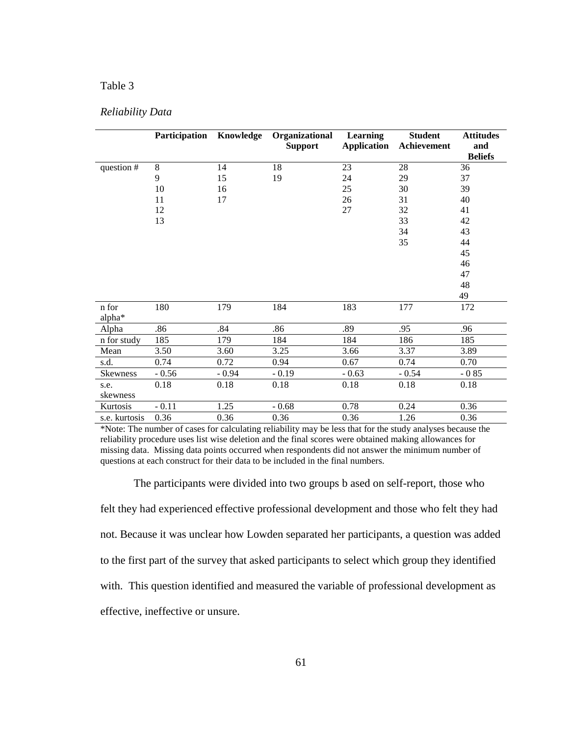## Table 3

|               | Participation Knowledge |         | Organizational<br><b>Support</b> | Learning<br>Application | <b>Student</b><br>Achievement | <b>Attitudes</b><br>and |
|---------------|-------------------------|---------|----------------------------------|-------------------------|-------------------------------|-------------------------|
|               |                         |         |                                  |                         |                               | <b>Beliefs</b>          |
| question #    | 8                       | 14      | 18                               | 23                      | 28                            | 36                      |
|               | 9                       | 15      | 19                               | 24                      | 29                            | 37                      |
|               | 10                      | 16      |                                  | 25                      | 30                            | 39                      |
|               | 11                      | 17      |                                  | 26                      | 31                            | 40                      |
|               | 12                      |         |                                  | 27                      | 32                            | 41                      |
|               | 13                      |         |                                  |                         | 33                            | 42                      |
|               |                         |         |                                  |                         | 34                            | 43                      |
|               |                         |         |                                  |                         | 35                            | 44                      |
|               |                         |         |                                  |                         |                               | 45                      |
|               |                         |         |                                  |                         |                               | 46                      |
|               |                         |         |                                  |                         |                               | 47                      |
|               |                         |         |                                  |                         |                               | 48                      |
|               |                         |         |                                  |                         |                               | 49                      |
| n for         | 180                     | 179     | 184                              | 183                     | 177                           | 172                     |
| alpha*        |                         |         |                                  |                         |                               |                         |
| Alpha         | .86                     | .84     | .86                              | .89                     | .95                           | .96                     |
| n for study   | 185                     | 179     | 184                              | 184                     | 186                           | 185                     |
| Mean          | 3.50                    | 3.60    | 3.25                             | 3.66                    | 3.37                          | 3.89                    |
| s.d.          | 0.74                    | 0.72    | 0.94                             | 0.67                    | 0.74                          | 0.70                    |
| Skewness      | $-0.56$                 | $-0.94$ | $-0.19$                          | $-0.63$                 | $-0.54$                       | $-0.85$                 |
| s.e.          | 0.18                    | 0.18    | 0.18                             | 0.18                    | 0.18                          | 0.18                    |
| skewness      |                         |         |                                  |                         |                               |                         |
| Kurtosis      | $-0.11$                 | 1.25    | $-0.68$                          | 0.78                    | 0.24                          | 0.36                    |
| s.e. kurtosis | 0.36                    | 0.36    | 0.36                             | 0.36                    | 1.26                          | 0.36                    |

\*Note: The number of cases for calculating reliability may be less that for the study analyses because the reliability procedure uses list wise deletion and the final scores were obtained making allowances for missing data. Missing data points occurred when respondents did not answer the minimum number of questions at each construct for their data to be included in the final numbers.

The participants were divided into two groups b ased on self-report, those who felt they had experienced effective professional development and those who felt they had not. Because it was unclear how Lowden separated her participants, a question was added to the first part of the survey that asked participants to select which group they identified with. This question identified and measured the variable of professional development as effective, ineffective or unsure.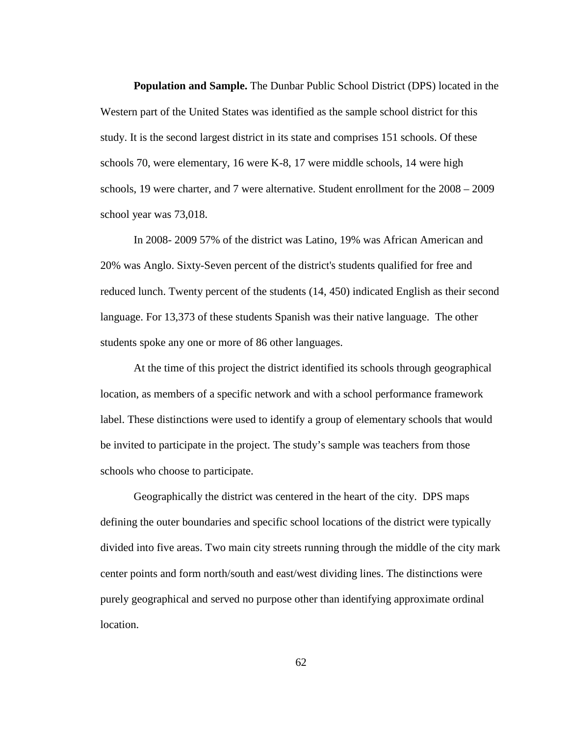**Population and Sample.** The Dunbar Public School District (DPS) located in the Western part of the United States was identified as the sample school district for this study. It is the second largest district in its state and comprises 151 schools. Of these schools 70, were elementary, 16 were K-8, 17 were middle schools, 14 were high schools, 19 were charter, and 7 were alternative. Student enrollment for the 2008 – 2009 school year was 73,018.

In 2008- 2009 57% of the district was Latino, 19% was African American and 20% was Anglo. Sixty-Seven percent of the district's students qualified for free and reduced lunch. Twenty percent of the students (14, 450) indicated English as their second language. For 13,373 of these students Spanish was their native language. The other students spoke any one or more of 86 other languages.

At the time of this project the district identified its schools through geographical location, as members of a specific network and with a school performance framework label. These distinctions were used to identify a group of elementary schools that would be invited to participate in the project. The study's sample was teachers from those schools who choose to participate.

Geographically the district was centered in the heart of the city. DPS maps defining the outer boundaries and specific school locations of the district were typically divided into five areas. Two main city streets running through the middle of the city mark center points and form north/south and east/west dividing lines. The distinctions were purely geographical and served no purpose other than identifying approximate ordinal location.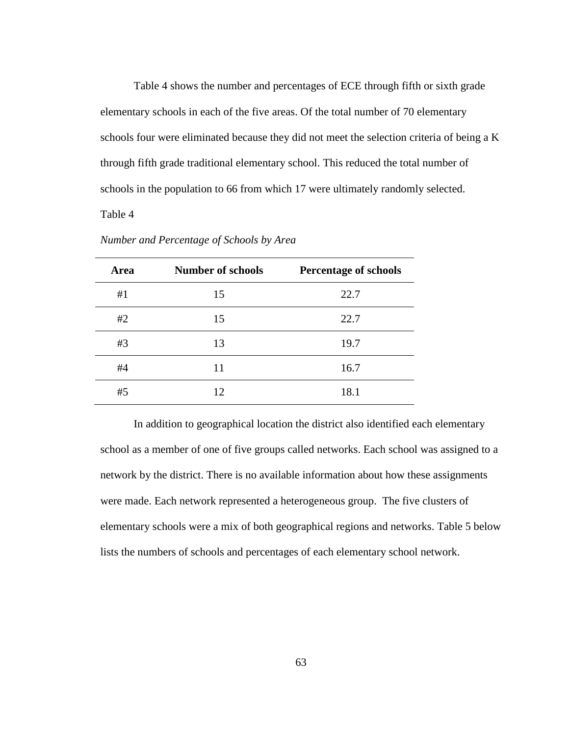Table 4 shows the number and percentages of ECE through fifth or sixth grade elementary schools in each of the five areas. Of the total number of 70 elementary schools four were eliminated because they did not meet the selection criteria of being a K through fifth grade traditional elementary school. This reduced the total number of schools in the population to 66 from which 17 were ultimately randomly selected. Table 4

| Area | <b>Number of schools</b> | <b>Percentage of schools</b> |
|------|--------------------------|------------------------------|
| #1   | 15                       | 22.7                         |
| #2   | 15                       | 22.7                         |
| #3   | 13                       | 19.7                         |
| #4   | 11                       | 16.7                         |
| #5   | 12                       | 18.1                         |

*Number and Percentage of Schools by Area* 

 In addition to geographical location the district also identified each elementary school as a member of one of five groups called networks. Each school was assigned to a network by the district. There is no available information about how these assignments were made. Each network represented a heterogeneous group. The five clusters of elementary schools were a mix of both geographical regions and networks. Table 5 below lists the numbers of schools and percentages of each elementary school network.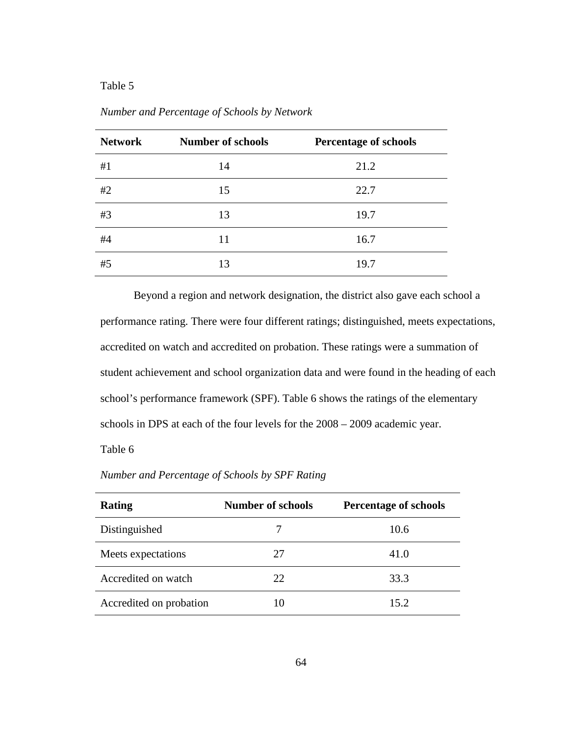| <b>Network</b> | <b>Number of schools</b> | <b>Percentage of schools</b> |
|----------------|--------------------------|------------------------------|
| #1             | 14                       | 21.2                         |
| #2             | 15                       | 22.7                         |
| #3             | 13                       | 19.7                         |
| #4             | 11                       | 16.7                         |
| #5             | 13                       | 19.7                         |

*Number and Percentage of Schools by Network* 

Beyond a region and network designation, the district also gave each school a performance rating. There were four different ratings; distinguished, meets expectations, accredited on watch and accredited on probation. These ratings were a summation of student achievement and school organization data and were found in the heading of each school's performance framework (SPF). Table 6 shows the ratings of the elementary schools in DPS at each of the four levels for the 2008 – 2009 academic year.

Table 6

*Number and Percentage of Schools by SPF Rating* 

| Rating                  | <b>Number of schools</b> | <b>Percentage of schools</b> |  |  |
|-------------------------|--------------------------|------------------------------|--|--|
| Distinguished           |                          | 10.6                         |  |  |
| Meets expectations      | 27                       | 41.0                         |  |  |
| Accredited on watch     | 22                       | 33.3                         |  |  |
| Accredited on probation | 10                       | 15.2                         |  |  |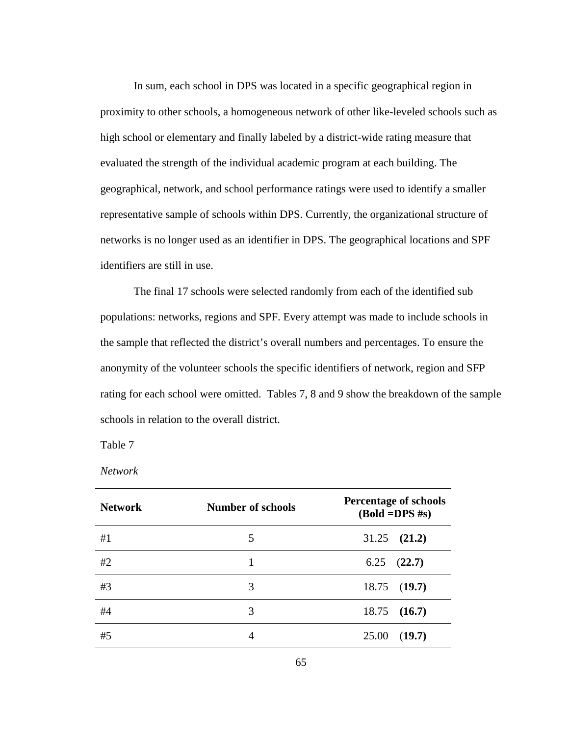In sum, each school in DPS was located in a specific geographical region in proximity to other schools, a homogeneous network of other like-leveled schools such as high school or elementary and finally labeled by a district-wide rating measure that evaluated the strength of the individual academic program at each building. The geographical, network, and school performance ratings were used to identify a smaller representative sample of schools within DPS. Currently, the organizational structure of networks is no longer used as an identifier in DPS. The geographical locations and SPF identifiers are still in use.

 The final 17 schools were selected randomly from each of the identified sub populations: networks, regions and SPF. Every attempt was made to include schools in the sample that reflected the district's overall numbers and percentages. To ensure the anonymity of the volunteer schools the specific identifiers of network, region and SFP rating for each school were omitted. Tables 7, 8 and 9 show the breakdown of the sample schools in relation to the overall district.

Table 7

*Network* 

| <b>Network</b> | <b>Number of schools</b> | <b>Percentage of schools</b><br>$(Bold = DPS #s)$ |  |
|----------------|--------------------------|---------------------------------------------------|--|
| #1             | 5                        | $31.25$ $(21.2)$                                  |  |
| #2             |                          | 6.25<br>(22.7)                                    |  |
| #3             | 3                        | $18.75$ (19.7)                                    |  |
| #4             | 3                        | $18.75$ (16.7)                                    |  |
| #5             | 4                        | 25.00<br>(19.7)                                   |  |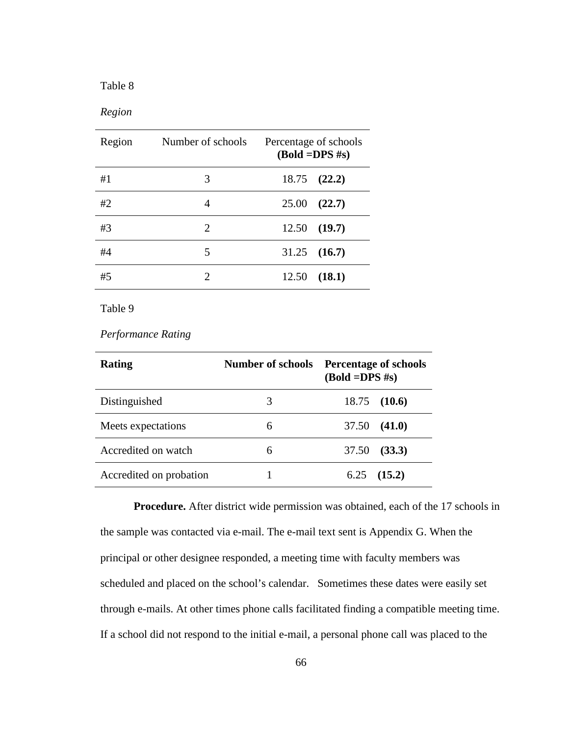## *Region*

| Region | Number of schools           | Percentage of schools<br>$(Bold = DPS #s)$ |  |
|--------|-----------------------------|--------------------------------------------|--|
| #1     | 3                           | $18.75$ $(22.2)$                           |  |
| #2     | 4                           | 25.00<br>(22.7)                            |  |
| #3     | 2                           | $12.50$ (19.7)                             |  |
| #4     | 5                           | $31.25$ $(16.7)$                           |  |
| #5     | $\mathcal{D}_{\mathcal{L}}$ | (18.1)<br>12.50                            |  |

Table 9

## *Performance Rating*

| Rating                  | Number of schools | <b>Percentage of schools</b><br>$(Bold = DPS #s)$ |  |  |
|-------------------------|-------------------|---------------------------------------------------|--|--|
| Distinguished           | 3                 | 18.75<br>(10.6)                                   |  |  |
| Meets expectations      | 6                 | 37.50<br>(41.0)                                   |  |  |
| Accredited on watch     | 6                 | 37.50<br>(33.3)                                   |  |  |
| Accredited on probation |                   | (15.2)<br>6.25                                    |  |  |

**Procedure.** After district wide permission was obtained, each of the 17 schools in the sample was contacted via e-mail. The e-mail text sent is Appendix G. When the principal or other designee responded, a meeting time with faculty members was scheduled and placed on the school's calendar. Sometimes these dates were easily set through e-mails. At other times phone calls facilitated finding a compatible meeting time. If a school did not respond to the initial e-mail, a personal phone call was placed to the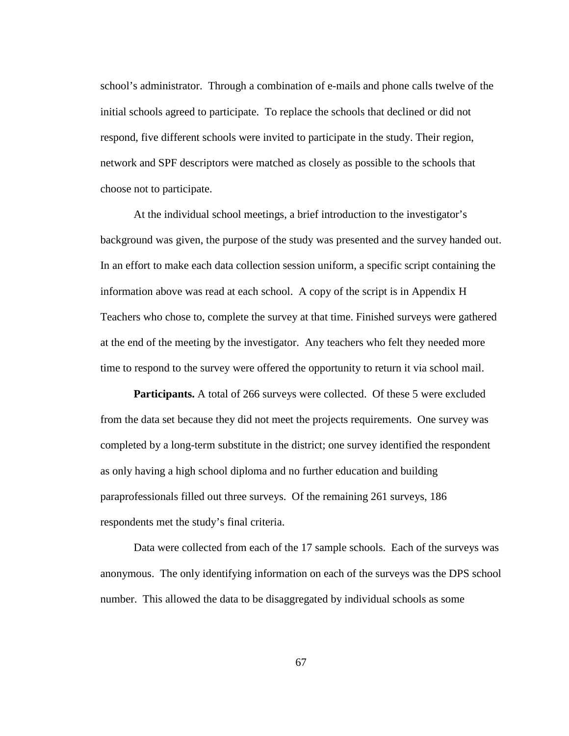school's administrator. Through a combination of e-mails and phone calls twelve of the initial schools agreed to participate. To replace the schools that declined or did not respond, five different schools were invited to participate in the study. Their region, network and SPF descriptors were matched as closely as possible to the schools that choose not to participate.

At the individual school meetings, a brief introduction to the investigator's background was given, the purpose of the study was presented and the survey handed out. In an effort to make each data collection session uniform, a specific script containing the information above was read at each school. A copy of the script is in Appendix H Teachers who chose to, complete the survey at that time. Finished surveys were gathered at the end of the meeting by the investigator. Any teachers who felt they needed more time to respond to the survey were offered the opportunity to return it via school mail.

**Participants.** A total of 266 surveys were collected. Of these 5 were excluded from the data set because they did not meet the projects requirements. One survey was completed by a long-term substitute in the district; one survey identified the respondent as only having a high school diploma and no further education and building paraprofessionals filled out three surveys. Of the remaining 261 surveys, 186 respondents met the study's final criteria.

Data were collected from each of the 17 sample schools. Each of the surveys was anonymous. The only identifying information on each of the surveys was the DPS school number. This allowed the data to be disaggregated by individual schools as some

67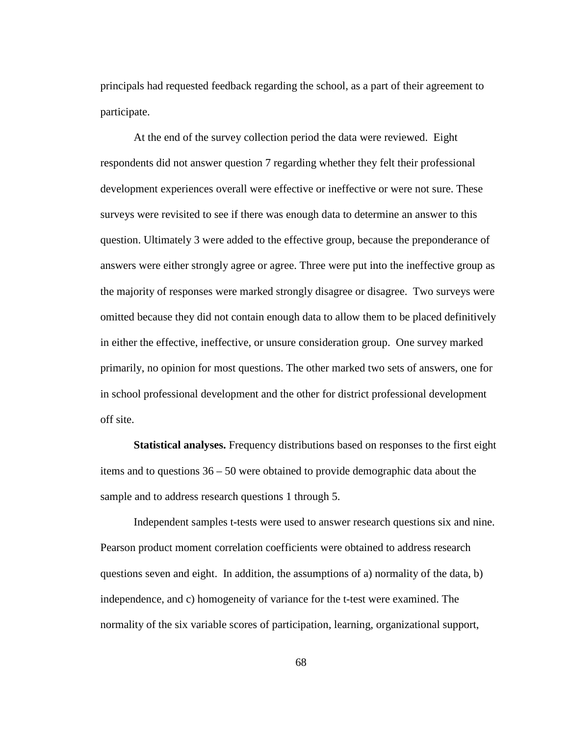principals had requested feedback regarding the school, as a part of their agreement to participate.

 At the end of the survey collection period the data were reviewed. Eight respondents did not answer question 7 regarding whether they felt their professional development experiences overall were effective or ineffective or were not sure. These surveys were revisited to see if there was enough data to determine an answer to this question. Ultimately 3 were added to the effective group, because the preponderance of answers were either strongly agree or agree. Three were put into the ineffective group as the majority of responses were marked strongly disagree or disagree. Two surveys were omitted because they did not contain enough data to allow them to be placed definitively in either the effective, ineffective, or unsure consideration group. One survey marked primarily, no opinion for most questions. The other marked two sets of answers, one for in school professional development and the other for district professional development off site.

**Statistical analyses.** Frequency distributions based on responses to the first eight items and to questions 36 – 50 were obtained to provide demographic data about the sample and to address research questions 1 through 5.

Independent samples t-tests were used to answer research questions six and nine. Pearson product moment correlation coefficients were obtained to address research questions seven and eight. In addition, the assumptions of a) normality of the data, b) independence, and c) homogeneity of variance for the t-test were examined. The normality of the six variable scores of participation, learning, organizational support,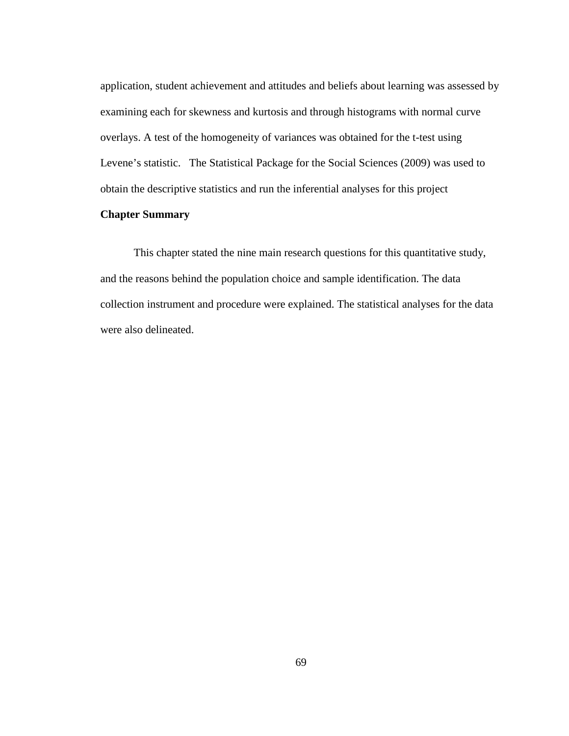application, student achievement and attitudes and beliefs about learning was assessed by examining each for skewness and kurtosis and through histograms with normal curve overlays. A test of the homogeneity of variances was obtained for the t-test using Levene's statistic. The Statistical Package for the Social Sciences (2009) was used to obtain the descriptive statistics and run the inferential analyses for this project

## **Chapter Summary**

 This chapter stated the nine main research questions for this quantitative study, and the reasons behind the population choice and sample identification. The data collection instrument and procedure were explained. The statistical analyses for the data were also delineated.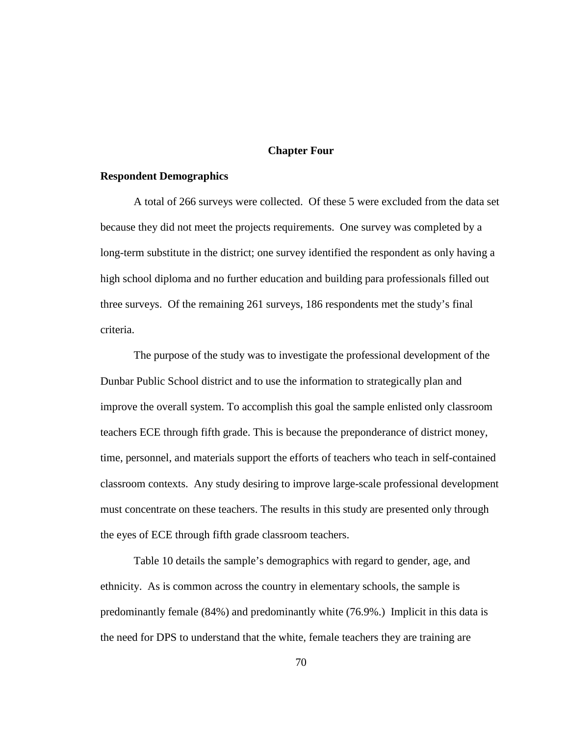## **Chapter Four**

#### **Respondent Demographics**

A total of 266 surveys were collected. Of these 5 were excluded from the data set because they did not meet the projects requirements. One survey was completed by a long-term substitute in the district; one survey identified the respondent as only having a high school diploma and no further education and building para professionals filled out three surveys. Of the remaining 261 surveys, 186 respondents met the study's final criteria.

The purpose of the study was to investigate the professional development of the Dunbar Public School district and to use the information to strategically plan and improve the overall system. To accomplish this goal the sample enlisted only classroom teachers ECE through fifth grade. This is because the preponderance of district money, time, personnel, and materials support the efforts of teachers who teach in self-contained classroom contexts. Any study desiring to improve large-scale professional development must concentrate on these teachers. The results in this study are presented only through the eyes of ECE through fifth grade classroom teachers.

Table 10 details the sample's demographics with regard to gender, age, and ethnicity. As is common across the country in elementary schools, the sample is predominantly female (84%) and predominantly white (76.9%.) Implicit in this data is the need for DPS to understand that the white, female teachers they are training are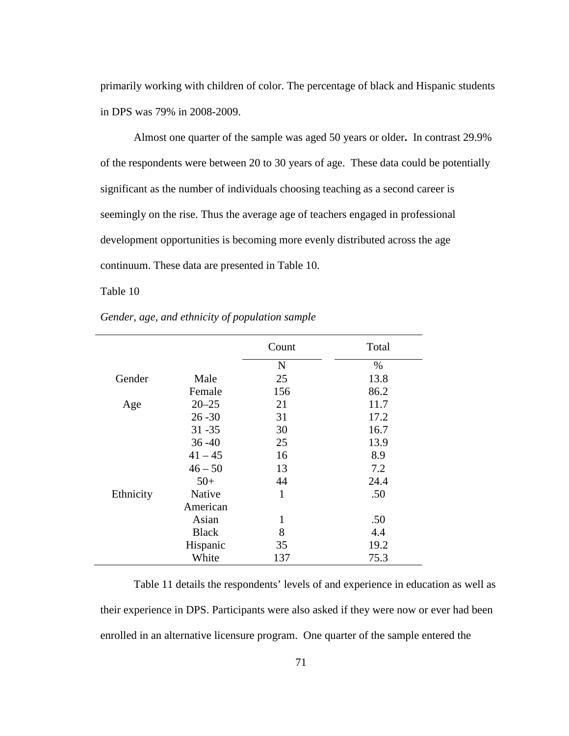primarily working with children of color. The percentage of black and Hispanic students in DPS was 79% in 2008-2009.

Almost one quarter of the sample was aged 50 years or older**.** In contrast 29.9% of the respondents were between 20 to 30 years of age. These data could be potentially significant as the number of individuals choosing teaching as a second career is seemingly on the rise. Thus the average age of teachers engaged in professional development opportunities is becoming more evenly distributed across the age continuum. These data are presented in Table 10.

Table 10

|           |              | Count        | Total |
|-----------|--------------|--------------|-------|
|           |              | $\mathbf N$  | %     |
| Gender    | Male         | 25           | 13.8  |
|           | Female       | 156          | 86.2  |
| Age       | $20 - 25$    | 21           | 11.7  |
|           | $26 - 30$    | 31           | 17.2  |
|           | $31 - 35$    | 30           | 16.7  |
|           | $36 - 40$    | 25           | 13.9  |
|           | $41 - 45$    | 16           | 8.9   |
|           | $46 - 50$    | 13           | 7.2   |
|           | $50+$        | 44           | 24.4  |
| Ethnicity | Native       | $\mathbf{1}$ | .50   |
|           | American     |              |       |
|           | Asian        | 1            | .50   |
|           | <b>Black</b> | 8            | 4.4   |
|           | Hispanic     | 35           | 19.2  |
|           | White        | 137          | 75.3  |

*Gender, age, and ethnicity of population sample* 

Table 11 details the respondents' levels of and experience in education as well as their experience in DPS. Participants were also asked if they were now or ever had been enrolled in an alternative licensure program. One quarter of the sample entered the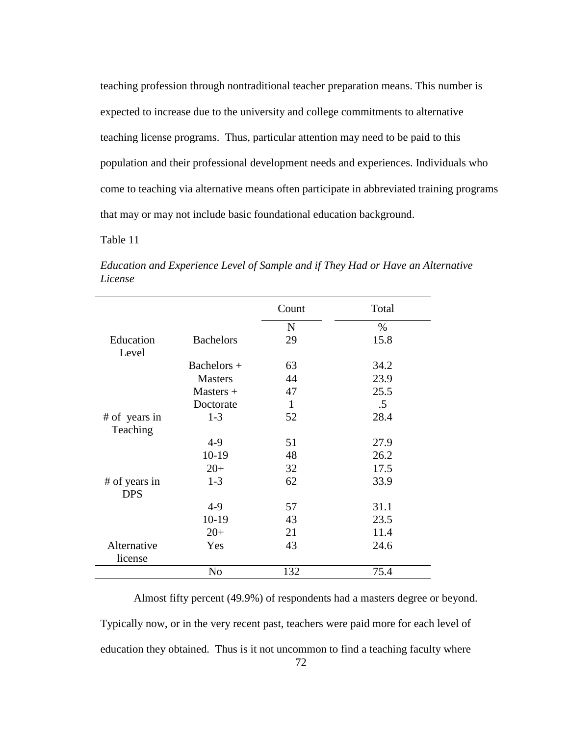teaching profession through nontraditional teacher preparation means. This number is expected to increase due to the university and college commitments to alternative teaching license programs. Thus, particular attention may need to be paid to this population and their professional development needs and experiences. Individuals who come to teaching via alternative means often participate in abbreviated training programs that may or may not include basic foundational education background.

Table 11

|               |                  | Count       | Total  |
|---------------|------------------|-------------|--------|
|               |                  | $\mathbf N$ | $\%$   |
| Education     | <b>Bachelors</b> | 29          | 15.8   |
| Level         |                  |             |        |
|               | Bachelors $+$    | 63          | 34.2   |
|               | <b>Masters</b>   | 44          | 23.9   |
|               | $Masters +$      | 47          | 25.5   |
|               | Doctorate        | 1           | $.5\,$ |
| # of years in | $1-3$            | 52          | 28.4   |
| Teaching      |                  |             |        |
|               | $4-9$            | 51          | 27.9   |
|               | $10-19$          | 48          | 26.2   |
|               | $20+$            | 32          | 17.5   |
| # of years in | $1 - 3$          | 62          | 33.9   |
| <b>DPS</b>    |                  |             |        |
|               | $4-9$            | 57          | 31.1   |
|               | $10-19$          | 43          | 23.5   |
|               | $20+$            | 21          | 11.4   |
| Alternative   | Yes              | 43          | 24.6   |
| license       |                  |             |        |
|               | N <sub>o</sub>   | 132         | 75.4   |

*Education and Experience Level of Sample and if They Had or Have an Alternative License* 

Almost fifty percent (49.9%) of respondents had a masters degree or beyond. Typically now, or in the very recent past, teachers were paid more for each level of education they obtained. Thus is it not uncommon to find a teaching faculty where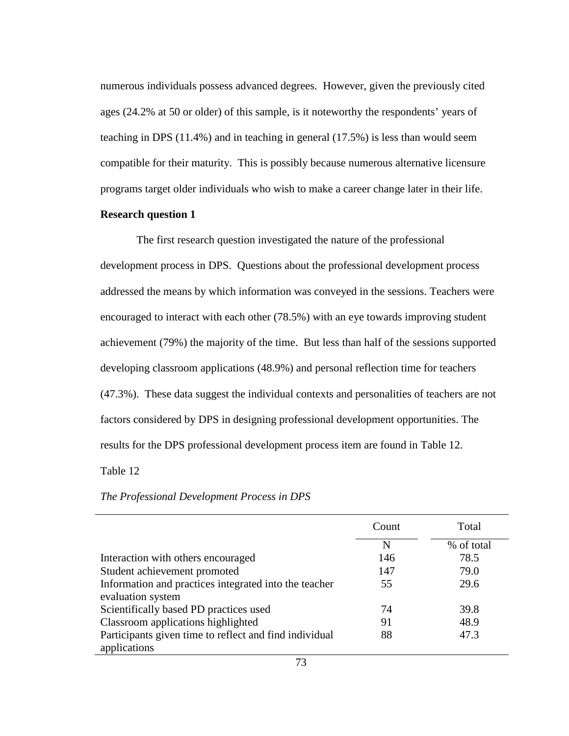numerous individuals possess advanced degrees. However, given the previously cited ages (24.2% at 50 or older) of this sample, is it noteworthy the respondents' years of teaching in DPS (11.4%) and in teaching in general (17.5%) is less than would seem compatible for their maturity. This is possibly because numerous alternative licensure programs target older individuals who wish to make a career change later in their life.

## **Research question 1**

 The first research question investigated the nature of the professional development process in DPS. Questions about the professional development process addressed the means by which information was conveyed in the sessions. Teachers were encouraged to interact with each other (78.5%) with an eye towards improving student achievement (79%) the majority of the time. But less than half of the sessions supported developing classroom applications (48.9%) and personal reflection time for teachers (47.3%). These data suggest the individual contexts and personalities of teachers are not factors considered by DPS in designing professional development opportunities. The results for the DPS professional development process item are found in Table 12.

### Table 12

## *The Professional Development Process in DPS*

|                                                        | Count | Total      |
|--------------------------------------------------------|-------|------------|
|                                                        | N     | % of total |
| Interaction with others encouraged                     | 146   | 78.5       |
| Student achievement promoted                           | 147   | 79.0       |
| Information and practices integrated into the teacher  | 55    | 29.6       |
| evaluation system                                      |       |            |
| Scientifically based PD practices used                 | 74    | 39.8       |
| Classroom applications highlighted                     | 91    | 48.9       |
| Participants given time to reflect and find individual | 88    | 47.3       |
| applications                                           |       |            |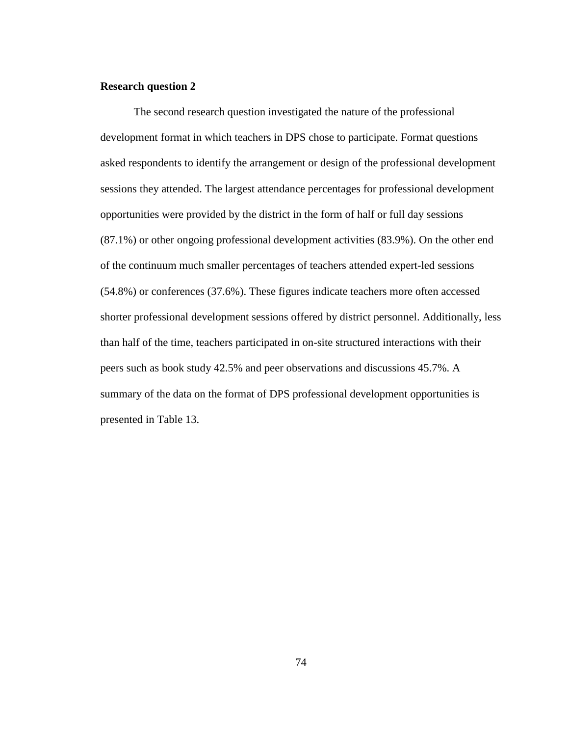#### **Research question 2**

The second research question investigated the nature of the professional development format in which teachers in DPS chose to participate. Format questions asked respondents to identify the arrangement or design of the professional development sessions they attended. The largest attendance percentages for professional development opportunities were provided by the district in the form of half or full day sessions (87.1%) or other ongoing professional development activities (83.9%). On the other end of the continuum much smaller percentages of teachers attended expert-led sessions (54.8%) or conferences (37.6%). These figures indicate teachers more often accessed shorter professional development sessions offered by district personnel. Additionally, less than half of the time, teachers participated in on-site structured interactions with their peers such as book study 42.5% and peer observations and discussions 45.7%. A summary of the data on the format of DPS professional development opportunities is presented in Table 13.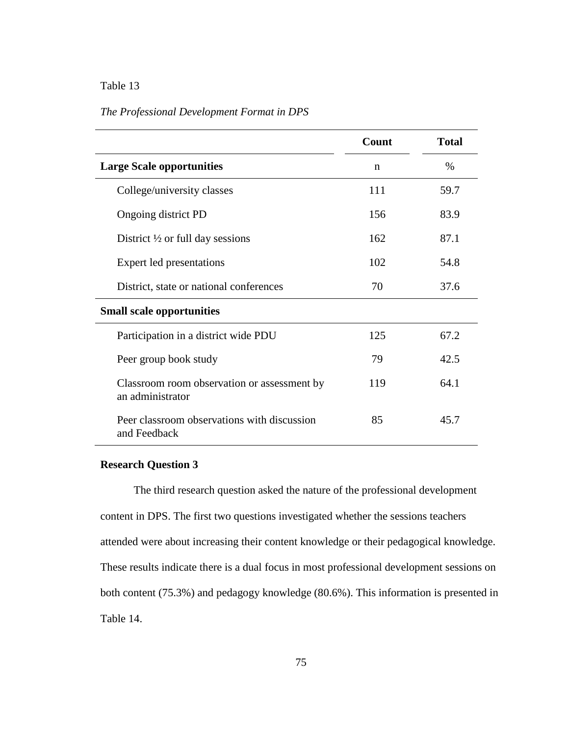## *The Professional Development Format in DPS*

|                                                                 | Count | <b>Total</b> |
|-----------------------------------------------------------------|-------|--------------|
| <b>Large Scale opportunities</b>                                | n     | $\%$         |
| College/university classes                                      | 111   | 59.7         |
| Ongoing district PD                                             | 156   | 83.9         |
| District $\frac{1}{2}$ or full day sessions                     | 162   | 87.1         |
| Expert led presentations                                        | 102   | 54.8         |
| District, state or national conferences                         | 70    | 37.6         |
| <b>Small scale opportunities</b>                                |       |              |
| Participation in a district wide PDU                            | 125   | 67.2         |
| Peer group book study                                           | 79    | 42.5         |
| Classroom room observation or assessment by<br>an administrator | 119   | 64.1         |
| Peer classroom observations with discussion<br>and Feedback     | 85    | 45.7         |

#### **Research Question 3**

 The third research question asked the nature of the professional development content in DPS. The first two questions investigated whether the sessions teachers attended were about increasing their content knowledge or their pedagogical knowledge. These results indicate there is a dual focus in most professional development sessions on both content (75.3%) and pedagogy knowledge (80.6%). This information is presented in Table 14.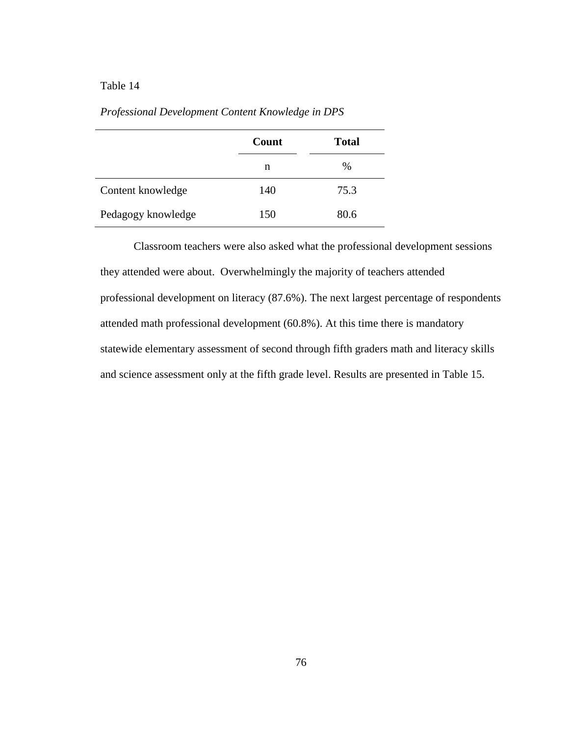|                    | Count | <b>Total</b> |
|--------------------|-------|--------------|
|                    | n     | %            |
| Content knowledge  | 140   | 75.3         |
| Pedagogy knowledge | 150   | 80.6         |

*Professional Development Content Knowledge in DPS* 

 Classroom teachers were also asked what the professional development sessions they attended were about. Overwhelmingly the majority of teachers attended professional development on literacy (87.6%). The next largest percentage of respondents attended math professional development (60.8%). At this time there is mandatory statewide elementary assessment of second through fifth graders math and literacy skills and science assessment only at the fifth grade level. Results are presented in Table 15.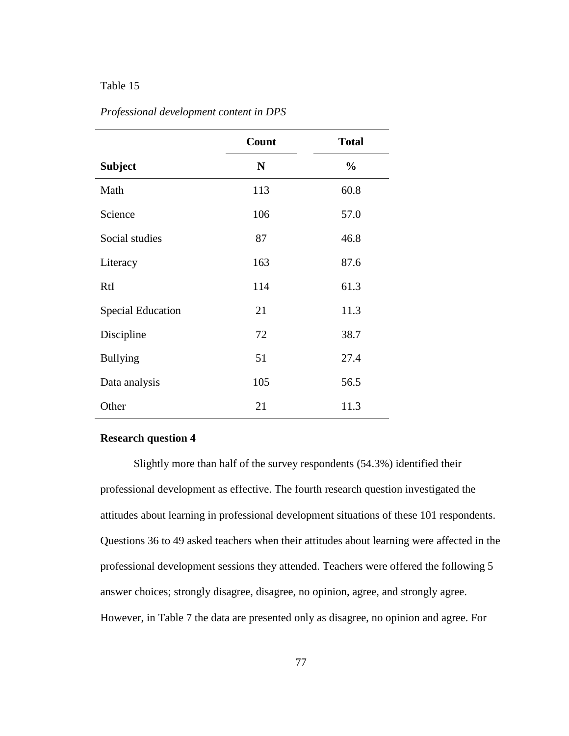|                          | Count | <b>Total</b>  |
|--------------------------|-------|---------------|
| <b>Subject</b>           | N     | $\frac{0}{0}$ |
| Math                     | 113   | 60.8          |
| Science                  | 106   | 57.0          |
| Social studies           | 87    | 46.8          |
| Literacy                 | 163   | 87.6          |
| RtI                      | 114   | 61.3          |
| <b>Special Education</b> | 21    | 11.3          |
| Discipline               | 72    | 38.7          |
| <b>Bullying</b>          | 51    | 27.4          |
| Data analysis            | 105   | 56.5          |
| Other                    | 21    | 11.3          |

#### *Professional development content in DPS*

## **Research question 4**

Slightly more than half of the survey respondents (54.3%) identified their professional development as effective. The fourth research question investigated the attitudes about learning in professional development situations of these 101 respondents. Questions 36 to 49 asked teachers when their attitudes about learning were affected in the professional development sessions they attended. Teachers were offered the following 5 answer choices; strongly disagree, disagree, no opinion, agree, and strongly agree. However, in Table 7 the data are presented only as disagree, no opinion and agree. For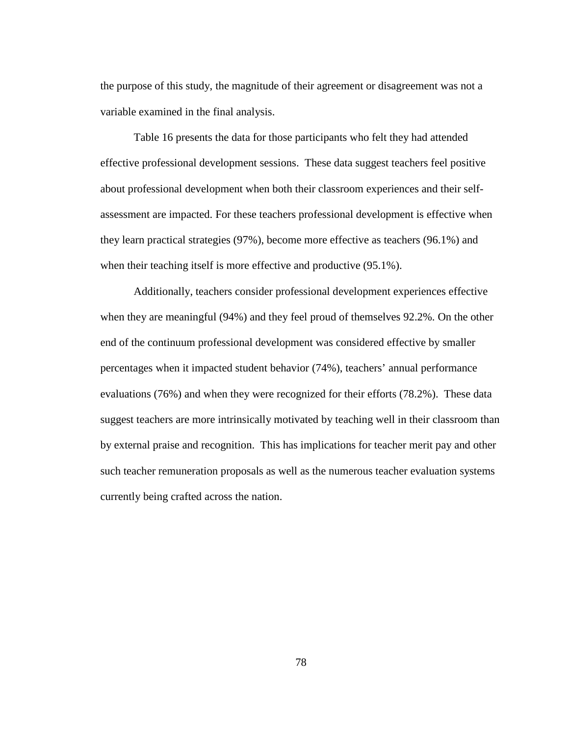the purpose of this study, the magnitude of their agreement or disagreement was not a variable examined in the final analysis.

Table 16 presents the data for those participants who felt they had attended effective professional development sessions. These data suggest teachers feel positive about professional development when both their classroom experiences and their selfassessment are impacted. For these teachers professional development is effective when they learn practical strategies (97%), become more effective as teachers (96.1%) and when their teaching itself is more effective and productive  $(95.1\%)$ .

Additionally, teachers consider professional development experiences effective when they are meaningful (94%) and they feel proud of themselves 92.2%. On the other end of the continuum professional development was considered effective by smaller percentages when it impacted student behavior (74%), teachers' annual performance evaluations (76%) and when they were recognized for their efforts (78.2%). These data suggest teachers are more intrinsically motivated by teaching well in their classroom than by external praise and recognition. This has implications for teacher merit pay and other such teacher remuneration proposals as well as the numerous teacher evaluation systems currently being crafted across the nation.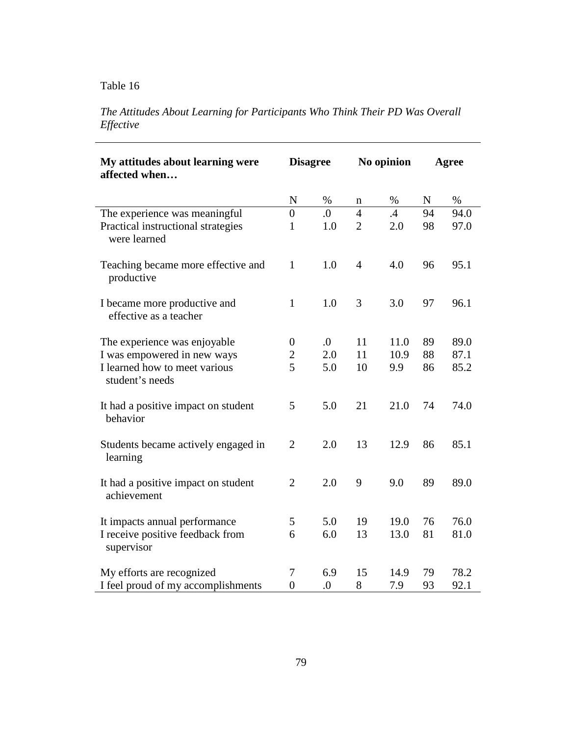# *The Attitudes About Learning for Participants Who Think Their PD Was Overall Effective*

| My attitudes about learning were<br>affected when      | <b>Disagree</b>  |                  | No opinion     |      | Agree |      |
|--------------------------------------------------------|------------------|------------------|----------------|------|-------|------|
|                                                        | N                | $\%$             | n              | $\%$ | N     | $\%$ |
| The experience was meaningful                          | $\overline{0}$   | 0.               | $\overline{4}$ | .4   | 94    | 94.0 |
| Practical instructional strategies<br>were learned     | $\mathbf{1}$     | 1.0              | $\overline{2}$ | 2.0  | 98    | 97.0 |
| Teaching became more effective and<br>productive       | $\mathbf{1}$     | 1.0              | $\overline{4}$ | 4.0  | 96    | 95.1 |
| I became more productive and<br>effective as a teacher | $\mathbf{1}$     | 1.0              | 3              | 3.0  | 97    | 96.1 |
| The experience was enjoyable                           | $\boldsymbol{0}$ | $\overline{0}$ . | 11             | 11.0 | 89    | 89.0 |
| I was empowered in new ways                            | $\overline{c}$   | 2.0              | 11             | 10.9 | 88    | 87.1 |
| I learned how to meet various<br>student's needs       | 5                | 5.0              | 10             | 9.9  | 86    | 85.2 |
| It had a positive impact on student<br>behavior        | 5                | 5.0              | 21             | 21.0 | 74    | 74.0 |
| Students became actively engaged in<br>learning        | $\overline{2}$   | 2.0              | 13             | 12.9 | 86    | 85.1 |
| It had a positive impact on student<br>achievement     | $\overline{2}$   | 2.0              | 9              | 9.0  | 89    | 89.0 |
| It impacts annual performance                          | 5                | 5.0              | 19             | 19.0 | 76    | 76.0 |
| I receive positive feedback from<br>supervisor         | 6                | 6.0              | 13             | 13.0 | 81    | 81.0 |
| My efforts are recognized                              | 7                | 6.9              | 15             | 14.9 | 79    | 78.2 |
| I feel proud of my accomplishments                     | $\overline{0}$   | $\boldsymbol{0}$ | 8              | 7.9  | 93    | 92.1 |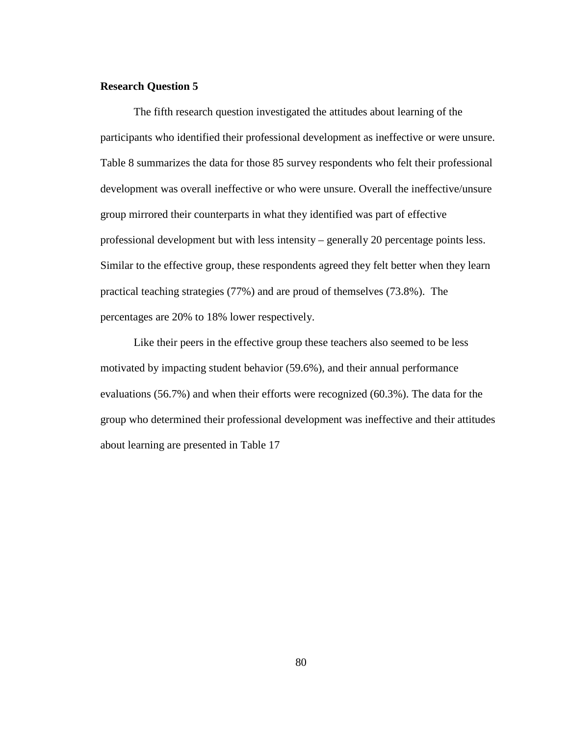#### **Research Question 5**

The fifth research question investigated the attitudes about learning of the participants who identified their professional development as ineffective or were unsure. Table 8 summarizes the data for those 85 survey respondents who felt their professional development was overall ineffective or who were unsure. Overall the ineffective/unsure group mirrored their counterparts in what they identified was part of effective professional development but with less intensity – generally 20 percentage points less. Similar to the effective group, these respondents agreed they felt better when they learn practical teaching strategies (77%) and are proud of themselves (73.8%). The percentages are 20% to 18% lower respectively.

 Like their peers in the effective group these teachers also seemed to be less motivated by impacting student behavior (59.6%), and their annual performance evaluations (56.7%) and when their efforts were recognized (60.3%). The data for the group who determined their professional development was ineffective and their attitudes about learning are presented in Table 17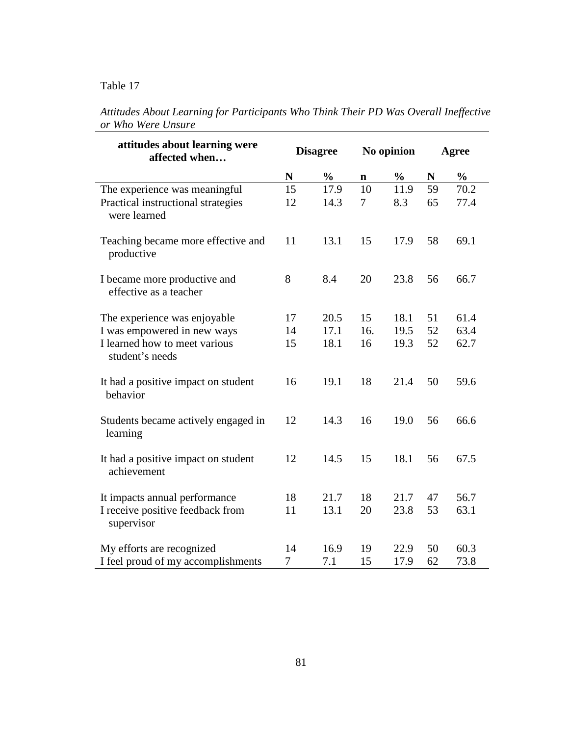| attitudes about learning were<br>affected when                                      | <b>Disagree</b>      |               | No opinion           |               | Agree    |               |
|-------------------------------------------------------------------------------------|----------------------|---------------|----------------------|---------------|----------|---------------|
|                                                                                     | $\mathbf N$          | $\frac{0}{0}$ | $\mathbf n$          | $\frac{0}{0}$ | N        | $\frac{0}{0}$ |
| The experience was meaningful<br>Practical instructional strategies<br>were learned | 15<br>12             | 17.9<br>14.3  | 10<br>$\overline{7}$ | 11.9<br>8.3   | 59<br>65 | 70.2<br>77.4  |
| Teaching became more effective and<br>productive                                    | 11                   | 13.1          | 15                   | 17.9          | 58       | 69.1          |
| I became more productive and<br>effective as a teacher                              | 8                    | 8.4           | 20                   | 23.8          | 56       | 66.7          |
| The experience was enjoyable                                                        | 17                   | 20.5          | 15                   | 18.1          | 51       | 61.4          |
| I was empowered in new ways<br>I learned how to meet various<br>student's needs     | 14<br>15             | 17.1<br>18.1  | 16.<br>16            | 19.5<br>19.3  | 52<br>52 | 63.4<br>62.7  |
| It had a positive impact on student<br>behavior                                     | 16                   | 19.1          | 18                   | 21.4          | 50       | 59.6          |
| Students became actively engaged in<br>learning                                     | 12                   | 14.3          | 16                   | 19.0          | 56       | 66.6          |
| It had a positive impact on student<br>achievement                                  | 12                   | 14.5          | 15                   | 18.1          | 56       | 67.5          |
| It impacts annual performance<br>I receive positive feedback from<br>supervisor     | 18<br>11             | 21.7<br>13.1  | 18<br>20             | 21.7<br>23.8  | 47<br>53 | 56.7<br>63.1  |
| My efforts are recognized<br>I feel proud of my accomplishments                     | 14<br>$\overline{7}$ | 16.9<br>7.1   | 19<br>15             | 22.9<br>17.9  | 50<br>62 | 60.3<br>73.8  |

*Attitudes About Learning for Participants Who Think Their PD Was Overall Ineffective or Who Were Unsure*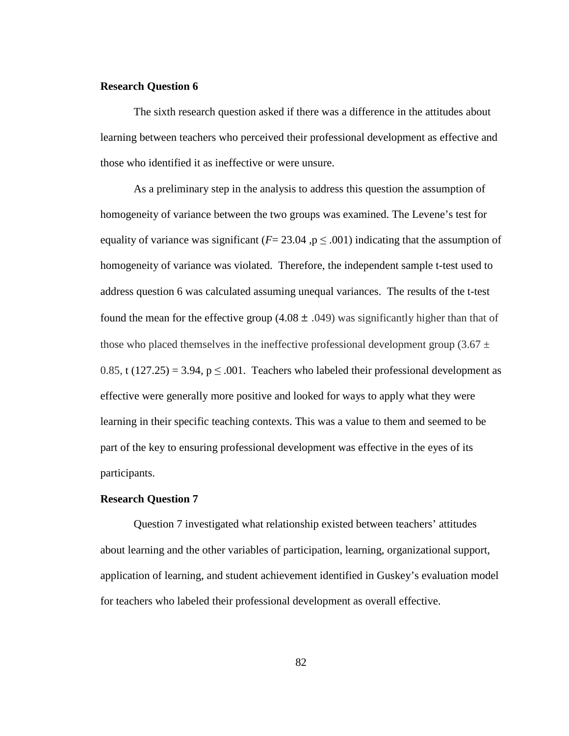### **Research Question 6**

The sixth research question asked if there was a difference in the attitudes about learning between teachers who perceived their professional development as effective and those who identified it as ineffective or were unsure.

As a preliminary step in the analysis to address this question the assumption of homogeneity of variance between the two groups was examined. The Levene's test for equality of variance was significant ( $F = 23.04$ ,  $p \le 0.001$ ) indicating that the assumption of homogeneity of variance was violated. Therefore, the independent sample t-test used to address question 6 was calculated assuming unequal variances. The results of the t-test found the mean for the effective group (4.08  $\pm$  .049) was significantly higher than that of those who placed themselves in the ineffective professional development group (3.67  $\pm$ 0.85, t  $(127.25) = 3.94$ ,  $p \le 0.001$ . Teachers who labeled their professional development as effective were generally more positive and looked for ways to apply what they were learning in their specific teaching contexts. This was a value to them and seemed to be part of the key to ensuring professional development was effective in the eyes of its participants.

#### **Research Question 7**

Question 7 investigated what relationship existed between teachers' attitudes about learning and the other variables of participation, learning, organizational support, application of learning, and student achievement identified in Guskey's evaluation model for teachers who labeled their professional development as overall effective.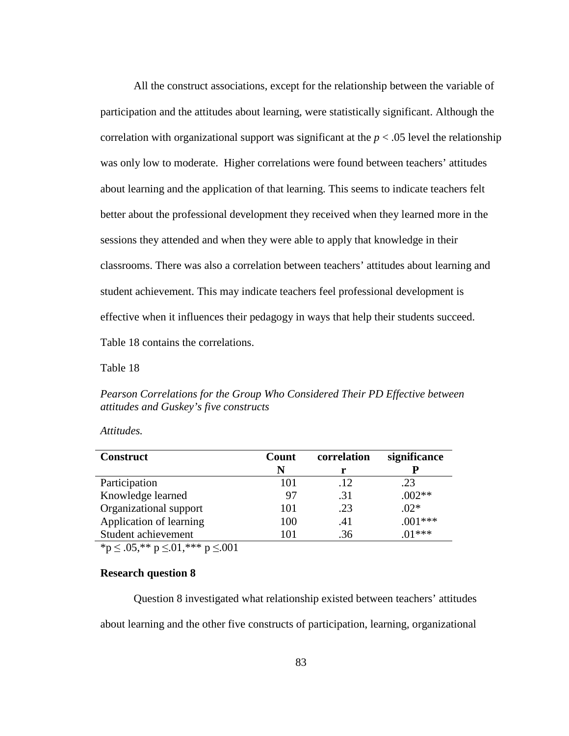All the construct associations, except for the relationship between the variable of participation and the attitudes about learning, were statistically significant. Although the correlation with organizational support was significant at the  $p < .05$  level the relationship was only low to moderate. Higher correlations were found between teachers' attitudes about learning and the application of that learning. This seems to indicate teachers felt better about the professional development they received when they learned more in the sessions they attended and when they were able to apply that knowledge in their classrooms. There was also a correlation between teachers' attitudes about learning and student achievement. This may indicate teachers feel professional development is effective when it influences their pedagogy in ways that help their students succeed. Table 18 contains the correlations.

Table 18

*Pearson Correlations for the Group Who Considered Their PD Effective between attitudes and Guskey's five constructs* 

| <b>Construct</b>                                                                                                                                           | Count | correlation | significance |  |
|------------------------------------------------------------------------------------------------------------------------------------------------------------|-------|-------------|--------------|--|
|                                                                                                                                                            | N     |             |              |  |
| Participation                                                                                                                                              | 101   | .12         | .23          |  |
| Knowledge learned                                                                                                                                          | 97    | .31         | $.002**$     |  |
| Organizational support                                                                                                                                     | 101   | .23         | $.02*$       |  |
| Application of learning                                                                                                                                    | 100   | .41         | $.001***$    |  |
| Student achievement                                                                                                                                        | 101   | .36         | $01***$      |  |
| $\mathcal{A}$ and $\mathcal{A}$ and $\mathcal{A}$ and $\mathcal{A}$ and $\mathcal{A}$ and $\mathcal{A}$ and $\mathcal{A}$ and $\mathcal{A}$<br>$\sim$ 0.04 |       |             |              |  |

*Attitudes.* 

 ${}^{\ast}p \leq .05, {}^{\ast}{}^{\ast}p \leq .01, {}^{\ast}{}^{\ast}{}^{\ast}p \leq .001$ 

## **Research question 8**

Question 8 investigated what relationship existed between teachers' attitudes about learning and the other five constructs of participation, learning, organizational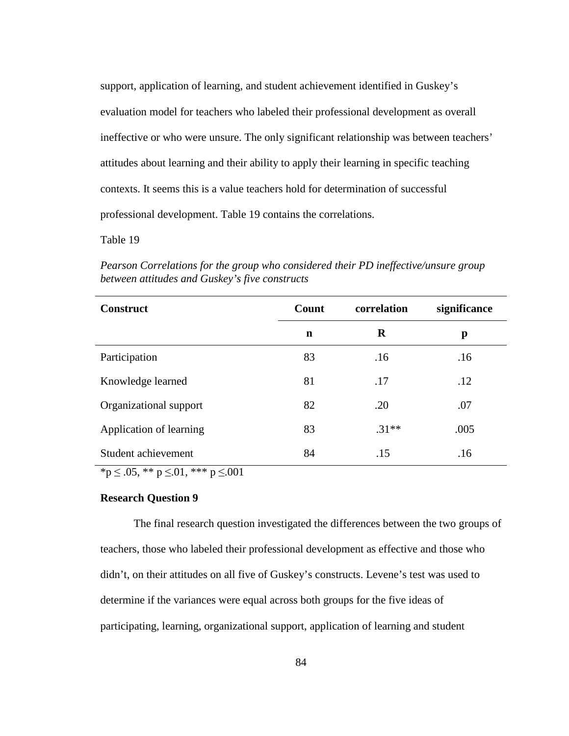support, application of learning, and student achievement identified in Guskey's evaluation model for teachers who labeled their professional development as overall ineffective or who were unsure. The only significant relationship was between teachers' attitudes about learning and their ability to apply their learning in specific teaching contexts. It seems this is a value teachers hold for determination of successful professional development. Table 19 contains the correlations.

Table 19

**Construct Count correlation significance n R p**  Participation 83 .16 .16 Knowledge learned 81 .17 .12 Organizational support 82 .20 .07 Application of learning 83 .31<sup>\*\*</sup> .005 Student achievement  $\begin{array}{ccc}84 & .15 & .16 \end{array}$ 

*Pearson Correlations for the group who considered their PD ineffective/unsure group between attitudes and Guskey's five constructs* 

 $*$ p  $\leq$  .05,  $**$  p  $\leq$ .01,  $***$  p  $\leq$ .001

#### **Research Question 9**

The final research question investigated the differences between the two groups of teachers, those who labeled their professional development as effective and those who didn't, on their attitudes on all five of Guskey's constructs. Levene's test was used to determine if the variances were equal across both groups for the five ideas of participating, learning, organizational support, application of learning and student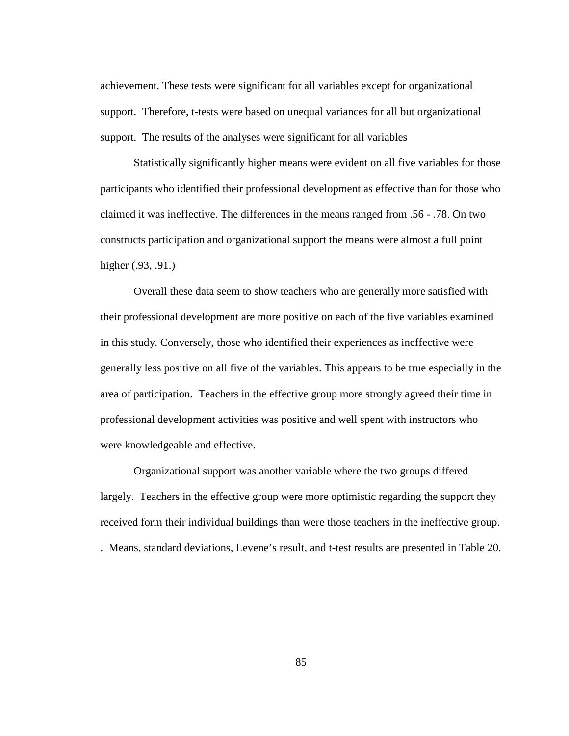achievement. These tests were significant for all variables except for organizational support. Therefore, t-tests were based on unequal variances for all but organizational support. The results of the analyses were significant for all variables

Statistically significantly higher means were evident on all five variables for those participants who identified their professional development as effective than for those who claimed it was ineffective. The differences in the means ranged from .56 - .78. On two constructs participation and organizational support the means were almost a full point higher (.93, .91.)

 Overall these data seem to show teachers who are generally more satisfied with their professional development are more positive on each of the five variables examined in this study. Conversely, those who identified their experiences as ineffective were generally less positive on all five of the variables. This appears to be true especially in the area of participation. Teachers in the effective group more strongly agreed their time in professional development activities was positive and well spent with instructors who were knowledgeable and effective.

Organizational support was another variable where the two groups differed largely. Teachers in the effective group were more optimistic regarding the support they received form their individual buildings than were those teachers in the ineffective group.

. Means, standard deviations, Levene's result, and t-test results are presented in Table 20.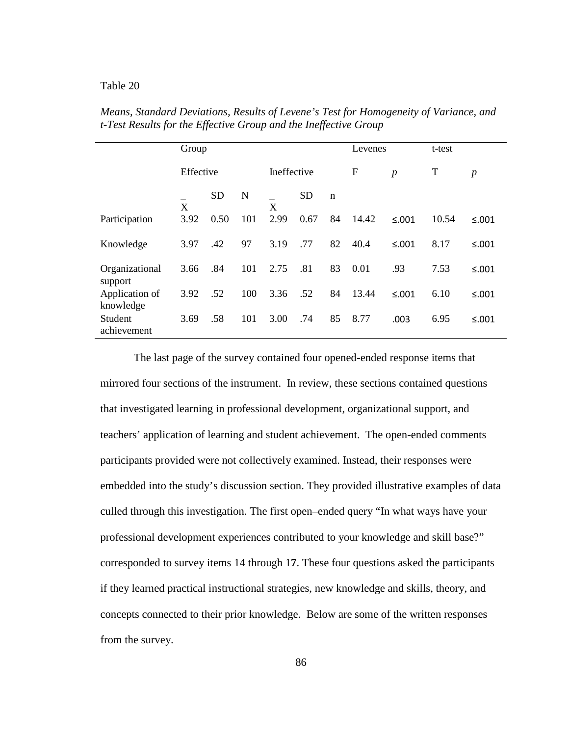|                             | Group     |           |             |      |           | Levenes          |       | t-test           |       |              |
|-----------------------------|-----------|-----------|-------------|------|-----------|------------------|-------|------------------|-------|--------------|
|                             | Effective |           | Ineffective |      | F         | $\boldsymbol{p}$ | T     | $\boldsymbol{p}$ |       |              |
|                             | X         | <b>SD</b> | N           | X    | <b>SD</b> | $\mathbf n$      |       |                  |       |              |
| Participation               | 3.92      | 0.50      | 101         | 2.99 | 0.67      | 84               | 14.42 | $≤.001$          | 10.54 | $\leq 0.001$ |
| Knowledge                   | 3.97      | .42       | 97          | 3.19 | .77       | 82               | 40.4  | $≤.001$          | 8.17  | $≤.001$      |
| Organizational<br>support   | 3.66      | .84       | 101         | 2.75 | .81       | 83               | 0.01  | .93              | 7.53  | $≤.001$      |
| Application of<br>knowledge | 3.92      | .52       | 100         | 3.36 | .52       | 84               | 13.44 | $\leq 0.001$     | 6.10  | $\leq 0.001$ |
| Student<br>achievement      | 3.69      | .58       | 101         | 3.00 | .74       | 85               | 8.77  | .003             | 6.95  | $\leq 0.001$ |

*Means, Standard Deviations, Results of Levene's Test for Homogeneity of Variance, and t-Test Results for the Effective Group and the Ineffective Group* 

The last page of the survey contained four opened-ended response items that mirrored four sections of the instrument. In review, these sections contained questions that investigated learning in professional development, organizational support, and teachers' application of learning and student achievement. The open-ended comments participants provided were not collectively examined. Instead, their responses were embedded into the study's discussion section. They provided illustrative examples of data culled through this investigation. The first open–ended query "In what ways have your professional development experiences contributed to your knowledge and skill base?" corresponded to survey items 14 through 1**7**. These four questions asked the participants if they learned practical instructional strategies, new knowledge and skills, theory, and concepts connected to their prior knowledge. Below are some of the written responses from the survey.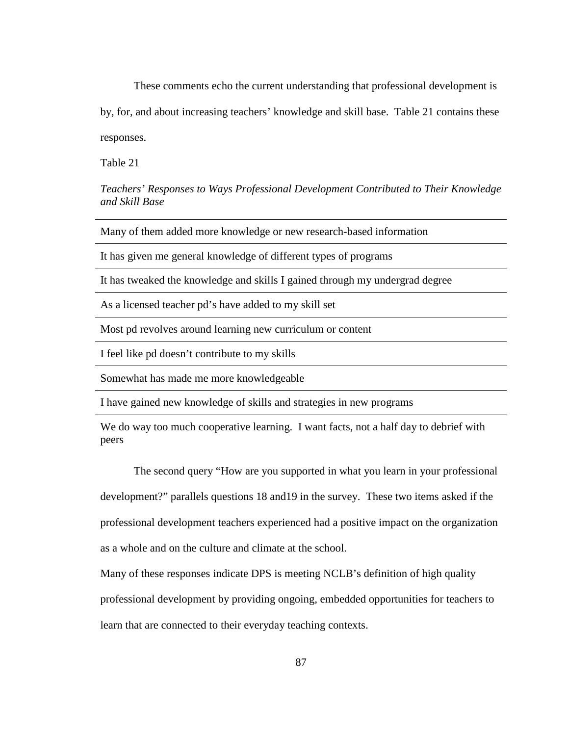These comments echo the current understanding that professional development is

by, for, and about increasing teachers' knowledge and skill base. Table 21 contains these responses.

Table 21

*Teachers' Responses to Ways Professional Development Contributed to Their Knowledge and Skill Base*

Many of them added more knowledge or new research-based information

It has given me general knowledge of different types of programs

It has tweaked the knowledge and skills I gained through my undergrad degree

As a licensed teacher pd's have added to my skill set

Most pd revolves around learning new curriculum or content

I feel like pd doesn't contribute to my skills

Somewhat has made me more knowledgeable

I have gained new knowledge of skills and strategies in new programs

We do way too much cooperative learning. I want facts, not a half day to debrief with peers

The second query "How are you supported in what you learn in your professional development?" parallels questions 18 and19 in the survey. These two items asked if the professional development teachers experienced had a positive impact on the organization as a whole and on the culture and climate at the school.

Many of these responses indicate DPS is meeting NCLB's definition of high quality

professional development by providing ongoing, embedded opportunities for teachers to

learn that are connected to their everyday teaching contexts.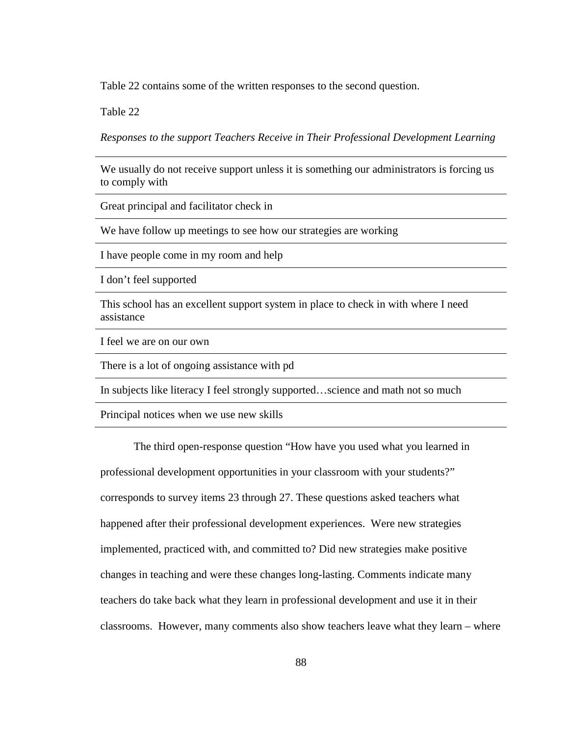Table 22 contains some of the written responses to the second question.

Table 22

*Responses to the support Teachers Receive in Their Professional Development Learning*

We usually do not receive support unless it is something our administrators is forcing us to comply with

Great principal and facilitator check in

We have follow up meetings to see how our strategies are working

I have people come in my room and help

I don't feel supported

This school has an excellent support system in place to check in with where I need assistance

I feel we are on our own

There is a lot of ongoing assistance with pd

In subjects like literacy I feel strongly supported…science and math not so much

Principal notices when we use new skills

The third open-response question "How have you used what you learned in professional development opportunities in your classroom with your students?" corresponds to survey items 23 through 27. These questions asked teachers what happened after their professional development experiences. Were new strategies implemented, practiced with, and committed to? Did new strategies make positive changes in teaching and were these changes long-lasting. Comments indicate many teachers do take back what they learn in professional development and use it in their classrooms. However, many comments also show teachers leave what they learn – where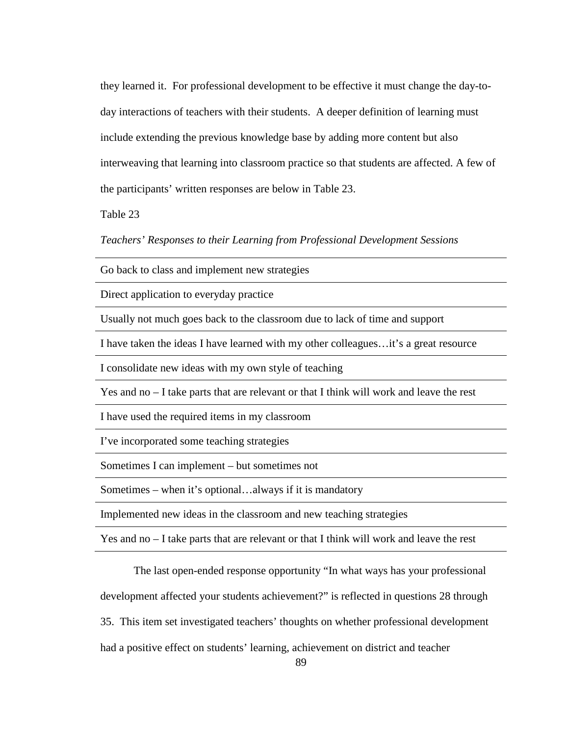they learned it. For professional development to be effective it must change the day-today interactions of teachers with their students. A deeper definition of learning must include extending the previous knowledge base by adding more content but also interweaving that learning into classroom practice so that students are affected. A few of the participants' written responses are below in Table 23.

Table 23

*Teachers' Responses to their Learning from Professional Development Sessions* 

Go back to class and implement new strategies

Direct application to everyday practice

Usually not much goes back to the classroom due to lack of time and support

I have taken the ideas I have learned with my other colleagues…it's a great resource

I consolidate new ideas with my own style of teaching

Yes and no – I take parts that are relevant or that I think will work and leave the rest

I have used the required items in my classroom

I've incorporated some teaching strategies

Sometimes I can implement – but sometimes not

Sometimes – when it's optional…always if it is mandatory

Implemented new ideas in the classroom and new teaching strategies

Yes and no – I take parts that are relevant or that I think will work and leave the rest

The last open-ended response opportunity "In what ways has your professional development affected your students achievement?" is reflected in questions 28 through 35. This item set investigated teachers' thoughts on whether professional development had a positive effect on students' learning, achievement on district and teacher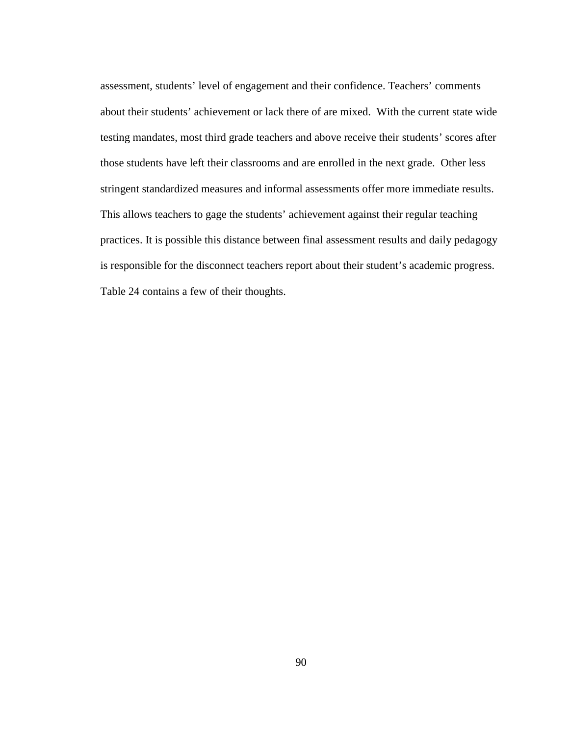assessment, students' level of engagement and their confidence. Teachers' comments about their students' achievement or lack there of are mixed. With the current state wide testing mandates, most third grade teachers and above receive their students' scores after those students have left their classrooms and are enrolled in the next grade. Other less stringent standardized measures and informal assessments offer more immediate results. This allows teachers to gage the students' achievement against their regular teaching practices. It is possible this distance between final assessment results and daily pedagogy is responsible for the disconnect teachers report about their student's academic progress. Table 24 contains a few of their thoughts.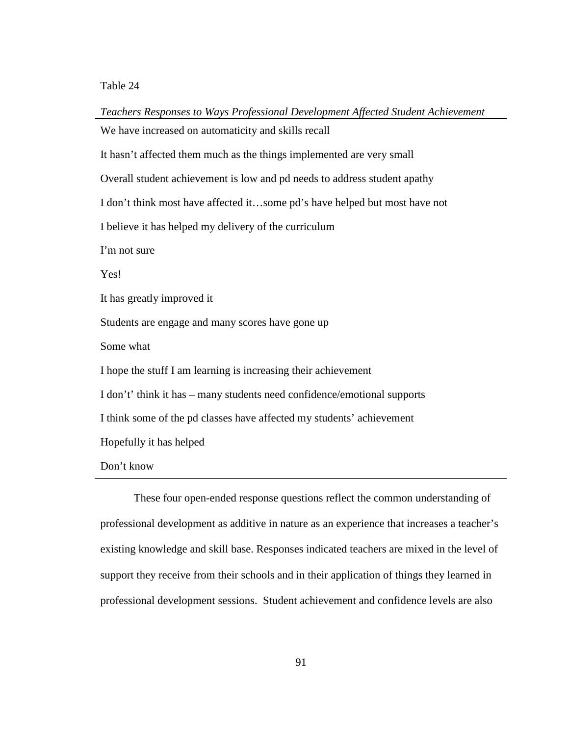*Teachers Responses to Ways Professional Development Affected Student Achievement* We have increased on automaticity and skills recall It hasn't affected them much as the things implemented are very small Overall student achievement is low and pd needs to address student apathy I don't think most have affected it…some pd's have helped but most have not I believe it has helped my delivery of the curriculum I'm not sure Yes! It has greatly improved it Students are engage and many scores have gone up Some what I hope the stuff I am learning is increasing their achievement I don't' think it has – many students need confidence/emotional supports I think some of the pd classes have affected my students' achievement Hopefully it has helped Don't know

These four open-ended response questions reflect the common understanding of professional development as additive in nature as an experience that increases a teacher's existing knowledge and skill base. Responses indicated teachers are mixed in the level of support they receive from their schools and in their application of things they learned in professional development sessions. Student achievement and confidence levels are also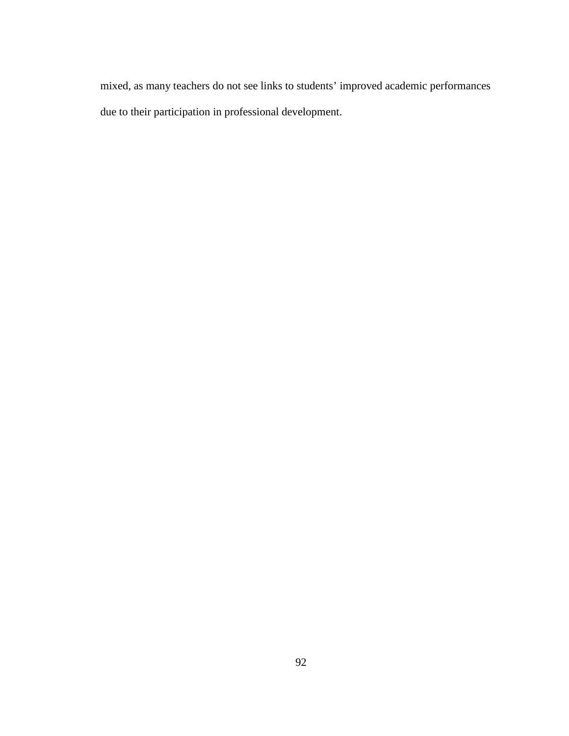mixed, as many teachers do not see links to students' improved academic performances due to their participation in professional development.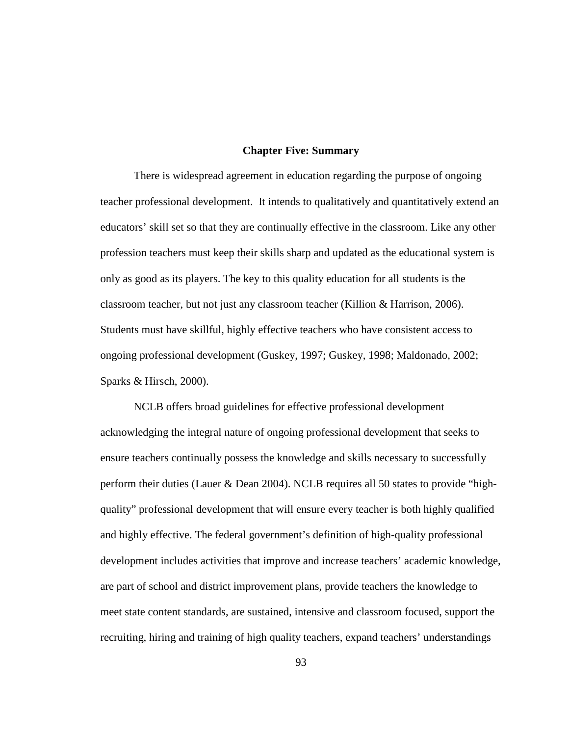#### **Chapter Five: Summary**

There is widespread agreement in education regarding the purpose of ongoing teacher professional development. It intends to qualitatively and quantitatively extend an educators' skill set so that they are continually effective in the classroom. Like any other profession teachers must keep their skills sharp and updated as the educational system is only as good as its players. The key to this quality education for all students is the classroom teacher, but not just any classroom teacher (Killion & Harrison, 2006). Students must have skillful, highly effective teachers who have consistent access to ongoing professional development (Guskey, 1997; Guskey, 1998; Maldonado, 2002; Sparks & Hirsch, 2000).

NCLB offers broad guidelines for effective professional development acknowledging the integral nature of ongoing professional development that seeks to ensure teachers continually possess the knowledge and skills necessary to successfully perform their duties (Lauer & Dean 2004). NCLB requires all 50 states to provide "highquality" professional development that will ensure every teacher is both highly qualified and highly effective. The federal government's definition of high-quality professional development includes activities that improve and increase teachers' academic knowledge, are part of school and district improvement plans, provide teachers the knowledge to meet state content standards, are sustained, intensive and classroom focused, support the recruiting, hiring and training of high quality teachers, expand teachers' understandings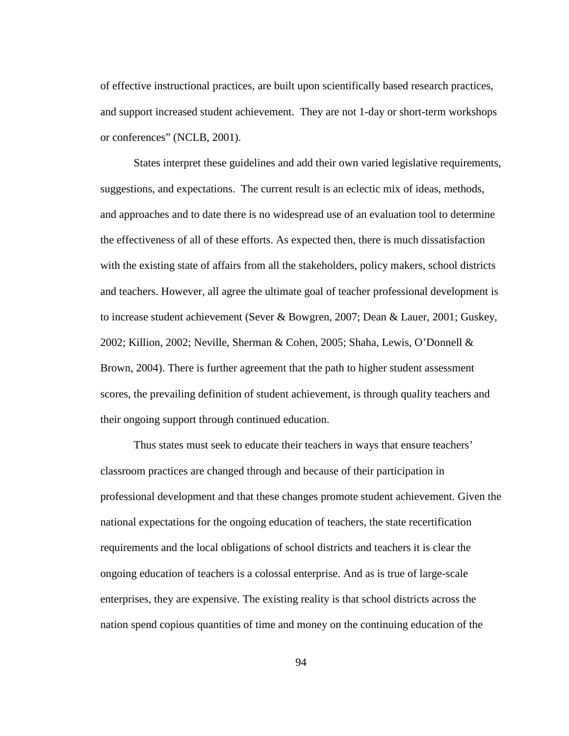of effective instructional practices, are built upon scientifically based research practices, and support increased student achievement. They are not 1-day or short-term workshops or conferences" (NCLB, 2001).

States interpret these guidelines and add their own varied legislative requirements, suggestions, and expectations. The current result is an eclectic mix of ideas, methods, and approaches and to date there is no widespread use of an evaluation tool to determine the effectiveness of all of these efforts. As expected then, there is much dissatisfaction with the existing state of affairs from all the stakeholders, policy makers, school districts and teachers. However, all agree the ultimate goal of teacher professional development is to increase student achievement (Sever & Bowgren, 2007; Dean & Lauer, 2001; Guskey, 2002; Killion, 2002; Neville, Sherman & Cohen, 2005; Shaha, Lewis, O'Donnell & Brown, 2004). There is further agreement that the path to higher student assessment scores, the prevailing definition of student achievement, is through quality teachers and their ongoing support through continued education.

Thus states must seek to educate their teachers in ways that ensure teachers' classroom practices are changed through and because of their participation in professional development and that these changes promote student achievement. Given the national expectations for the ongoing education of teachers, the state recertification requirements and the local obligations of school districts and teachers it is clear the ongoing education of teachers is a colossal enterprise. And as is true of large-scale enterprises, they are expensive. The existing reality is that school districts across the nation spend copious quantities of time and money on the continuing education of the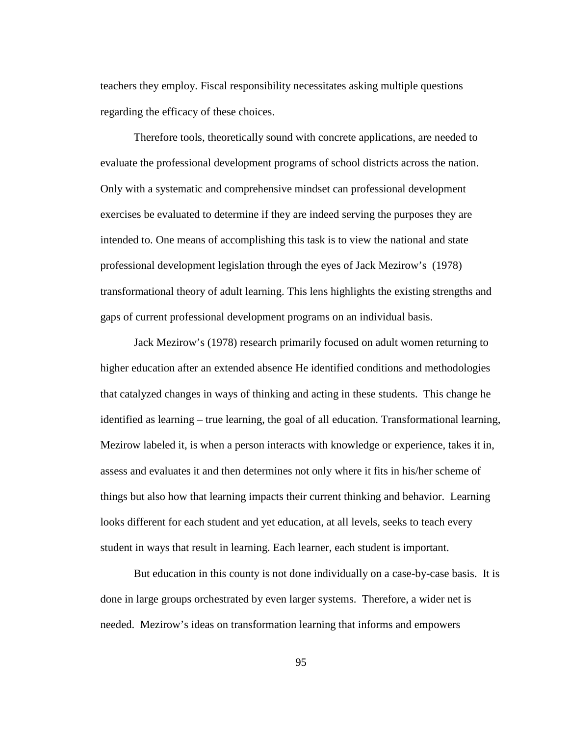teachers they employ. Fiscal responsibility necessitates asking multiple questions regarding the efficacy of these choices.

Therefore tools, theoretically sound with concrete applications, are needed to evaluate the professional development programs of school districts across the nation. Only with a systematic and comprehensive mindset can professional development exercises be evaluated to determine if they are indeed serving the purposes they are intended to. One means of accomplishing this task is to view the national and state professional development legislation through the eyes of Jack Mezirow's (1978) transformational theory of adult learning. This lens highlights the existing strengths and gaps of current professional development programs on an individual basis.

Jack Mezirow's (1978) research primarily focused on adult women returning to higher education after an extended absence He identified conditions and methodologies that catalyzed changes in ways of thinking and acting in these students. This change he identified as learning – true learning, the goal of all education. Transformational learning, Mezirow labeled it, is when a person interacts with knowledge or experience, takes it in, assess and evaluates it and then determines not only where it fits in his/her scheme of things but also how that learning impacts their current thinking and behavior. Learning looks different for each student and yet education, at all levels, seeks to teach every student in ways that result in learning. Each learner, each student is important.

But education in this county is not done individually on a case-by-case basis. It is done in large groups orchestrated by even larger systems. Therefore, a wider net is needed. Mezirow's ideas on transformation learning that informs and empowers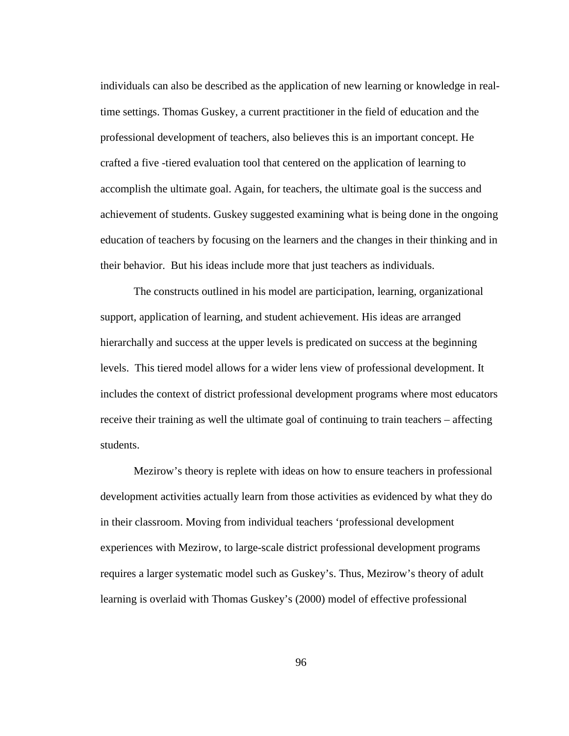individuals can also be described as the application of new learning or knowledge in realtime settings. Thomas Guskey, a current practitioner in the field of education and the professional development of teachers, also believes this is an important concept. He crafted a five -tiered evaluation tool that centered on the application of learning to accomplish the ultimate goal. Again, for teachers, the ultimate goal is the success and achievement of students. Guskey suggested examining what is being done in the ongoing education of teachers by focusing on the learners and the changes in their thinking and in their behavior. But his ideas include more that just teachers as individuals.

The constructs outlined in his model are participation, learning, organizational support, application of learning, and student achievement. His ideas are arranged hierarchally and success at the upper levels is predicated on success at the beginning levels. This tiered model allows for a wider lens view of professional development. It includes the context of district professional development programs where most educators receive their training as well the ultimate goal of continuing to train teachers – affecting students.

Mezirow's theory is replete with ideas on how to ensure teachers in professional development activities actually learn from those activities as evidenced by what they do in their classroom. Moving from individual teachers 'professional development experiences with Mezirow, to large-scale district professional development programs requires a larger systematic model such as Guskey's. Thus, Mezirow's theory of adult learning is overlaid with Thomas Guskey's (2000) model of effective professional

96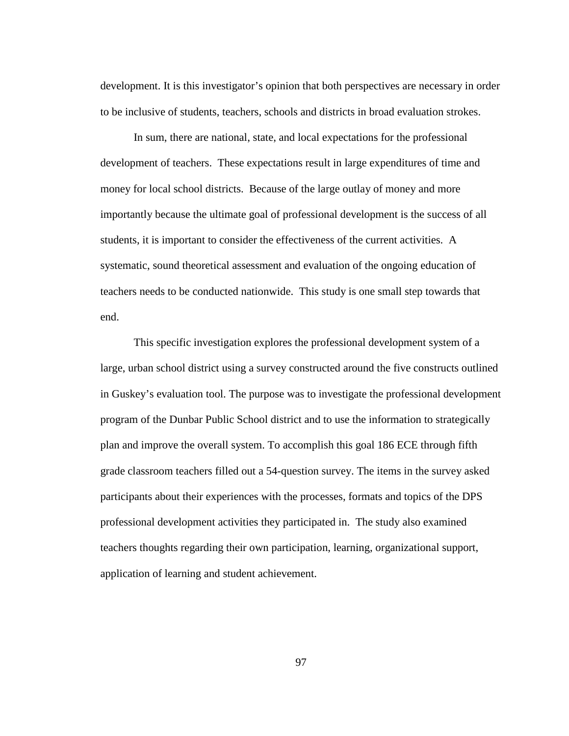development. It is this investigator's opinion that both perspectives are necessary in order to be inclusive of students, teachers, schools and districts in broad evaluation strokes.

In sum, there are national, state, and local expectations for the professional development of teachers. These expectations result in large expenditures of time and money for local school districts. Because of the large outlay of money and more importantly because the ultimate goal of professional development is the success of all students, it is important to consider the effectiveness of the current activities. A systematic, sound theoretical assessment and evaluation of the ongoing education of teachers needs to be conducted nationwide. This study is one small step towards that end.

This specific investigation explores the professional development system of a large, urban school district using a survey constructed around the five constructs outlined in Guskey's evaluation tool. The purpose was to investigate the professional development program of the Dunbar Public School district and to use the information to strategically plan and improve the overall system. To accomplish this goal 186 ECE through fifth grade classroom teachers filled out a 54-question survey. The items in the survey asked participants about their experiences with the processes, formats and topics of the DPS professional development activities they participated in. The study also examined teachers thoughts regarding their own participation, learning, organizational support, application of learning and student achievement.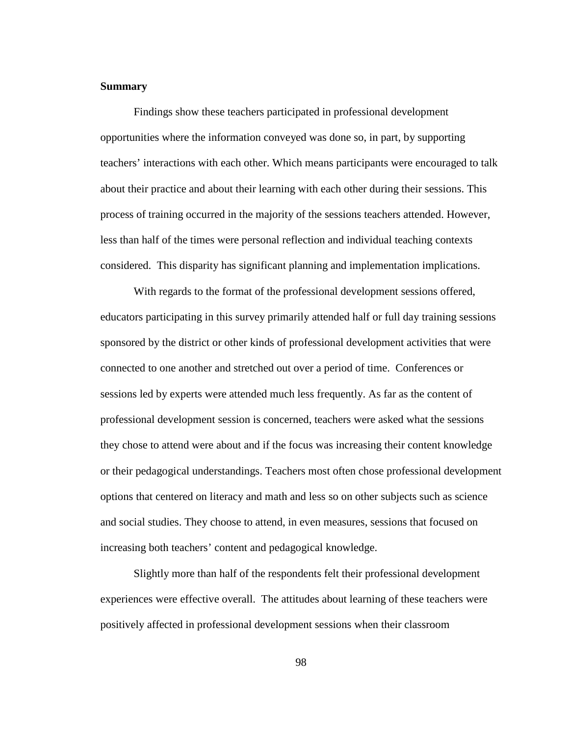### **Summary**

Findings show these teachers participated in professional development opportunities where the information conveyed was done so, in part, by supporting teachers' interactions with each other. Which means participants were encouraged to talk about their practice and about their learning with each other during their sessions. This process of training occurred in the majority of the sessions teachers attended. However, less than half of the times were personal reflection and individual teaching contexts considered. This disparity has significant planning and implementation implications.

With regards to the format of the professional development sessions offered, educators participating in this survey primarily attended half or full day training sessions sponsored by the district or other kinds of professional development activities that were connected to one another and stretched out over a period of time.Conferences or sessions led by experts were attended much less frequently. As far as the content of professional development session is concerned, teachers were asked what the sessions they chose to attend were about and if the focus was increasing their content knowledge or their pedagogical understandings. Teachers most often chose professional development options that centered on literacy and math and less so on other subjects such as science and social studies. They choose to attend, in even measures, sessions that focused on increasing both teachers' content and pedagogical knowledge.

Slightly more than half of the respondents felt their professional development experiences were effective overall. The attitudes about learning of these teachers were positively affected in professional development sessions when their classroom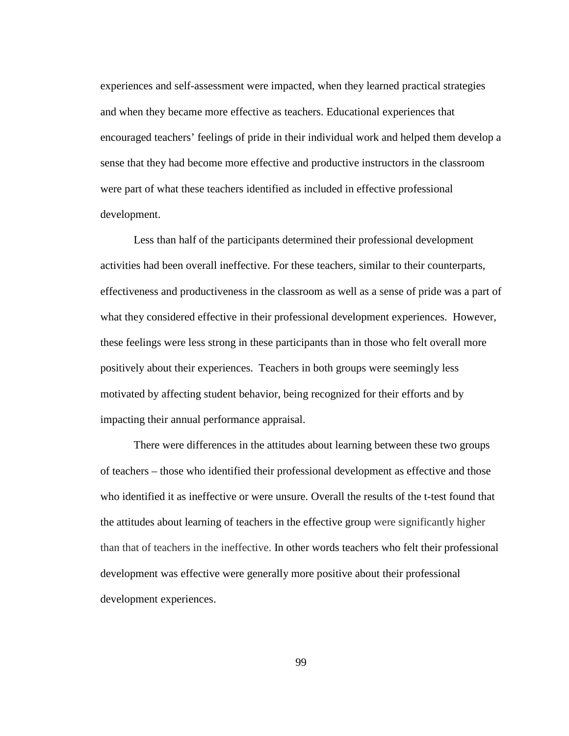experiences and self-assessment were impacted, when they learned practical strategies and when they became more effective as teachers. Educational experiences that encouraged teachers' feelings of pride in their individual work and helped them develop a sense that they had become more effective and productive instructors in the classroom were part of what these teachers identified as included in effective professional development.

Less than half of the participants determined their professional development activities had been overall ineffective. For these teachers, similar to their counterparts, effectiveness and productiveness in the classroom as well as a sense of pride was a part of what they considered effective in their professional development experiences. However, these feelings were less strong in these participants than in those who felt overall more positively about their experiences. Teachers in both groups were seemingly less motivated by affecting student behavior, being recognized for their efforts and by impacting their annual performance appraisal.

There were differences in the attitudes about learning between these two groups of teachers – those who identified their professional development as effective and those who identified it as ineffective or were unsure. Overall the results of the t-test found that the attitudes about learning of teachers in the effective group were significantly higher than that of teachers in the ineffective. In other words teachers who felt their professional development was effective were generally more positive about their professional development experiences.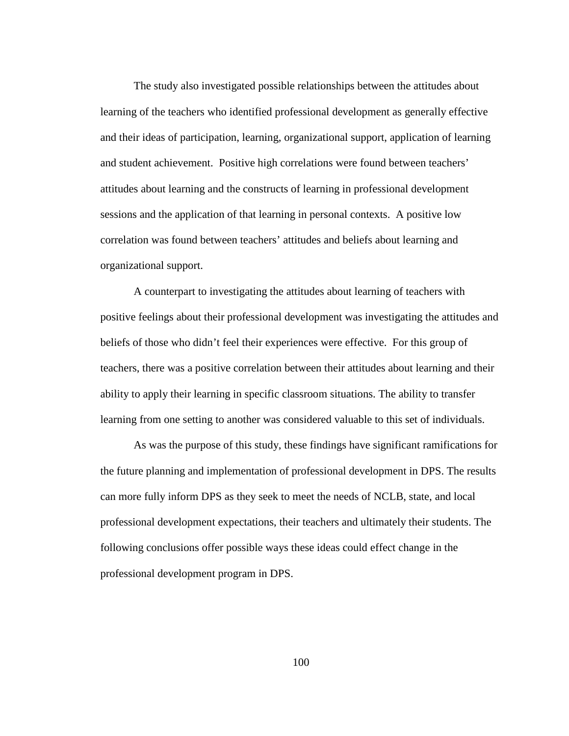The study also investigated possible relationships between the attitudes about learning of the teachers who identified professional development as generally effective and their ideas of participation, learning, organizational support, application of learning and student achievement. Positive high correlations were found between teachers' attitudes about learning and the constructs of learning in professional development sessions and the application of that learning in personal contexts. A positive low correlation was found between teachers' attitudes and beliefs about learning and organizational support.

A counterpart to investigating the attitudes about learning of teachers with positive feelings about their professional development was investigating the attitudes and beliefs of those who didn't feel their experiences were effective. For this group of teachers, there was a positive correlation between their attitudes about learning and their ability to apply their learning in specific classroom situations. The ability to transfer learning from one setting to another was considered valuable to this set of individuals.

As was the purpose of this study, these findings have significant ramifications for the future planning and implementation of professional development in DPS. The results can more fully inform DPS as they seek to meet the needs of NCLB, state, and local professional development expectations, their teachers and ultimately their students. The following conclusions offer possible ways these ideas could effect change in the professional development program in DPS.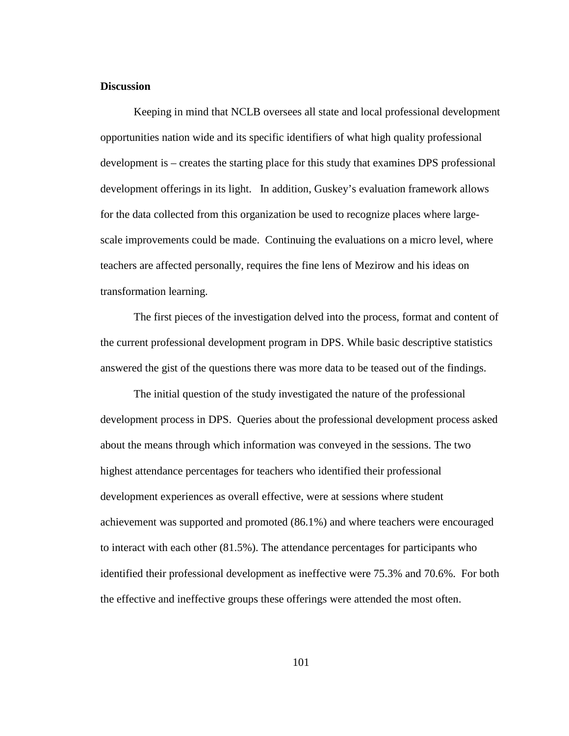### **Discussion**

Keeping in mind that NCLB oversees all state and local professional development opportunities nation wide and its specific identifiers of what high quality professional development is – creates the starting place for this study that examines DPS professional development offerings in its light. In addition, Guskey's evaluation framework allows for the data collected from this organization be used to recognize places where largescale improvements could be made. Continuing the evaluations on a micro level, where teachers are affected personally, requires the fine lens of Mezirow and his ideas on transformation learning.

The first pieces of the investigation delved into the process, format and content of the current professional development program in DPS. While basic descriptive statistics answered the gist of the questions there was more data to be teased out of the findings.

The initial question of the study investigated the nature of the professional development process in DPS. Queries about the professional development process asked about the means through which information was conveyed in the sessions. The two highest attendance percentages for teachers who identified their professional development experiences as overall effective, were at sessions where student achievement was supported and promoted (86.1%) and where teachers were encouraged to interact with each other (81.5%). The attendance percentages for participants who identified their professional development as ineffective were 75.3% and 70.6%. For both the effective and ineffective groups these offerings were attended the most often.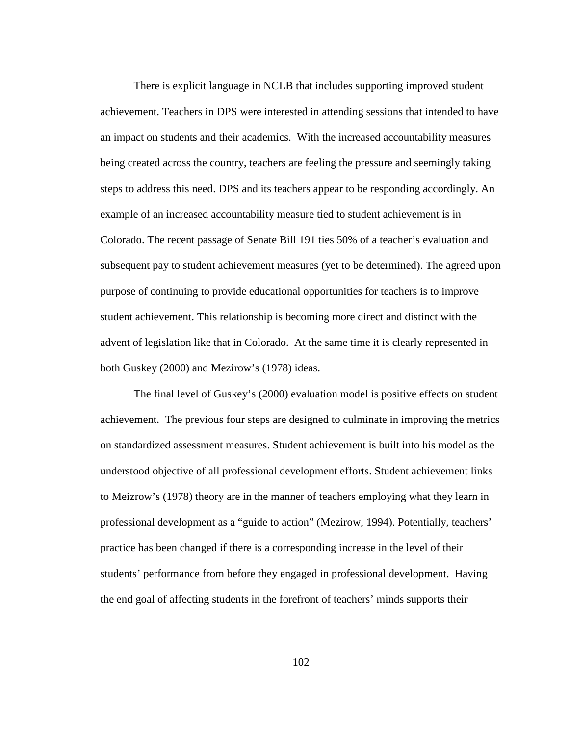There is explicit language in NCLB that includes supporting improved student achievement. Teachers in DPS were interested in attending sessions that intended to have an impact on students and their academics. With the increased accountability measures being created across the country, teachers are feeling the pressure and seemingly taking steps to address this need. DPS and its teachers appear to be responding accordingly. An example of an increased accountability measure tied to student achievement is in Colorado. The recent passage of Senate Bill 191 ties 50% of a teacher's evaluation and subsequent pay to student achievement measures (yet to be determined). The agreed upon purpose of continuing to provide educational opportunities for teachers is to improve student achievement. This relationship is becoming more direct and distinct with the advent of legislation like that in Colorado. At the same time it is clearly represented in both Guskey (2000) and Mezirow's (1978) ideas.

The final level of Guskey's (2000) evaluation model is positive effects on student achievement. The previous four steps are designed to culminate in improving the metrics on standardized assessment measures. Student achievement is built into his model as the understood objective of all professional development efforts. Student achievement links to Meizrow's (1978) theory are in the manner of teachers employing what they learn in professional development as a "guide to action" (Mezirow, 1994). Potentially, teachers' practice has been changed if there is a corresponding increase in the level of their students' performance from before they engaged in professional development. Having the end goal of affecting students in the forefront of teachers' minds supports their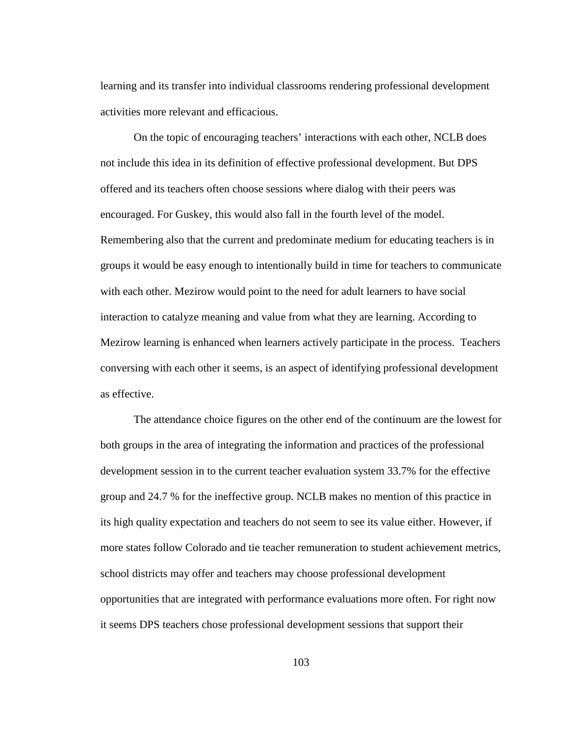learning and its transfer into individual classrooms rendering professional development activities more relevant and efficacious.

On the topic of encouraging teachers' interactions with each other, NCLB does not include this idea in its definition of effective professional development. But DPS offered and its teachers often choose sessions where dialog with their peers was encouraged. For Guskey, this would also fall in the fourth level of the model. Remembering also that the current and predominate medium for educating teachers is in groups it would be easy enough to intentionally build in time for teachers to communicate with each other. Mezirow would point to the need for adult learners to have social interaction to catalyze meaning and value from what they are learning. According to Mezirow learning is enhanced when learners actively participate in the process. Teachers conversing with each other it seems, is an aspect of identifying professional development as effective.

The attendance choice figures on the other end of the continuum are the lowest for both groups in the area of integrating the information and practices of the professional development session in to the current teacher evaluation system 33.7% for the effective group and 24.7 % for the ineffective group. NCLB makes no mention of this practice in its high quality expectation and teachers do not seem to see its value either. However, if more states follow Colorado and tie teacher remuneration to student achievement metrics, school districts may offer and teachers may choose professional development opportunities that are integrated with performance evaluations more often. For right now it seems DPS teachers chose professional development sessions that support their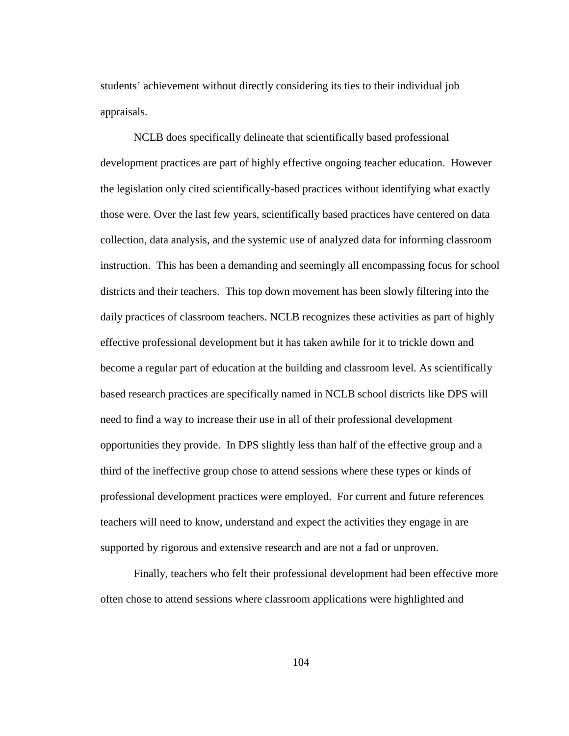students' achievement without directly considering its ties to their individual job appraisals.

NCLB does specifically delineate that scientifically based professional development practices are part of highly effective ongoing teacher education. However the legislation only cited scientifically-based practices without identifying what exactly those were. Over the last few years, scientifically based practices have centered on data collection, data analysis, and the systemic use of analyzed data for informing classroom instruction. This has been a demanding and seemingly all encompassing focus for school districts and their teachers. This top down movement has been slowly filtering into the daily practices of classroom teachers. NCLB recognizes these activities as part of highly effective professional development but it has taken awhile for it to trickle down and become a regular part of education at the building and classroom level. As scientifically based research practices are specifically named in NCLB school districts like DPS will need to find a way to increase their use in all of their professional development opportunities they provide. In DPS slightly less than half of the effective group and a third of the ineffective group chose to attend sessions where these types or kinds of professional development practices were employed. For current and future references teachers will need to know, understand and expect the activities they engage in are supported by rigorous and extensive research and are not a fad or unproven.

Finally, teachers who felt their professional development had been effective more often chose to attend sessions where classroom applications were highlighted and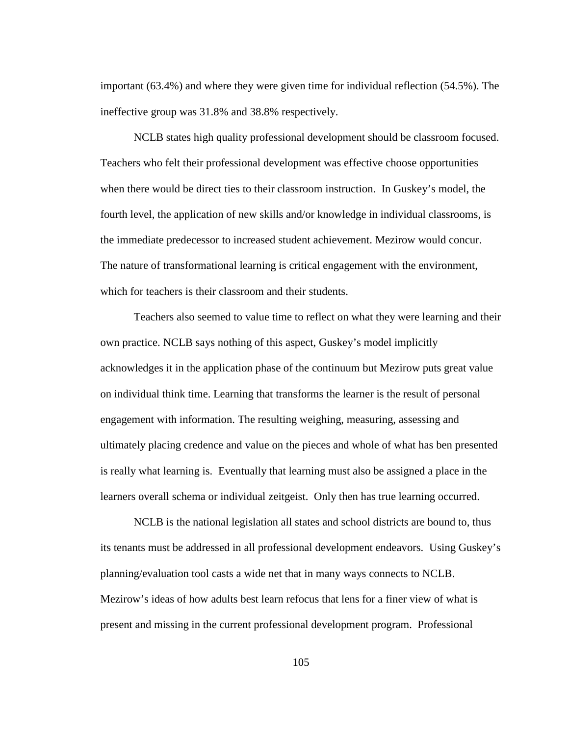important (63.4%) and where they were given time for individual reflection (54.5%). The ineffective group was 31.8% and 38.8% respectively.

NCLB states high quality professional development should be classroom focused. Teachers who felt their professional development was effective choose opportunities when there would be direct ties to their classroom instruction. In Guskey's model, the fourth level, the application of new skills and/or knowledge in individual classrooms, is the immediate predecessor to increased student achievement. Mezirow would concur. The nature of transformational learning is critical engagement with the environment, which for teachers is their classroom and their students.

Teachers also seemed to value time to reflect on what they were learning and their own practice. NCLB says nothing of this aspect, Guskey's model implicitly acknowledges it in the application phase of the continuum but Mezirow puts great value on individual think time. Learning that transforms the learner is the result of personal engagement with information. The resulting weighing, measuring, assessing and ultimately placing credence and value on the pieces and whole of what has ben presented is really what learning is. Eventually that learning must also be assigned a place in the learners overall schema or individual zeitgeist. Only then has true learning occurred.

NCLB is the national legislation all states and school districts are bound to, thus its tenants must be addressed in all professional development endeavors. Using Guskey's planning/evaluation tool casts a wide net that in many ways connects to NCLB. Mezirow's ideas of how adults best learn refocus that lens for a finer view of what is present and missing in the current professional development program. Professional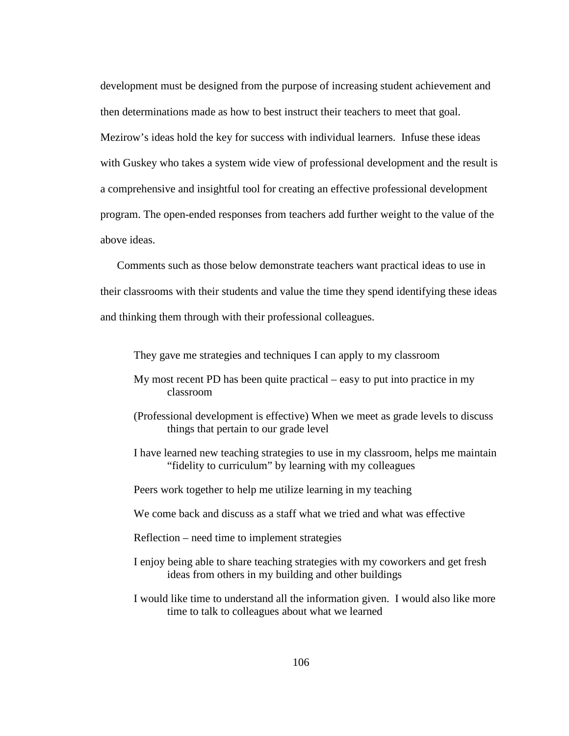development must be designed from the purpose of increasing student achievement and then determinations made as how to best instruct their teachers to meet that goal. Mezirow's ideas hold the key for success with individual learners. Infuse these ideas with Guskey who takes a system wide view of professional development and the result is a comprehensive and insightful tool for creating an effective professional development program. The open-ended responses from teachers add further weight to the value of the above ideas.

Comments such as those below demonstrate teachers want practical ideas to use in their classrooms with their students and value the time they spend identifying these ideas and thinking them through with their professional colleagues.

They gave me strategies and techniques I can apply to my classroom

- My most recent PD has been quite practical easy to put into practice in my classroom
- (Professional development is effective) When we meet as grade levels to discuss things that pertain to our grade level
- I have learned new teaching strategies to use in my classroom, helps me maintain "fidelity to curriculum" by learning with my colleagues
- Peers work together to help me utilize learning in my teaching
- We come back and discuss as a staff what we tried and what was effective
- Reflection need time to implement strategies
- I enjoy being able to share teaching strategies with my coworkers and get fresh ideas from others in my building and other buildings
- I would like time to understand all the information given. I would also like more time to talk to colleagues about what we learned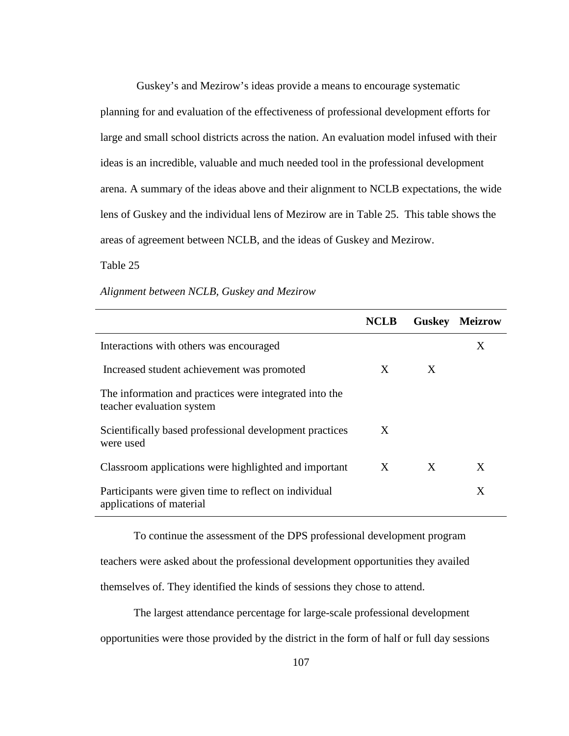Guskey's and Mezirow's ideas provide a means to encourage systematic planning for and evaluation of the effectiveness of professional development efforts for large and small school districts across the nation. An evaluation model infused with their ideas is an incredible, valuable and much needed tool in the professional development arena. A summary of the ideas above and their alignment to NCLB expectations, the wide lens of Guskey and the individual lens of Mezirow are in Table 25. This table shows the areas of agreement between NCLB, and the ideas of Guskey and Mezirow.

Table 25

| Alignment between NCLB, Guskey and Mezirow |  |
|--------------------------------------------|--|
|--------------------------------------------|--|

|                                                                                     | NCLB | <b>Guskey</b> | <b>Meizrow</b> |
|-------------------------------------------------------------------------------------|------|---------------|----------------|
| Interactions with others was encouraged                                             |      |               | X              |
| Increased student achievement was promoted                                          | X    | X             |                |
| The information and practices were integrated into the<br>teacher evaluation system |      |               |                |
| Scientifically based professional development practices<br>were used                | X    |               |                |
| Classroom applications were highlighted and important                               | X    | X             | X              |
| Participants were given time to reflect on individual<br>applications of material   |      |               | Χ              |

 To continue the assessment of the DPS professional development program teachers were asked about the professional development opportunities they availed themselves of. They identified the kinds of sessions they chose to attend.

The largest attendance percentage for large-scale professional development

opportunities were those provided by the district in the form of half or full day sessions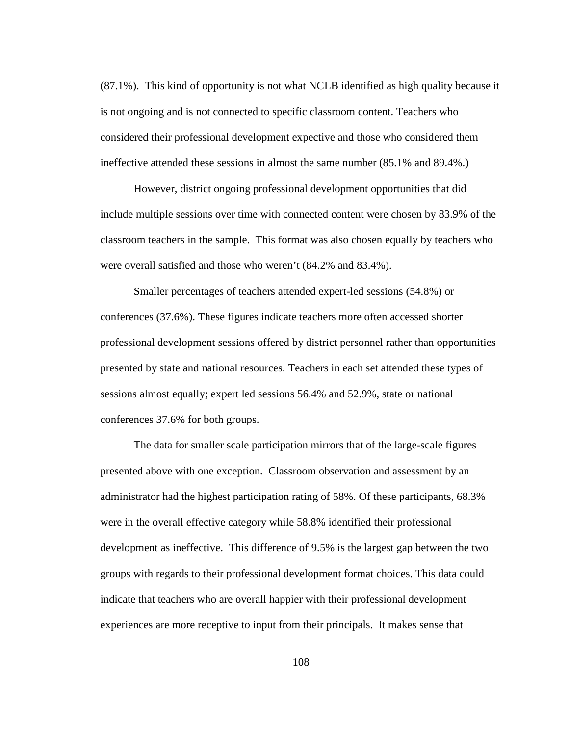(87.1%). This kind of opportunity is not what NCLB identified as high quality because it is not ongoing and is not connected to specific classroom content. Teachers who considered their professional development expective and those who considered them ineffective attended these sessions in almost the same number (85.1% and 89.4%.)

However, district ongoing professional development opportunities that did include multiple sessions over time with connected content were chosen by 83.9% of the classroom teachers in the sample. This format was also chosen equally by teachers who were overall satisfied and those who weren't (84.2% and 83.4%).

Smaller percentages of teachers attended expert-led sessions (54.8%) or conferences (37.6%). These figures indicate teachers more often accessed shorter professional development sessions offered by district personnel rather than opportunities presented by state and national resources. Teachers in each set attended these types of sessions almost equally; expert led sessions 56.4% and 52.9%, state or national conferences 37.6% for both groups.

The data for smaller scale participation mirrors that of the large-scale figures presented above with one exception. Classroom observation and assessment by an administrator had the highest participation rating of 58%. Of these participants, 68.3% were in the overall effective category while 58.8% identified their professional development as ineffective. This difference of 9.5% is the largest gap between the two groups with regards to their professional development format choices. This data could indicate that teachers who are overall happier with their professional development experiences are more receptive to input from their principals. It makes sense that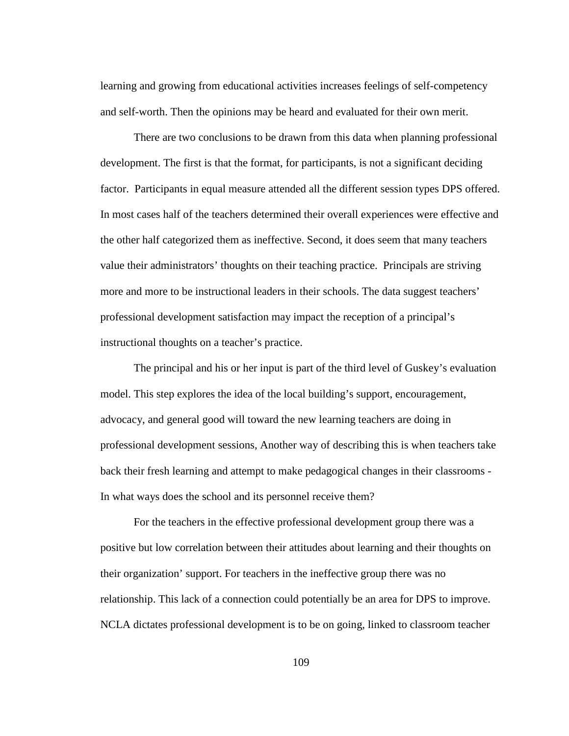learning and growing from educational activities increases feelings of self-competency and self-worth. Then the opinions may be heard and evaluated for their own merit.

There are two conclusions to be drawn from this data when planning professional development. The first is that the format, for participants, is not a significant deciding factor. Participants in equal measure attended all the different session types DPS offered. In most cases half of the teachers determined their overall experiences were effective and the other half categorized them as ineffective. Second, it does seem that many teachers value their administrators' thoughts on their teaching practice. Principals are striving more and more to be instructional leaders in their schools. The data suggest teachers' professional development satisfaction may impact the reception of a principal's instructional thoughts on a teacher's practice.

The principal and his or her input is part of the third level of Guskey's evaluation model. This step explores the idea of the local building's support, encouragement, advocacy, and general good will toward the new learning teachers are doing in professional development sessions, Another way of describing this is when teachers take back their fresh learning and attempt to make pedagogical changes in their classrooms - In what ways does the school and its personnel receive them?

For the teachers in the effective professional development group there was a positive but low correlation between their attitudes about learning and their thoughts on their organization' support. For teachers in the ineffective group there was no relationship. This lack of a connection could potentially be an area for DPS to improve. NCLA dictates professional development is to be on going, linked to classroom teacher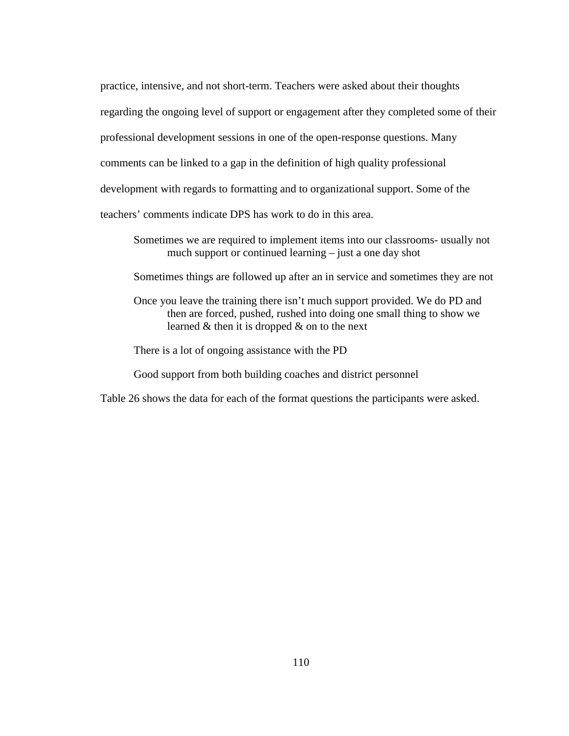practice, intensive, and not short-term. Teachers were asked about their thoughts regarding the ongoing level of support or engagement after they completed some of their professional development sessions in one of the open-response questions. Many comments can be linked to a gap in the definition of high quality professional development with regards to formatting and to organizational support. Some of the teachers' comments indicate DPS has work to do in this area.

- Sometimes we are required to implement items into our classrooms- usually not much support or continued learning – just a one day shot
- Sometimes things are followed up after an in service and sometimes they are not
- Once you leave the training there isn't much support provided. We do PD and then are forced, pushed, rushed into doing one small thing to show we learned & then it is dropped & on to the next
- There is a lot of ongoing assistance with the PD
- Good support from both building coaches and district personnel

Table 26 shows the data for each of the format questions the participants were asked.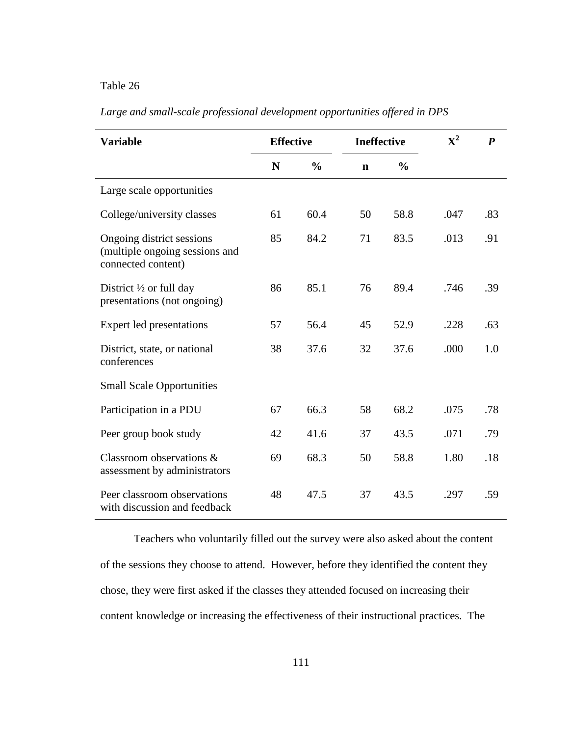# Table 26

| <b>Variable</b>                                                                   | <b>Effective</b> |               | <b>Ineffective</b> |               | ${\bf X}^2$ | $\boldsymbol{P}$ |
|-----------------------------------------------------------------------------------|------------------|---------------|--------------------|---------------|-------------|------------------|
|                                                                                   | N                | $\frac{0}{0}$ | $\mathbf n$        | $\frac{0}{0}$ |             |                  |
| Large scale opportunities                                                         |                  |               |                    |               |             |                  |
| College/university classes                                                        | 61               | 60.4          | 50                 | 58.8          | .047        | .83              |
| Ongoing district sessions<br>(multiple ongoing sessions and<br>connected content) | 85               | 84.2          | 71                 | 83.5          | .013        | .91              |
| District $\frac{1}{2}$ or full day<br>presentations (not ongoing)                 | 86               | 85.1          | 76                 | 89.4          | .746        | .39              |
| Expert led presentations                                                          | 57               | 56.4          | 45                 | 52.9          | .228        | .63              |
| District, state, or national<br>conferences                                       | 38               | 37.6          | 32                 | 37.6          | .000        | 1.0              |
| <b>Small Scale Opportunities</b>                                                  |                  |               |                    |               |             |                  |
| Participation in a PDU                                                            | 67               | 66.3          | 58                 | 68.2          | .075        | .78              |
| Peer group book study                                                             | 42               | 41.6          | 37                 | 43.5          | .071        | .79              |
| Classroom observations &<br>assessment by administrators                          | 69               | 68.3          | 50                 | 58.8          | 1.80        | .18              |
| Peer classroom observations<br>with discussion and feedback                       | 48               | 47.5          | 37                 | 43.5          | .297        | .59              |

*Large and small-scale professional development opportunities offered in DPS* 

 Teachers who voluntarily filled out the survey were also asked about the content of the sessions they choose to attend. However, before they identified the content they chose, they were first asked if the classes they attended focused on increasing their content knowledge or increasing the effectiveness of their instructional practices. The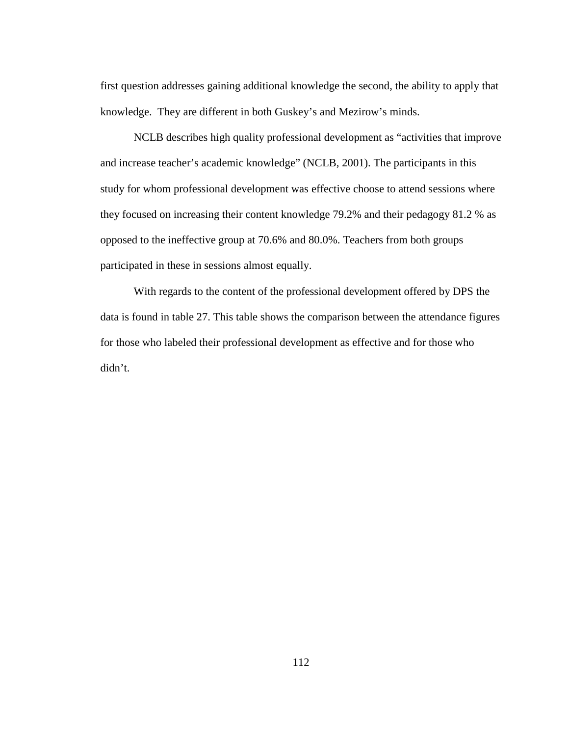first question addresses gaining additional knowledge the second, the ability to apply that knowledge. They are different in both Guskey's and Mezirow's minds.

NCLB describes high quality professional development as "activities that improve and increase teacher's academic knowledge" (NCLB, 2001). The participants in this study for whom professional development was effective choose to attend sessions where they focused on increasing their content knowledge 79.2% and their pedagogy 81.2 % as opposed to the ineffective group at 70.6% and 80.0%. Teachers from both groups participated in these in sessions almost equally.

 With regards to the content of the professional development offered by DPS the data is found in table 27. This table shows the comparison between the attendance figures for those who labeled their professional development as effective and for those who didn't.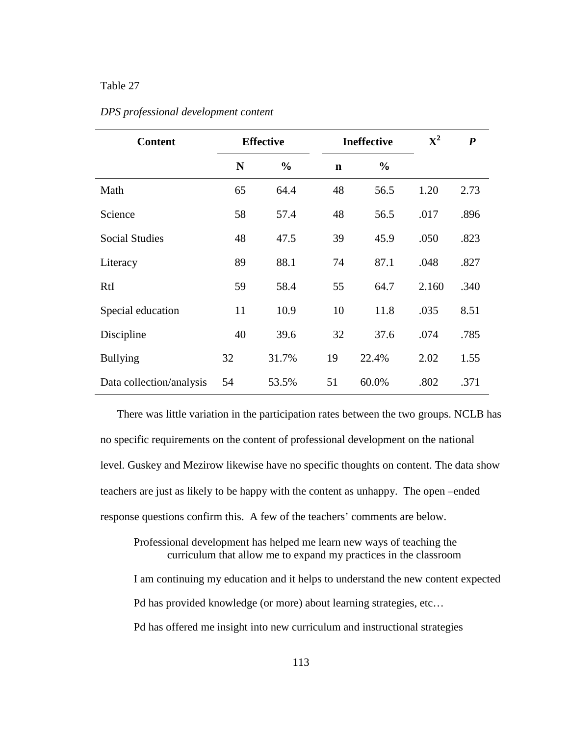## Table 27

| <b>Content</b>           | <b>Effective</b> |               |             | <b>Ineffective</b> | ${\bf X}^2$ | $\boldsymbol{P}$ |
|--------------------------|------------------|---------------|-------------|--------------------|-------------|------------------|
|                          | N                | $\frac{0}{0}$ | $\mathbf n$ | $\frac{6}{6}$      |             |                  |
| Math                     | 65               | 64.4          | 48          | 56.5               | 1.20        | 2.73             |
| Science                  | 58               | 57.4          | 48          | 56.5               | .017        | .896             |
| <b>Social Studies</b>    | 48               | 47.5          | 39          | 45.9               | .050        | .823             |
| Literacy                 | 89               | 88.1          | 74          | 87.1               | .048        | .827             |
| RtI                      | 59               | 58.4          | 55          | 64.7               | 2.160       | .340             |
| Special education        | 11               | 10.9          | 10          | 11.8               | .035        | 8.51             |
| Discipline               | 40               | 39.6          | 32          | 37.6               | .074        | .785             |
| <b>Bullying</b>          | 32               | 31.7%         | 19          | 22.4%              | 2.02        | 1.55             |
| Data collection/analysis | 54               | 53.5%         | 51          | 60.0%              | .802        | .371             |

## *DPS professional development content*

There was little variation in the participation rates between the two groups. NCLB has no specific requirements on the content of professional development on the national level. Guskey and Mezirow likewise have no specific thoughts on content. The data show teachers are just as likely to be happy with the content as unhappy. The open –ended response questions confirm this. A few of the teachers' comments are below.

Professional development has helped me learn new ways of teaching the curriculum that allow me to expand my practices in the classroom I am continuing my education and it helps to understand the new content expected

Pd has provided knowledge (or more) about learning strategies, etc…

Pd has offered me insight into new curriculum and instructional strategies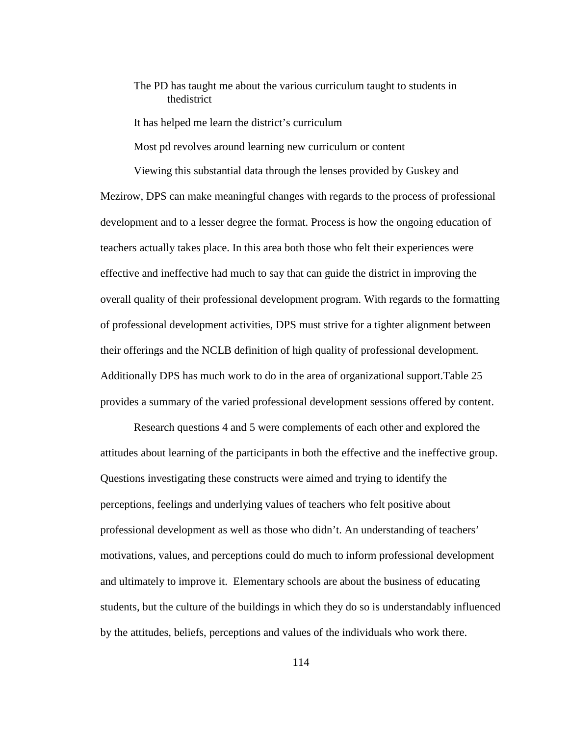# The PD has taught me about the various curriculum taught to students in thedistrict

It has helped me learn the district's curriculum

Most pd revolves around learning new curriculum or content

Viewing this substantial data through the lenses provided by Guskey and Mezirow, DPS can make meaningful changes with regards to the process of professional development and to a lesser degree the format. Process is how the ongoing education of teachers actually takes place. In this area both those who felt their experiences were effective and ineffective had much to say that can guide the district in improving the overall quality of their professional development program. With regards to the formatting of professional development activities, DPS must strive for a tighter alignment between their offerings and the NCLB definition of high quality of professional development. Additionally DPS has much work to do in the area of organizational support.Table 25 provides a summary of the varied professional development sessions offered by content.

Research questions 4 and 5 were complements of each other and explored the attitudes about learning of the participants in both the effective and the ineffective group. Questions investigating these constructs were aimed and trying to identify the perceptions, feelings and underlying values of teachers who felt positive about professional development as well as those who didn't. An understanding of teachers' motivations, values, and perceptions could do much to inform professional development and ultimately to improve it. Elementary schools are about the business of educating students, but the culture of the buildings in which they do so is understandably influenced by the attitudes, beliefs, perceptions and values of the individuals who work there.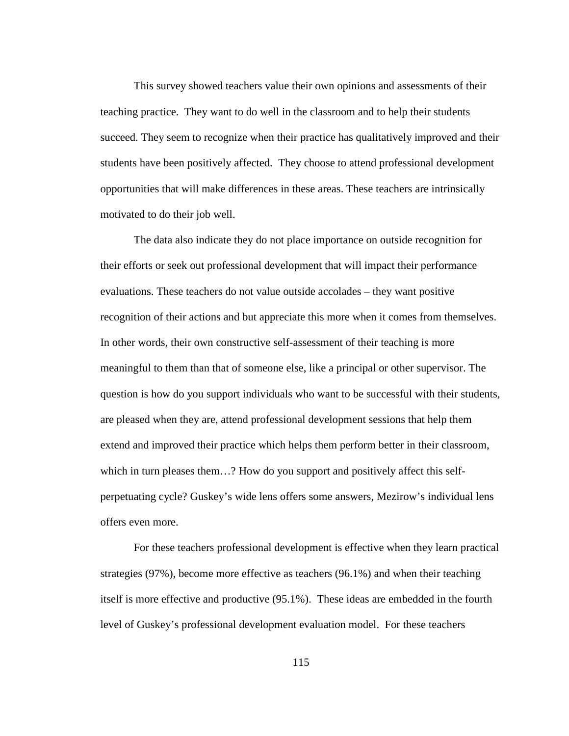This survey showed teachers value their own opinions and assessments of their teaching practice. They want to do well in the classroom and to help their students succeed. They seem to recognize when their practice has qualitatively improved and their students have been positively affected. They choose to attend professional development opportunities that will make differences in these areas. These teachers are intrinsically motivated to do their job well.

The data also indicate they do not place importance on outside recognition for their efforts or seek out professional development that will impact their performance evaluations. These teachers do not value outside accolades – they want positive recognition of their actions and but appreciate this more when it comes from themselves. In other words, their own constructive self-assessment of their teaching is more meaningful to them than that of someone else, like a principal or other supervisor. The question is how do you support individuals who want to be successful with their students, are pleased when they are, attend professional development sessions that help them extend and improved their practice which helps them perform better in their classroom, which in turn pleases them...? How do you support and positively affect this selfperpetuating cycle? Guskey's wide lens offers some answers, Mezirow's individual lens offers even more.

For these teachers professional development is effective when they learn practical strategies (97%), become more effective as teachers (96.1%) and when their teaching itself is more effective and productive (95.1%). These ideas are embedded in the fourth level of Guskey's professional development evaluation model. For these teachers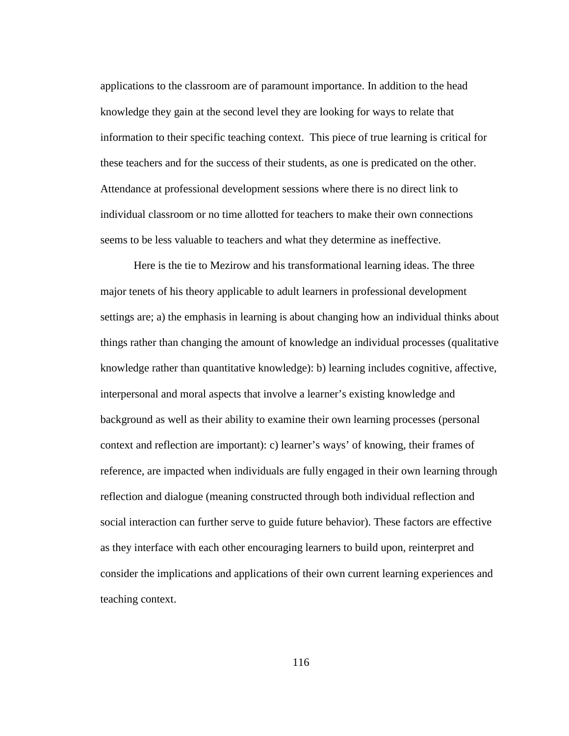applications to the classroom are of paramount importance. In addition to the head knowledge they gain at the second level they are looking for ways to relate that information to their specific teaching context. This piece of true learning is critical for these teachers and for the success of their students, as one is predicated on the other. Attendance at professional development sessions where there is no direct link to individual classroom or no time allotted for teachers to make their own connections seems to be less valuable to teachers and what they determine as ineffective.

Here is the tie to Mezirow and his transformational learning ideas. The three major tenets of his theory applicable to adult learners in professional development settings are; a) the emphasis in learning is about changing how an individual thinks about things rather than changing the amount of knowledge an individual processes (qualitative knowledge rather than quantitative knowledge): b) learning includes cognitive, affective, interpersonal and moral aspects that involve a learner's existing knowledge and background as well as their ability to examine their own learning processes (personal context and reflection are important): c) learner's ways' of knowing, their frames of reference, are impacted when individuals are fully engaged in their own learning through reflection and dialogue (meaning constructed through both individual reflection and social interaction can further serve to guide future behavior). These factors are effective as they interface with each other encouraging learners to build upon, reinterpret and consider the implications and applications of their own current learning experiences and teaching context.

116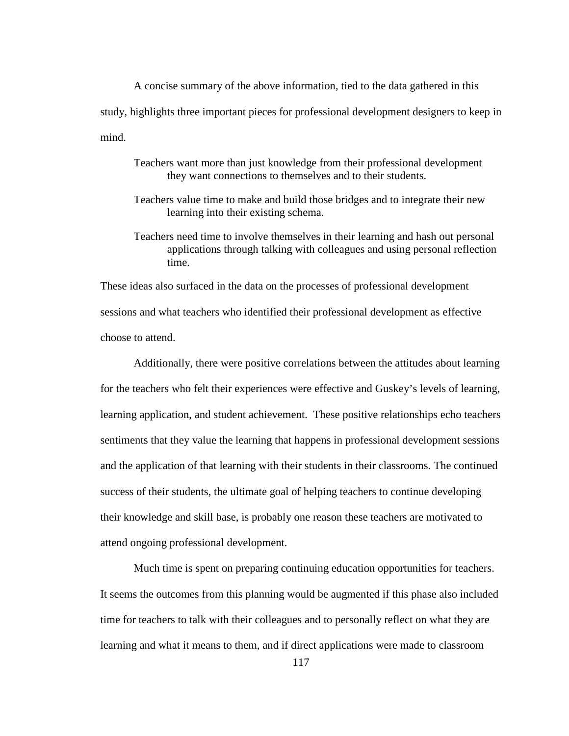A concise summary of the above information, tied to the data gathered in this study, highlights three important pieces for professional development designers to keep in mind.

- Teachers want more than just knowledge from their professional development they want connections to themselves and to their students.
- Teachers value time to make and build those bridges and to integrate their new learning into their existing schema.
- Teachers need time to involve themselves in their learning and hash out personal applications through talking with colleagues and using personal reflection time.

These ideas also surfaced in the data on the processes of professional development sessions and what teachers who identified their professional development as effective choose to attend.

Additionally, there were positive correlations between the attitudes about learning for the teachers who felt their experiences were effective and Guskey's levels of learning, learning application, and student achievement. These positive relationships echo teachers sentiments that they value the learning that happens in professional development sessions and the application of that learning with their students in their classrooms. The continued success of their students, the ultimate goal of helping teachers to continue developing their knowledge and skill base, is probably one reason these teachers are motivated to attend ongoing professional development.

Much time is spent on preparing continuing education opportunities for teachers. It seems the outcomes from this planning would be augmented if this phase also included time for teachers to talk with their colleagues and to personally reflect on what they are learning and what it means to them, and if direct applications were made to classroom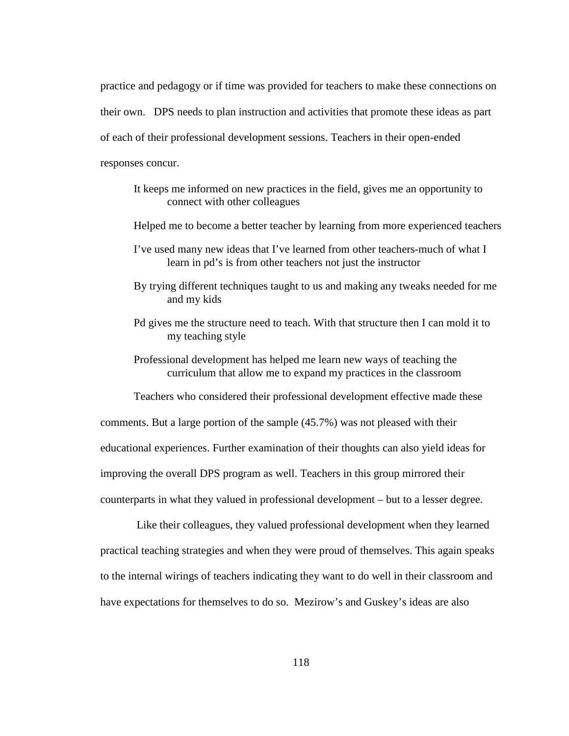practice and pedagogy or if time was provided for teachers to make these connections on their own. DPS needs to plan instruction and activities that promote these ideas as part of each of their professional development sessions. Teachers in their open-ended responses concur.

It keeps me informed on new practices in the field, gives me an opportunity to connect with other colleagues

Helped me to become a better teacher by learning from more experienced teachers

- I've used many new ideas that I've learned from other teachers-much of what I learn in pd's is from other teachers not just the instructor
- By trying different techniques taught to us and making any tweaks needed for me and my kids
- Pd gives me the structure need to teach. With that structure then I can mold it to my teaching style
- Professional development has helped me learn new ways of teaching the curriculum that allow me to expand my practices in the classroom

Teachers who considered their professional development effective made these

comments. But a large portion of the sample (45.7%) was not pleased with their educational experiences. Further examination of their thoughts can also yield ideas for improving the overall DPS program as well. Teachers in this group mirrored their counterparts in what they valued in professional development – but to a lesser degree.

 Like their colleagues, they valued professional development when they learned practical teaching strategies and when they were proud of themselves. This again speaks to the internal wirings of teachers indicating they want to do well in their classroom and have expectations for themselves to do so. Mezirow's and Guskey's ideas are also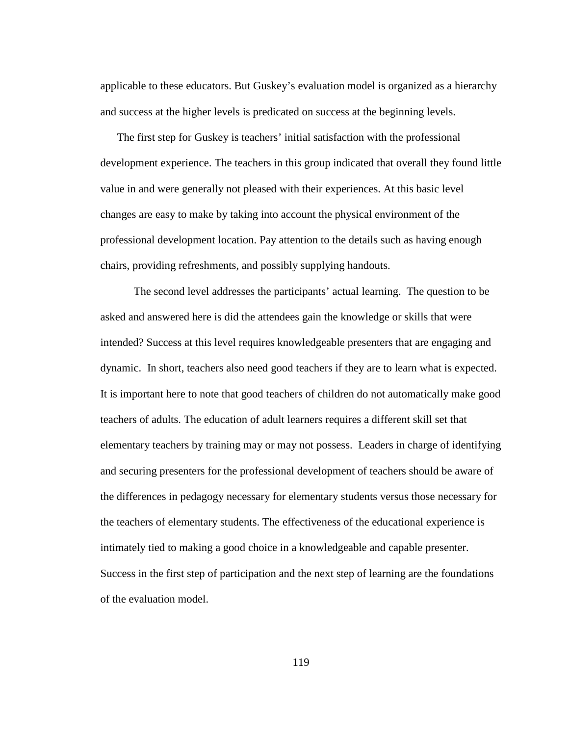applicable to these educators. But Guskey's evaluation model is organized as a hierarchy and success at the higher levels is predicated on success at the beginning levels.

The first step for Guskey is teachers' initial satisfaction with the professional development experience. The teachers in this group indicated that overall they found little value in and were generally not pleased with their experiences. At this basic level changes are easy to make by taking into account the physical environment of the professional development location. Pay attention to the details such as having enough chairs, providing refreshments, and possibly supplying handouts.

The second level addresses the participants' actual learning. The question to be asked and answered here is did the attendees gain the knowledge or skills that were intended? Success at this level requires knowledgeable presenters that are engaging and dynamic. In short, teachers also need good teachers if they are to learn what is expected. It is important here to note that good teachers of children do not automatically make good teachers of adults. The education of adult learners requires a different skill set that elementary teachers by training may or may not possess. Leaders in charge of identifying and securing presenters for the professional development of teachers should be aware of the differences in pedagogy necessary for elementary students versus those necessary for the teachers of elementary students. The effectiveness of the educational experience is intimately tied to making a good choice in a knowledgeable and capable presenter. Success in the first step of participation and the next step of learning are the foundations of the evaluation model.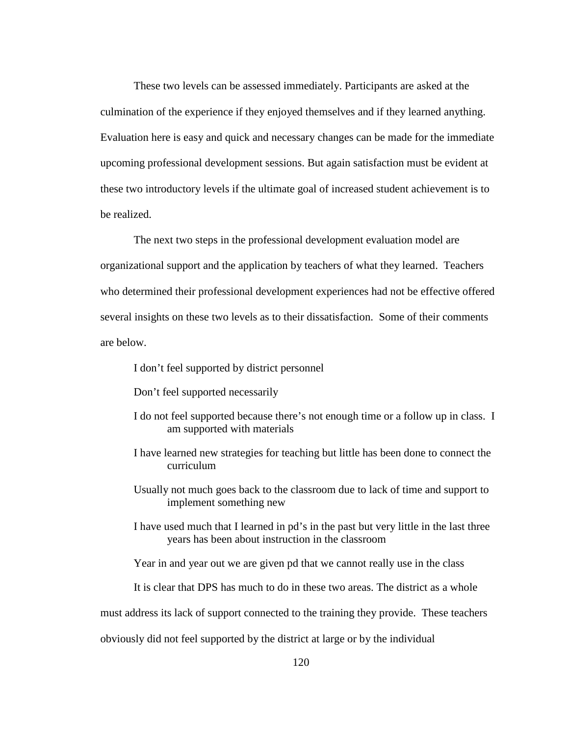These two levels can be assessed immediately. Participants are asked at the culmination of the experience if they enjoyed themselves and if they learned anything. Evaluation here is easy and quick and necessary changes can be made for the immediate upcoming professional development sessions. But again satisfaction must be evident at these two introductory levels if the ultimate goal of increased student achievement is to be realized.

The next two steps in the professional development evaluation model are organizational support and the application by teachers of what they learned. Teachers who determined their professional development experiences had not be effective offered several insights on these two levels as to their dissatisfaction. Some of their comments are below.

I don't feel supported by district personnel

Don't feel supported necessarily

- I do not feel supported because there's not enough time or a follow up in class. I am supported with materials
- I have learned new strategies for teaching but little has been done to connect the curriculum
- Usually not much goes back to the classroom due to lack of time and support to implement something new
- I have used much that I learned in pd's in the past but very little in the last three years has been about instruction in the classroom

Year in and year out we are given pd that we cannot really use in the class

It is clear that DPS has much to do in these two areas. The district as a whole

must address its lack of support connected to the training they provide. These teachers

obviously did not feel supported by the district at large or by the individual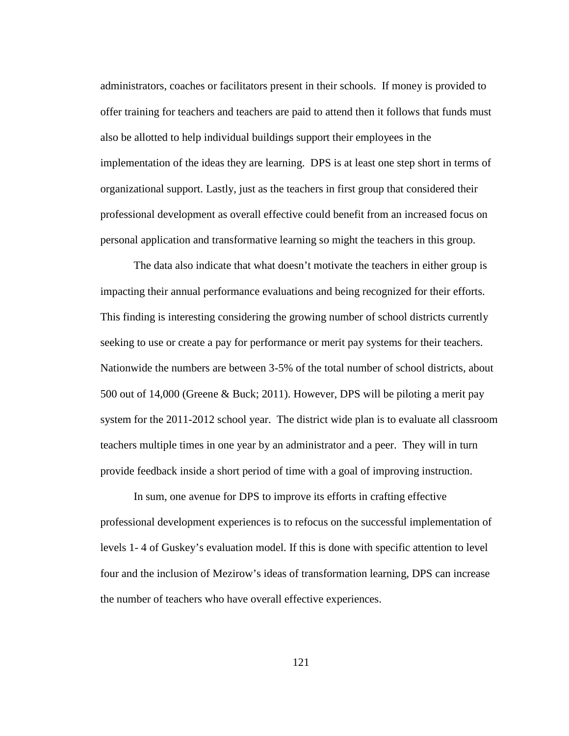administrators, coaches or facilitators present in their schools. If money is provided to offer training for teachers and teachers are paid to attend then it follows that funds must also be allotted to help individual buildings support their employees in the implementation of the ideas they are learning. DPS is at least one step short in terms of organizational support. Lastly, just as the teachers in first group that considered their professional development as overall effective could benefit from an increased focus on personal application and transformative learning so might the teachers in this group.

The data also indicate that what doesn't motivate the teachers in either group is impacting their annual performance evaluations and being recognized for their efforts. This finding is interesting considering the growing number of school districts currently seeking to use or create a pay for performance or merit pay systems for their teachers. Nationwide the numbers are between 3-5% of the total number of school districts, about 500 out of 14,000 (Greene & Buck; 2011). However, DPS will be piloting a merit pay system for the 2011-2012 school year. The district wide plan is to evaluate all classroom teachers multiple times in one year by an administrator and a peer. They will in turn provide feedback inside a short period of time with a goal of improving instruction.

In sum, one avenue for DPS to improve its efforts in crafting effective professional development experiences is to refocus on the successful implementation of levels 1- 4 of Guskey's evaluation model. If this is done with specific attention to level four and the inclusion of Mezirow's ideas of transformation learning, DPS can increase the number of teachers who have overall effective experiences.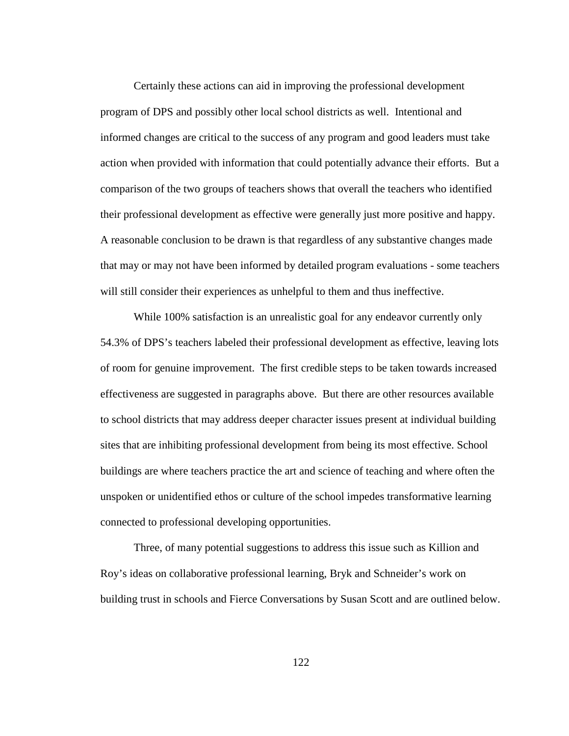Certainly these actions can aid in improving the professional development program of DPS and possibly other local school districts as well. Intentional and informed changes are critical to the success of any program and good leaders must take action when provided with information that could potentially advance their efforts. But a comparison of the two groups of teachers shows that overall the teachers who identified their professional development as effective were generally just more positive and happy. A reasonable conclusion to be drawn is that regardless of any substantive changes made that may or may not have been informed by detailed program evaluations - some teachers will still consider their experiences as unhelpful to them and thus ineffective.

While 100% satisfaction is an unrealistic goal for any endeavor currently only 54.3% of DPS's teachers labeled their professional development as effective, leaving lots of room for genuine improvement. The first credible steps to be taken towards increased effectiveness are suggested in paragraphs above. But there are other resources available to school districts that may address deeper character issues present at individual building sites that are inhibiting professional development from being its most effective. School buildings are where teachers practice the art and science of teaching and where often the unspoken or unidentified ethos or culture of the school impedes transformative learning connected to professional developing opportunities.

Three, of many potential suggestions to address this issue such as Killion and Roy's ideas on collaborative professional learning, Bryk and Schneider's work on building trust in schools and Fierce Conversations by Susan Scott and are outlined below.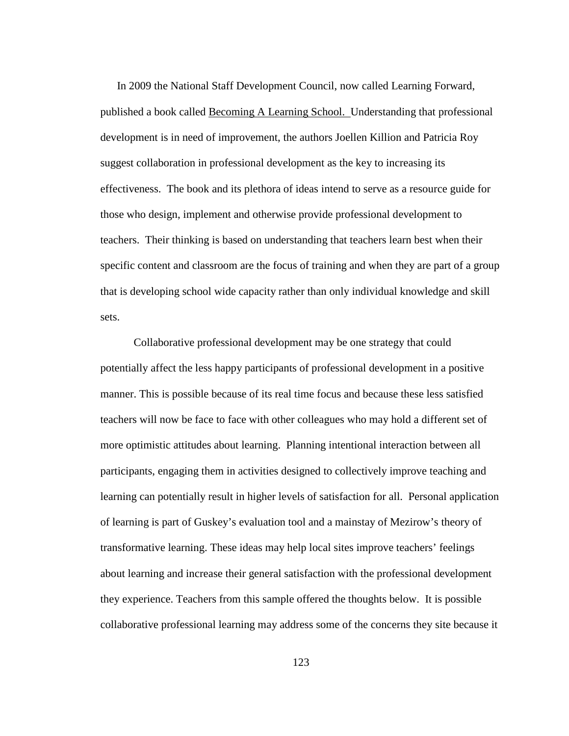In 2009 the National Staff Development Council, now called Learning Forward, published a book called Becoming A Learning School. Understanding that professional development is in need of improvement, the authors Joellen Killion and Patricia Roy suggest collaboration in professional development as the key to increasing its effectiveness. The book and its plethora of ideas intend to serve as a resource guide for those who design, implement and otherwise provide professional development to teachers. Their thinking is based on understanding that teachers learn best when their specific content and classroom are the focus of training and when they are part of a group that is developing school wide capacity rather than only individual knowledge and skill sets.

Collaborative professional development may be one strategy that could potentially affect the less happy participants of professional development in a positive manner. This is possible because of its real time focus and because these less satisfied teachers will now be face to face with other colleagues who may hold a different set of more optimistic attitudes about learning. Planning intentional interaction between all participants, engaging them in activities designed to collectively improve teaching and learning can potentially result in higher levels of satisfaction for all. Personal application of learning is part of Guskey's evaluation tool and a mainstay of Mezirow's theory of transformative learning. These ideas may help local sites improve teachers' feelings about learning and increase their general satisfaction with the professional development they experience. Teachers from this sample offered the thoughts below. It is possible collaborative professional learning may address some of the concerns they site because it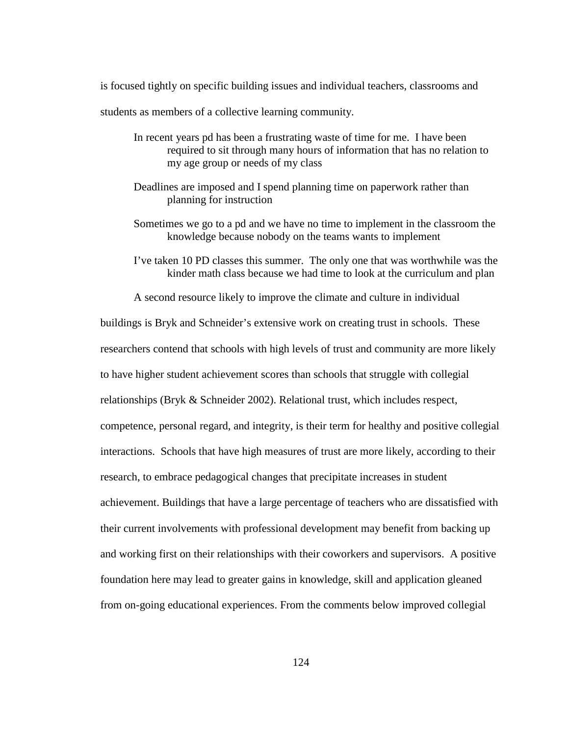is focused tightly on specific building issues and individual teachers, classrooms and students as members of a collective learning community.

- In recent years pd has been a frustrating waste of time for me. I have been required to sit through many hours of information that has no relation to my age group or needs of my class
- Deadlines are imposed and I spend planning time on paperwork rather than planning for instruction
- Sometimes we go to a pd and we have no time to implement in the classroom the knowledge because nobody on the teams wants to implement
- I've taken 10 PD classes this summer. The only one that was worthwhile was the kinder math class because we had time to look at the curriculum and plan

A second resource likely to improve the climate and culture in individual

buildings is Bryk and Schneider's extensive work on creating trust in schools. These researchers contend that schools with high levels of trust and community are more likely to have higher student achievement scores than schools that struggle with collegial relationships (Bryk & Schneider 2002). Relational trust, which includes respect, competence, personal regard, and integrity, is their term for healthy and positive collegial interactions. Schools that have high measures of trust are more likely, according to their research, to embrace pedagogical changes that precipitate increases in student achievement. Buildings that have a large percentage of teachers who are dissatisfied with their current involvements with professional development may benefit from backing up and working first on their relationships with their coworkers and supervisors. A positive foundation here may lead to greater gains in knowledge, skill and application gleaned from on-going educational experiences. From the comments below improved collegial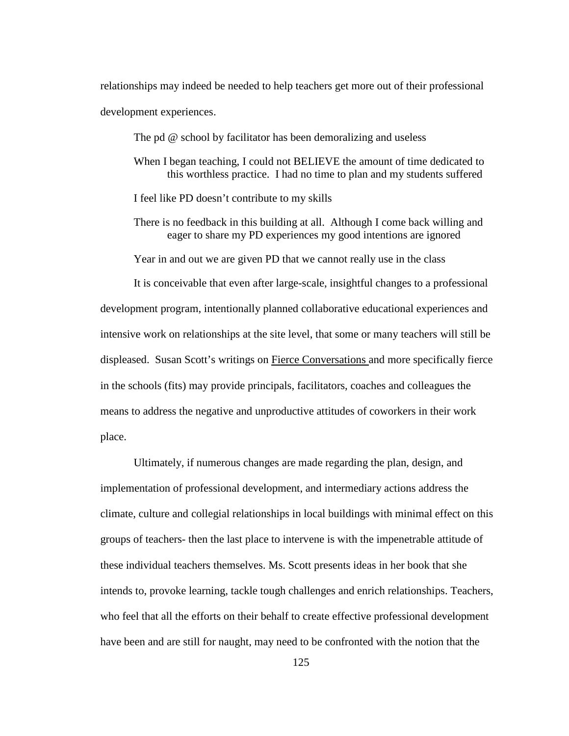relationships may indeed be needed to help teachers get more out of their professional development experiences.

The pd @ school by facilitator has been demoralizing and useless

- When I began teaching, I could not BELIEVE the amount of time dedicated to this worthless practice. I had no time to plan and my students suffered
- I feel like PD doesn't contribute to my skills
- There is no feedback in this building at all. Although I come back willing and eager to share my PD experiences my good intentions are ignored

Year in and out we are given PD that we cannot really use in the class

 It is conceivable that even after large-scale, insightful changes to a professional development program, intentionally planned collaborative educational experiences and intensive work on relationships at the site level, that some or many teachers will still be displeased. Susan Scott's writings on Fierce Conversations and more specifically fierce in the schools (fits) may provide principals, facilitators, coaches and colleagues the means to address the negative and unproductive attitudes of coworkers in their work place.

 Ultimately, if numerous changes are made regarding the plan, design, and implementation of professional development, and intermediary actions address the climate, culture and collegial relationships in local buildings with minimal effect on this groups of teachers- then the last place to intervene is with the impenetrable attitude of these individual teachers themselves. Ms. Scott presents ideas in her book that she intends to, provoke learning, tackle tough challenges and enrich relationships. Teachers, who feel that all the efforts on their behalf to create effective professional development have been and are still for naught, may need to be confronted with the notion that the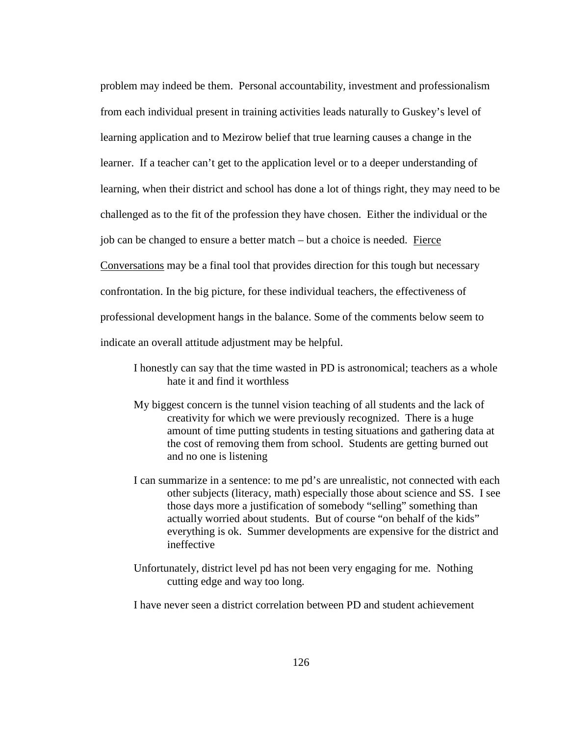problem may indeed be them. Personal accountability, investment and professionalism from each individual present in training activities leads naturally to Guskey's level of learning application and to Mezirow belief that true learning causes a change in the learner. If a teacher can't get to the application level or to a deeper understanding of learning, when their district and school has done a lot of things right, they may need to be challenged as to the fit of the profession they have chosen. Either the individual or the job can be changed to ensure a better match – but a choice is needed. Fierce Conversations may be a final tool that provides direction for this tough but necessary confrontation. In the big picture, for these individual teachers, the effectiveness of professional development hangs in the balance. Some of the comments below seem to indicate an overall attitude adjustment may be helpful.

- I honestly can say that the time wasted in PD is astronomical; teachers as a whole hate it and find it worthless
- My biggest concern is the tunnel vision teaching of all students and the lack of creativity for which we were previously recognized. There is a huge amount of time putting students in testing situations and gathering data at the cost of removing them from school. Students are getting burned out and no one is listening
- I can summarize in a sentence: to me pd's are unrealistic, not connected with each other subjects (literacy, math) especially those about science and SS. I see those days more a justification of somebody "selling" something than actually worried about students. But of course "on behalf of the kids" everything is ok. Summer developments are expensive for the district and ineffective
- Unfortunately, district level pd has not been very engaging for me. Nothing cutting edge and way too long.
- I have never seen a district correlation between PD and student achievement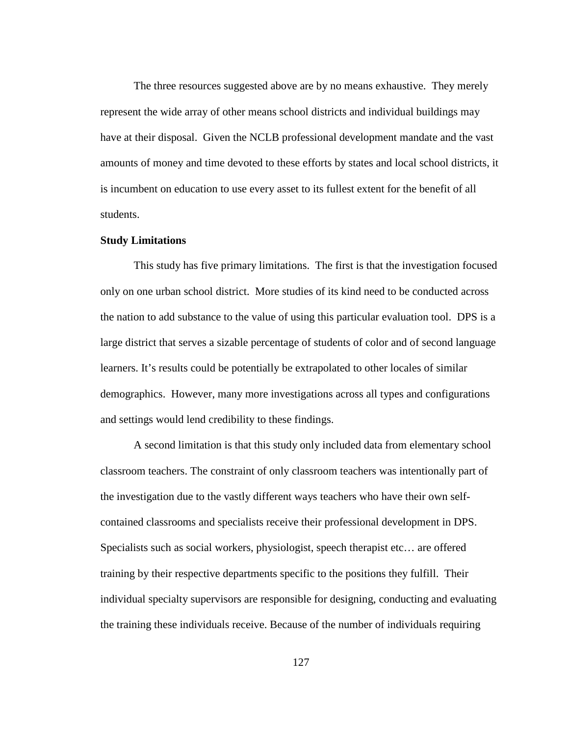The three resources suggested above are by no means exhaustive. They merely represent the wide array of other means school districts and individual buildings may have at their disposal. Given the NCLB professional development mandate and the vast amounts of money and time devoted to these efforts by states and local school districts, it is incumbent on education to use every asset to its fullest extent for the benefit of all students.

#### **Study Limitations**

 This study has five primary limitations. The first is that the investigation focused only on one urban school district. More studies of its kind need to be conducted across the nation to add substance to the value of using this particular evaluation tool. DPS is a large district that serves a sizable percentage of students of color and of second language learners. It's results could be potentially be extrapolated to other locales of similar demographics. However, many more investigations across all types and configurations and settings would lend credibility to these findings.

 A second limitation is that this study only included data from elementary school classroom teachers. The constraint of only classroom teachers was intentionally part of the investigation due to the vastly different ways teachers who have their own selfcontained classrooms and specialists receive their professional development in DPS. Specialists such as social workers, physiologist, speech therapist etc… are offered training by their respective departments specific to the positions they fulfill. Their individual specialty supervisors are responsible for designing, conducting and evaluating the training these individuals receive. Because of the number of individuals requiring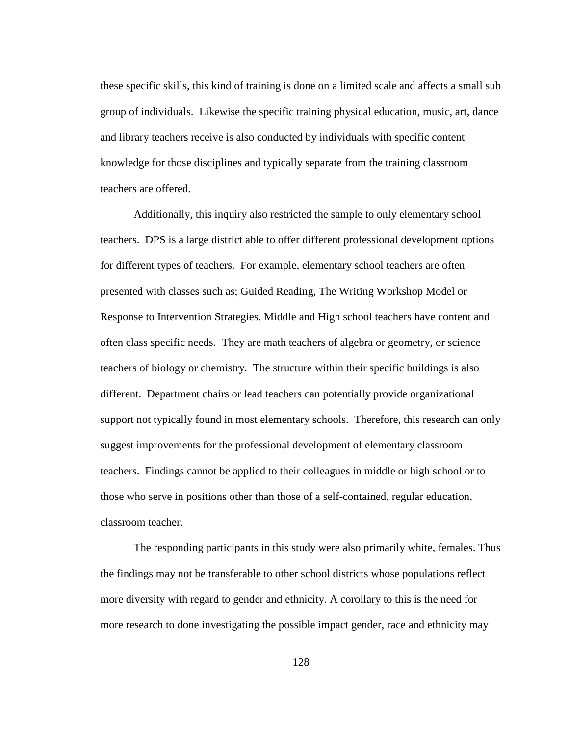these specific skills, this kind of training is done on a limited scale and affects a small sub group of individuals. Likewise the specific training physical education, music, art, dance and library teachers receive is also conducted by individuals with specific content knowledge for those disciplines and typically separate from the training classroom teachers are offered.

 Additionally, this inquiry also restricted the sample to only elementary school teachers. DPS is a large district able to offer different professional development options for different types of teachers. For example, elementary school teachers are often presented with classes such as; Guided Reading, The Writing Workshop Model or Response to Intervention Strategies. Middle and High school teachers have content and often class specific needs. They are math teachers of algebra or geometry, or science teachers of biology or chemistry. The structure within their specific buildings is also different. Department chairs or lead teachers can potentially provide organizational support not typically found in most elementary schools. Therefore, this research can only suggest improvements for the professional development of elementary classroom teachers. Findings cannot be applied to their colleagues in middle or high school or to those who serve in positions other than those of a self-contained, regular education, classroom teacher.

The responding participants in this study were also primarily white, females. Thus the findings may not be transferable to other school districts whose populations reflect more diversity with regard to gender and ethnicity. A corollary to this is the need for more research to done investigating the possible impact gender, race and ethnicity may

128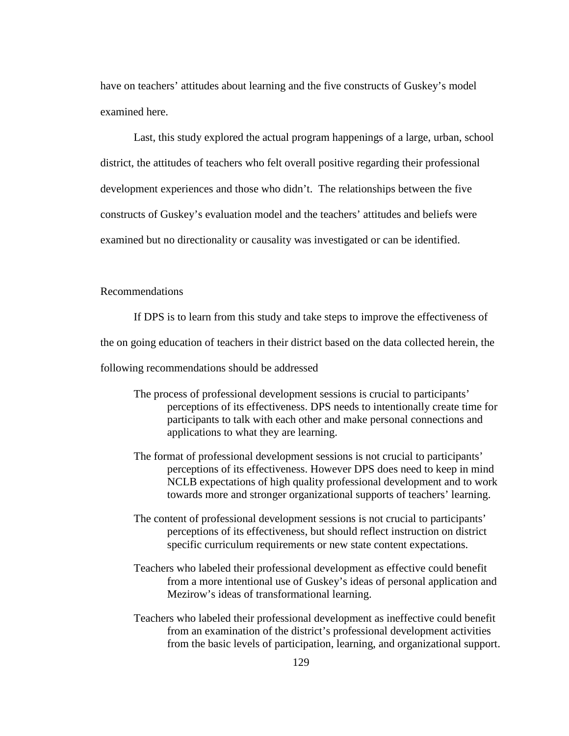have on teachers' attitudes about learning and the five constructs of Guskey's model examined here.

 Last, this study explored the actual program happenings of a large, urban, school district, the attitudes of teachers who felt overall positive regarding their professional development experiences and those who didn't. The relationships between the five constructs of Guskey's evaluation model and the teachers' attitudes and beliefs were examined but no directionality or causality was investigated or can be identified.

# Recommendations

If DPS is to learn from this study and take steps to improve the effectiveness of the on going education of teachers in their district based on the data collected herein, the following recommendations should be addressed

- The process of professional development sessions is crucial to participants' perceptions of its effectiveness. DPS needs to intentionally create time for participants to talk with each other and make personal connections and applications to what they are learning.
- The format of professional development sessions is not crucial to participants' perceptions of its effectiveness. However DPS does need to keep in mind NCLB expectations of high quality professional development and to work towards more and stronger organizational supports of teachers' learning.
- The content of professional development sessions is not crucial to participants' perceptions of its effectiveness, but should reflect instruction on district specific curriculum requirements or new state content expectations.
- Teachers who labeled their professional development as effective could benefit from a more intentional use of Guskey's ideas of personal application and Mezirow's ideas of transformational learning.
- Teachers who labeled their professional development as ineffective could benefit from an examination of the district's professional development activities from the basic levels of participation, learning, and organizational support.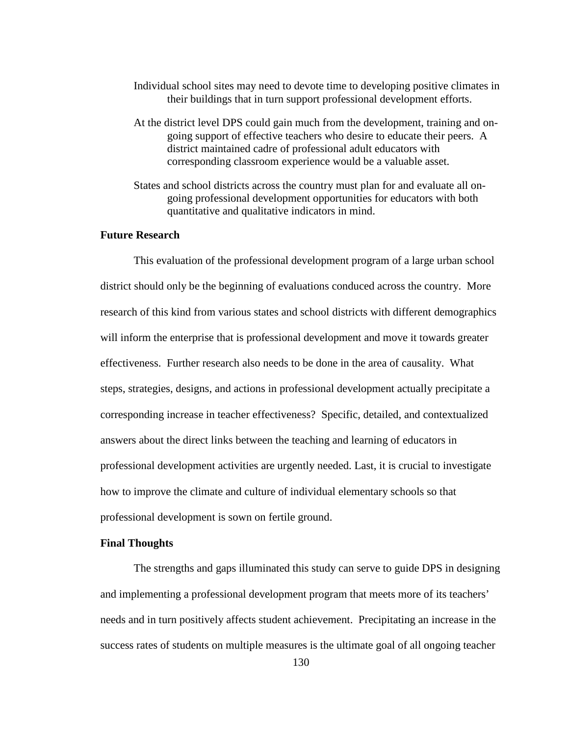- Individual school sites may need to devote time to developing positive climates in their buildings that in turn support professional development efforts.
- At the district level DPS could gain much from the development, training and ongoing support of effective teachers who desire to educate their peers. A district maintained cadre of professional adult educators with corresponding classroom experience would be a valuable asset.
- States and school districts across the country must plan for and evaluate all ongoing professional development opportunities for educators with both quantitative and qualitative indicators in mind.

## **Future Research**

 This evaluation of the professional development program of a large urban school district should only be the beginning of evaluations conduced across the country. More research of this kind from various states and school districts with different demographics will inform the enterprise that is professional development and move it towards greater effectiveness. Further research also needs to be done in the area of causality. What steps, strategies, designs, and actions in professional development actually precipitate a corresponding increase in teacher effectiveness? Specific, detailed, and contextualized answers about the direct links between the teaching and learning of educators in professional development activities are urgently needed. Last, it is crucial to investigate how to improve the climate and culture of individual elementary schools so that professional development is sown on fertile ground.

## **Final Thoughts**

The strengths and gaps illuminated this study can serve to guide DPS in designing and implementing a professional development program that meets more of its teachers' needs and in turn positively affects student achievement. Precipitating an increase in the success rates of students on multiple measures is the ultimate goal of all ongoing teacher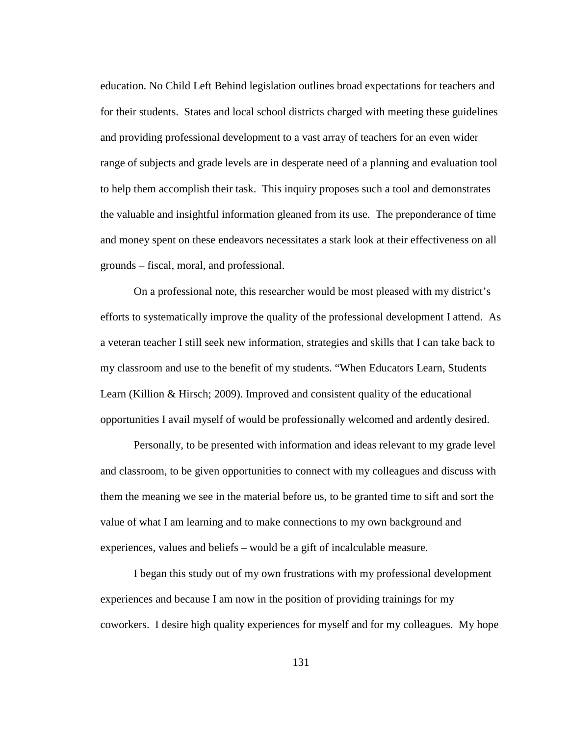education. No Child Left Behind legislation outlines broad expectations for teachers and for their students. States and local school districts charged with meeting these guidelines and providing professional development to a vast array of teachers for an even wider range of subjects and grade levels are in desperate need of a planning and evaluation tool to help them accomplish their task. This inquiry proposes such a tool and demonstrates the valuable and insightful information gleaned from its use. The preponderance of time and money spent on these endeavors necessitates a stark look at their effectiveness on all grounds – fiscal, moral, and professional.

On a professional note, this researcher would be most pleased with my district's efforts to systematically improve the quality of the professional development I attend. As a veteran teacher I still seek new information, strategies and skills that I can take back to my classroom and use to the benefit of my students. "When Educators Learn, Students Learn (Killion & Hirsch; 2009). Improved and consistent quality of the educational opportunities I avail myself of would be professionally welcomed and ardently desired.

Personally, to be presented with information and ideas relevant to my grade level and classroom, to be given opportunities to connect with my colleagues and discuss with them the meaning we see in the material before us, to be granted time to sift and sort the value of what I am learning and to make connections to my own background and experiences, values and beliefs – would be a gift of incalculable measure.

I began this study out of my own frustrations with my professional development experiences and because I am now in the position of providing trainings for my coworkers. I desire high quality experiences for myself and for my colleagues. My hope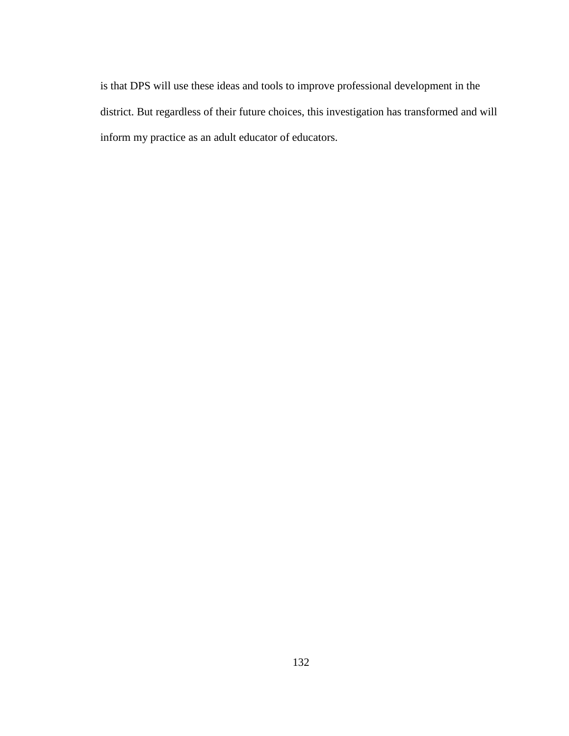is that DPS will use these ideas and tools to improve professional development in the district. But regardless of their future choices, this investigation has transformed and will inform my practice as an adult educator of educators.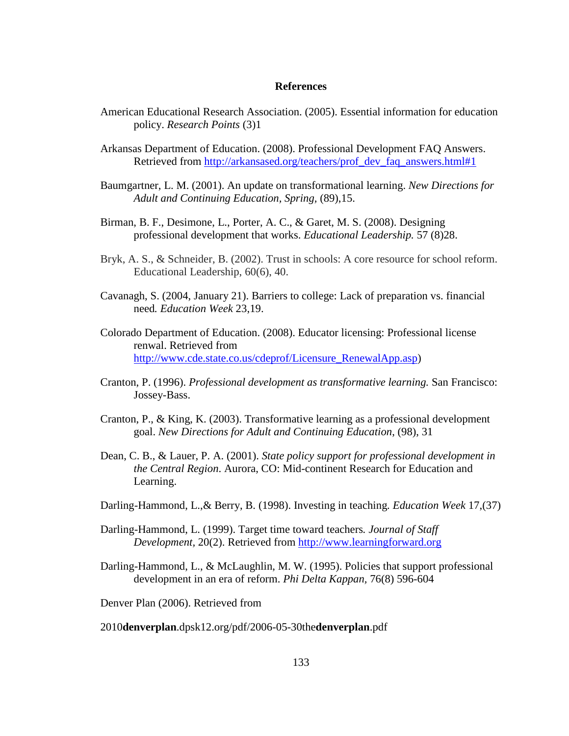### **References**

- American Educational Research Association. (2005). Essential information for education policy. *Research Points* (3)1
- Arkansas Department of Education. (2008). Professional Development FAQ Answers. Retrieved from http://arkansased.org/teachers/prof\_dev\_faq\_answers.html#1
- Baumgartner, L. M. (2001). An update on transformational learning. *New Directions for Adult and Continuing Education, Spring,* (89),15.
- Birman, B. F., Desimone, L., Porter, A. C., & Garet, M. S. (2008). Designing professional development that works. *Educational Leadership.* 57 (8)28.
- Bryk, A. S., & Schneider, B. (2002). Trust in schools: A core resource for school reform. Educational Leadership, 60(6), 40.
- Cavanagh, S. (2004, January 21). Barriers to college: Lack of preparation vs. financial need*. Education Week* 23,19.
- Colorado Department of Education. (2008). Educator licensing: Professional license renwal. Retrieved from http://www.cde.state.co.us/cdeprof/Licensure\_RenewalApp.asp)
- Cranton, P. (1996). *Professional development as transformative learning.* San Francisco: Jossey-Bass.
- Cranton, P., & King, K. (2003). Transformative learning as a professional development goal. *New Directions for Adult and Continuing Education*, (98), 31
- Dean, C. B., & Lauer, P. A. (2001). *State policy support for professional development in the Central Region*. Aurora, CO: Mid-continent Research for Education and Learning.
- Darling-Hammond, L.,& Berry, B. (1998). Investing in teaching*. Education Week* 17,(37)
- Darling-Hammond, L. (1999). Target time toward teachers*. Journal of Staff Development,* 20(2). Retrieved from http://www.learningforward.org
- Darling-Hammond, L., & McLaughlin, M. W. (1995). Policies that support professional development in an era of reform. *Phi Delta Kappan,* 76(8) 596-604

Denver Plan (2006). Retrieved from

2010**denverplan**.dpsk12.org/pdf/2006-05-30the**denverplan**.pdf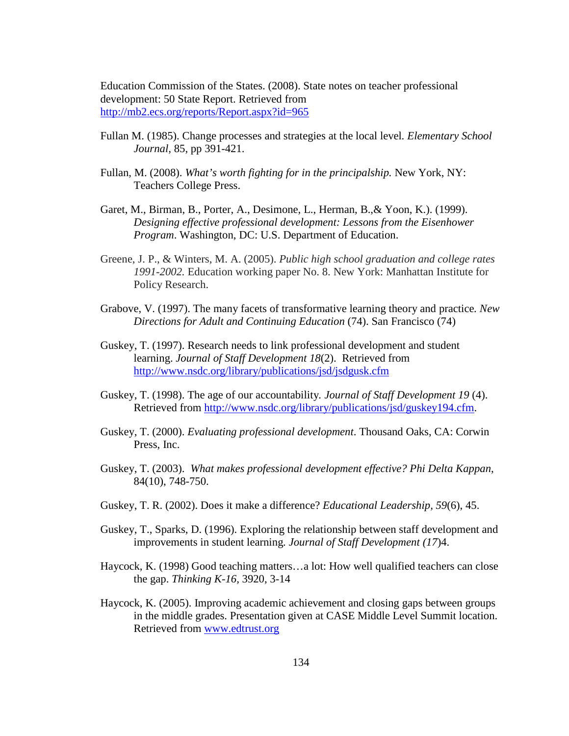Education Commission of the States. (2008). State notes on teacher professional development: 50 State Report. Retrieved from http://mb2.ecs.org/reports/Report.aspx?id=965

- Fullan M. (1985). Change processes and strategies at the local level*. Elementary School Journal,* 85, pp 391-421.
- Fullan, M. (2008). *What's worth fighting for in the principalship.* New York, NY: Teachers College Press.
- Garet, M., Birman, B., Porter, A., Desimone, L., Herman, B.,& Yoon, K.). (1999). *Designing effective professional development: Lessons from the Eisenhower Program*. Washington, DC: U.S. Department of Education.
- Greene, J. P., & Winters, M. A. (2005). *Public high school graduation and college rates 1991-2002.* Education working paper No. 8. New York: Manhattan Institute for Policy Research.
- Grabove, V. (1997). The many facets of transformative learning theory and practice*. New Directions for Adult and Continuing Education* (74). San Francisco (74)
- Guskey, T. (1997). Research needs to link professional development and student learning. *Journal of Staff Development 18*(2). Retrieved from http://www.nsdc.org/library/publications/jsd/jsdgusk.cfm
- Guskey, T. (1998). The age of our accountability*. Journal of Staff Development 19* (4). Retrieved from http://www.nsdc.org/library/publications/jsd/guskey194.cfm.
- Guskey, T. (2000). *Evaluating professional development*. Thousand Oaks, CA: Corwin Press, Inc.
- Guskey, T. (2003). *What makes professional development effective? Phi Delta Kappan*, 84(10), 748-750.
- Guskey, T. R. (2002). Does it make a difference? *Educational Leadership, 59*(6), 45.
- Guskey, T., Sparks, D. (1996). Exploring the relationship between staff development and improvements in student learning*. Journal of Staff Development (17*)4.
- Haycock, K. (1998) Good teaching matters…a lot: How well qualified teachers can close the gap. *Thinking K-16,* 3920, 3-14
- Haycock, K. (2005). Improving academic achievement and closing gaps between groups in the middle grades. Presentation given at CASE Middle Level Summit location. Retrieved from www.edtrust.org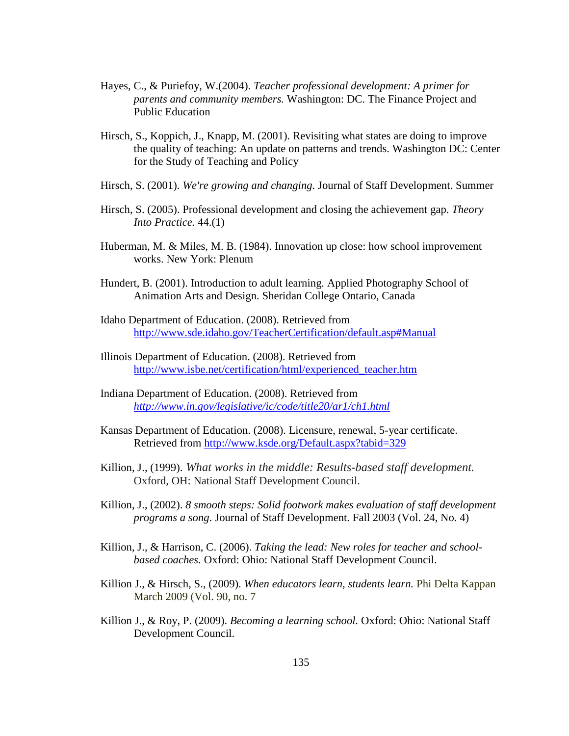- Hayes, C., & Puriefoy, W.(2004). *Teacher professional development: A primer for parents and community members.* Washington: DC. The Finance Project and Public Education
- Hirsch, S., Koppich, J., Knapp, M. (2001). Revisiting what states are doing to improve the quality of teaching: An update on patterns and trends. Washington DC: Center for the Study of Teaching and Policy
- Hirsch, S. (2001). *We're growing and changing.* Journal of Staff Development. Summer
- Hirsch, S. (2005). Professional development and closing the achievement gap. *Theory Into Practice.* 44.(1)
- Huberman, M. & Miles, M. B. (1984). Innovation up close: how school improvement works. New York: Plenum
- Hundert, B. (2001). Introduction to adult learning. Applied Photography School of Animation Arts and Design. Sheridan College Ontario, Canada
- Idaho Department of Education. (2008). Retrieved from http://www.sde.idaho.gov/TeacherCertification/default.asp#Manual
- Illinois Department of Education. (2008). Retrieved from http://www.isbe.net/certification/html/experienced\_teacher.htm
- Indiana Department of Education. (2008). Retrieved from *http://www.in.gov/legislative/ic/code/title20/ar1/ch1.html*
- Kansas Department of Education. (2008). Licensure, renewal, 5-year certificate. Retrieved from http://www.ksde.org/Default.aspx?tabid=329
- Killion, J., (1999). *What works in the middle: Results-based staff development.*  Oxford, OH: National Staff Development Council.
- Killion, J., (2002). *8 smooth steps: Solid footwork makes evaluation of staff development programs a song*. Journal of Staff Development. Fall 2003 (Vol. 24, No. 4)
- Killion, J., & Harrison, C. (2006). *Taking the lead: New roles for teacher and schoolbased coaches.* Oxford: Ohio: National Staff Development Council.
- Killion J., & Hirsch, S., (2009). *When educators learn, students learn.* Phi Delta Kappan March 2009 (Vol. 90, no. 7
- Killion J., & Roy, P. (2009). *Becoming a learning school.* Oxford: Ohio: National Staff Development Council.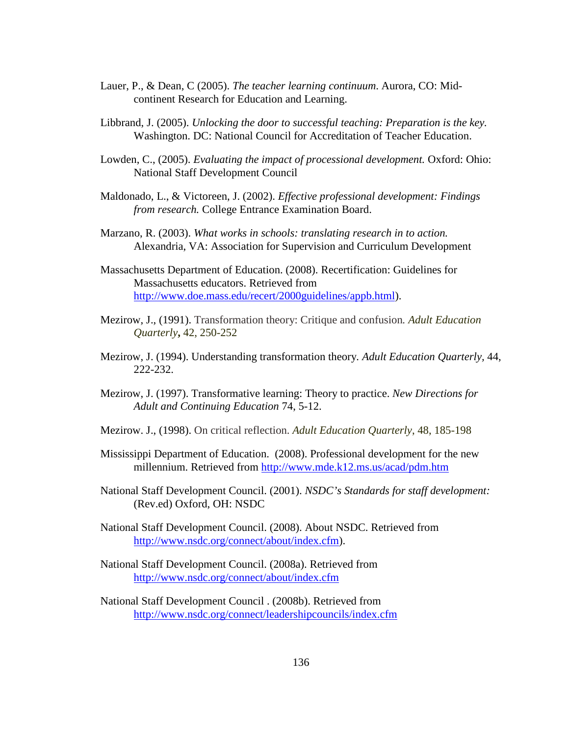- Lauer, P., & Dean, C (2005). *The teacher learning continuum*. Aurora, CO: Midcontinent Research for Education and Learning.
- Libbrand, J. (2005). *Unlocking the door to successful teaching: Preparation is the key.*  Washington. DC: National Council for Accreditation of Teacher Education.
- Lowden, C., (2005). *Evaluating the impact of processional development*. Oxford: Ohio: National Staff Development Council
- Maldonado, L., & Victoreen, J. (2002). *Effective professional development: Findings from research.* College Entrance Examination Board.
- Marzano, R. (2003). *What works in schools: translating research in to action.* Alexandria, VA: Association for Supervision and Curriculum Development
- Massachusetts Department of Education. (2008). Recertification: Guidelines for Massachusetts educators. Retrieved from http://www.doe.mass.edu/recert/2000guidelines/appb.html).
- Mezirow, J., (1991). Transformation theory: Critique and confusion*. Adult Education Quarterly***,** 42, 250-252
- Mezirow, J. (1994). Understanding transformation theory*. Adult Education Quarterly,* 44, 222-232.
- Mezirow, J. (1997). Transformative learning: Theory to practice. *New Directions for Adult and Continuing Education* 74, 5-12.
- Mezirow. J., (1998). On critical reflection. *Adult Education Quarterly*, 48, 185-198
- Mississippi Department of Education. (2008). Professional development for the new millennium. Retrieved from http://www.mde.k12.ms.us/acad/pdm.htm
- National Staff Development Council. (2001). *NSDC's Standards for staff development:* (Rev.ed) Oxford, OH: NSDC
- National Staff Development Council. (2008). About NSDC. Retrieved from http://www.nsdc.org/connect/about/index.cfm).
- National Staff Development Council. (2008a). Retrieved from http://www.nsdc.org/connect/about/index.cfm

National Staff Development Council . (2008b). Retrieved from http://www.nsdc.org/connect/leadershipcouncils/index.cfm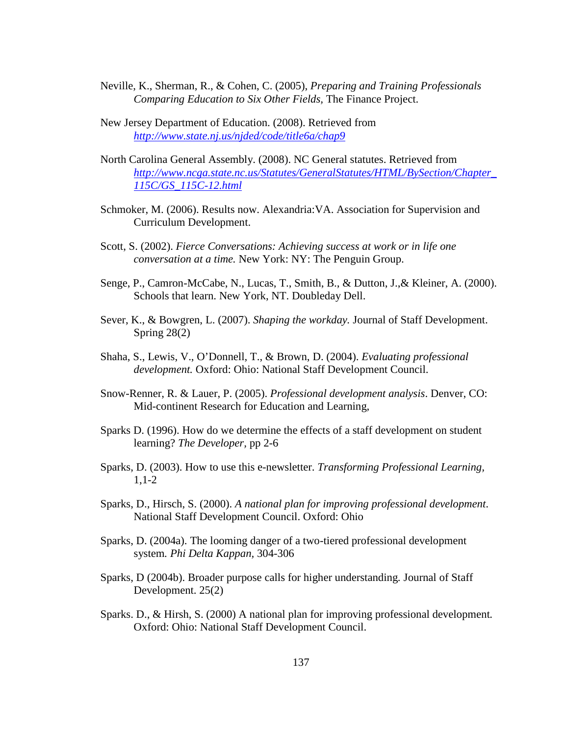- Neville, K., Sherman, R., & Cohen, C. (2005), *Preparing and Training Professionals Comparing Education to Six Other Fields,* The Finance Project.
- New Jersey Department of Education. (2008). Retrieved from *http://www.state.nj.us/njded/code/title6a/chap9*
- North Carolina General Assembly. (2008). NC General statutes. Retrieved from *http://www.ncga.state.nc.us/Statutes/GeneralStatutes/HTML/BySection/Chapter\_ 115C/GS\_115C-12.html*
- Schmoker, M. (2006). Results now. Alexandria:VA. Association for Supervision and Curriculum Development.
- Scott, S. (2002). *Fierce Conversations: Achieving success at work or in life one conversation at a time.* New York: NY: The Penguin Group.
- Senge, P., Camron-McCabe, N., Lucas, T., Smith, B., & Dutton, J.,& Kleiner, A. (2000). Schools that learn. New York, NT. Doubleday Dell.
- Sever, K., & Bowgren, L. (2007). *Shaping the workday.* Journal of Staff Development. Spring 28(2)
- Shaha, S., Lewis, V., O'Donnell, T., & Brown, D. (2004). *Evaluating professional development.* Oxford: Ohio: National Staff Development Council.
- Snow-Renner, R. & Lauer, P. (2005). *Professional development analysis*. Denver, CO: Mid-continent Research for Education and Learning,
- Sparks D. (1996). How do we determine the effects of a staff development on student learning? *The Developer,* pp 2-6
- Sparks, D. (2003). How to use this e-newsletter. *Transforming Professional Learning,*  1,1-2
- Sparks, D., Hirsch, S. (2000). *A national plan for improving professional development*. National Staff Development Council. Oxford: Ohio
- Sparks, D. (2004a). The looming danger of a two-tiered professional development system*. Phi Delta Kappan,* 304-306
- Sparks, D (2004b). Broader purpose calls for higher understanding*.* Journal of Staff Development. 25(2)
- Sparks. D., & Hirsh, S. (2000) A national plan for improving professional development*.*  Oxford: Ohio: National Staff Development Council.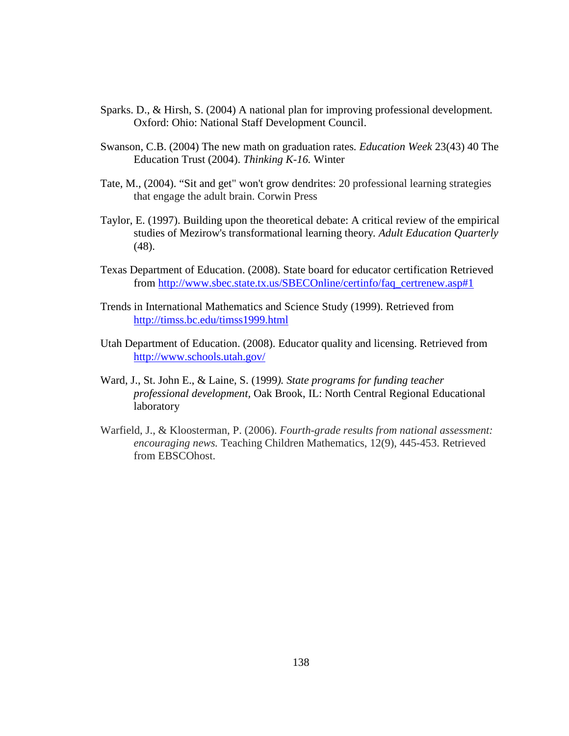- Sparks. D., & Hirsh, S. (2004) A national plan for improving professional development*.*  Oxford: Ohio: National Staff Development Council.
- Swanson, C.B. (2004) The new math on graduation rates*. Education Week* 23(43) 40 The Education Trust (2004). *Thinking K-16.* Winter
- Tate, M., (2004). "Sit and get" won't grow dendrites: 20 professional learning strategies that engage the adult brain. Corwin Press
- Taylor, E. (1997). Building upon the theoretical debate: A critical review of the empirical studies of Mezirow's transformational learning theory*. Adult Education Quarterly* (48).
- Texas Department of Education. (2008). State board for educator certification Retrieved from http://www.sbec.state.tx.us/SBECOnline/certinfo/faq\_certrenew.asp#1
- Trends in International Mathematics and Science Study (1999). Retrieved from http://timss.bc.edu/timss1999.html
- Utah Department of Education. (2008). Educator quality and licensing. Retrieved from http://www.schools.utah.gov/
- Ward, J., St. John E., & Laine, S. (1999*). State programs for funding teacher professional development,* Oak Brook, IL: North Central Regional Educational laboratory
- Warfield, J., & Kloosterman, P. (2006). *Fourth-grade results from national assessment: encouraging news.* Teaching Children Mathematics, 12(9), 445-453. Retrieved from EBSCOhost.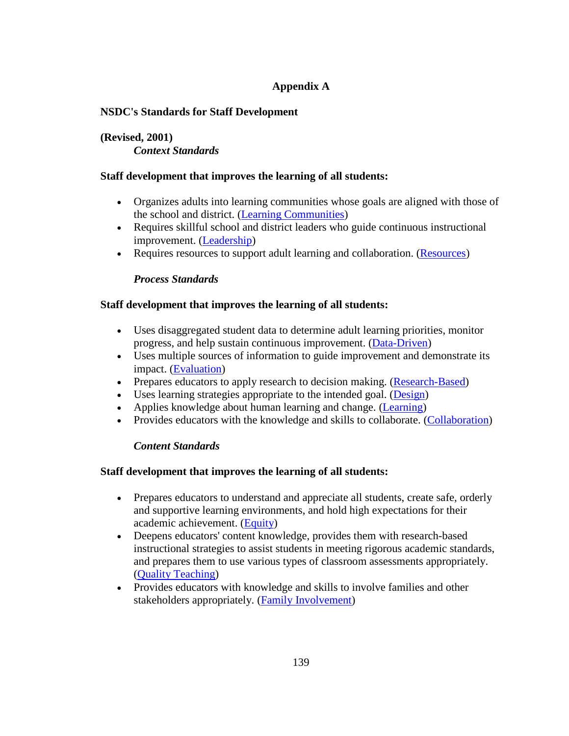# **Appendix A**

# **NSDC's Standards for Staff Development**

# **(Revised, 2001)**  *Context Standards*

# **Staff development that improves the learning of all students:**

- Organizes adults into learning communities whose goals are aligned with those of the school and district. (Learning Communities)
- Requires skillful school and district leaders who guide continuous instructional improvement. (Leadership)
- Requires resources to support adult learning and collaboration. (Resources)

# *Process Standards*

# **Staff development that improves the learning of all students:**

- Uses disaggregated student data to determine adult learning priorities, monitor progress, and help sustain continuous improvement. (Data-Driven)
- Uses multiple sources of information to guide improvement and demonstrate its impact. (Evaluation)
- Prepares educators to apply research to decision making. (Research-Based)
- Uses learning strategies appropriate to the intended goal. (Design)
- Applies knowledge about human learning and change. (Learning)
- Provides educators with the knowledge and skills to collaborate. (Collaboration)

# *Content Standards*

## **Staff development that improves the learning of all students:**

- Prepares educators to understand and appreciate all students, create safe, orderly and supportive learning environments, and hold high expectations for their academic achievement. (Equity)
- Deepens educators' content knowledge, provides them with research-based instructional strategies to assist students in meeting rigorous academic standards, and prepares them to use various types of classroom assessments appropriately. (Quality Teaching)
- Provides educators with knowledge and skills to involve families and other stakeholders appropriately. (Family Involvement)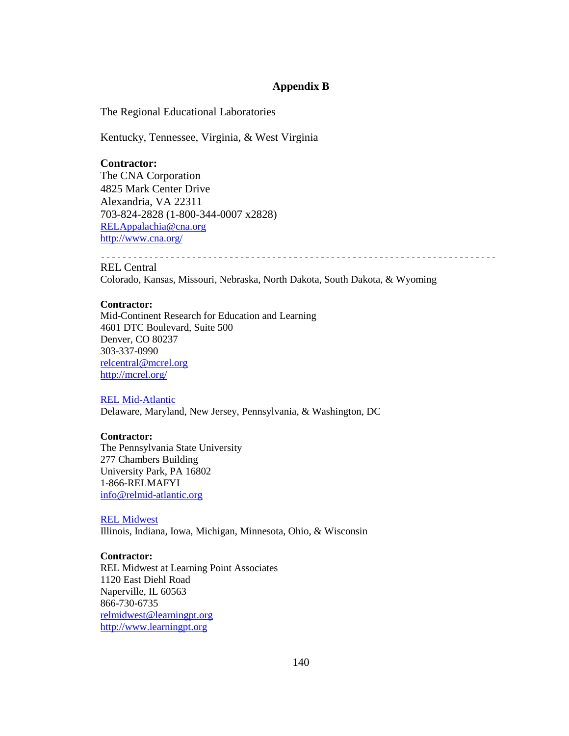## **Appendix B**

The Regional Educational Laboratories

Kentucky, Tennessee, Virginia, & West Virginia

### **Contractor:**

The CNA Corporation 4825 Mark Center Drive Alexandria, VA 22311 703-824-2828 (1-800-344-0007 x2828) RELAppalachia@cna.org http://www.cna.org/

 $\frac{1}{2} \frac{1}{2} \frac{1}{2} \frac{1}{2} \frac{1}{2} \frac{1}{2} \frac{1}{2} \frac{1}{2} \frac{1}{2} \frac{1}{2} \frac{1}{2} \frac{1}{2} \frac{1}{2} \frac{1}{2} \frac{1}{2} \frac{1}{2} \frac{1}{2} \frac{1}{2} \frac{1}{2} \frac{1}{2} \frac{1}{2} \frac{1}{2} \frac{1}{2} \frac{1}{2} \frac{1}{2} \frac{1}{2} \frac{1}{2} \frac{1}{2} \frac{1}{2} \frac{1}{2} \frac{1}{2} \frac{$ REL Central

Colorado, Kansas, Missouri, Nebraska, North Dakota, South Dakota, & Wyoming

### **Contractor:**

Mid-Continent Research for Education and Learning 4601 DTC Boulevard, Suite 500 Denver, CO 80237 303-337-0990 relcentral@mcrel.org http://mcrel.org/

### REL Mid-Atlantic

Delaware, Maryland, New Jersey, Pennsylvania, & Washington, DC

### **Contractor:**

The Pennsylvania State University 277 Chambers Building University Park, PA 16802 1-866-RELMAFYI info@relmid-atlantic.org

#### REL Midwest

Illinois, Indiana, Iowa, Michigan, Minnesota, Ohio, & Wisconsin

### **Contractor:**

REL Midwest at Learning Point Associates 1120 East Diehl Road Naperville, IL 60563 866-730-6735 relmidwest@learningpt.org http://www.learningpt.org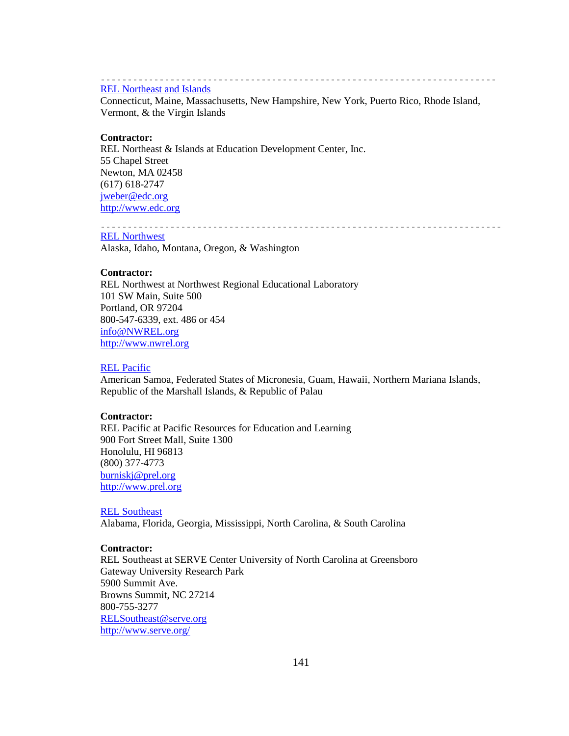#### REL Northeast and Islands

Connecticut, Maine, Massachusetts, New Hampshire, New York, Puerto Rico, Rhode Island, Vermont, & the Virgin Islands

### **Contractor:**

REL Northeast & Islands at Education Development Center, Inc. 55 Chapel Street Newton, MA 02458 (617) 618-2747 jweber@edc.org http://www.edc.org

REL Northwest Alaska, Idaho, Montana, Oregon, & Washington

#### **Contractor:**

REL Northwest at Northwest Regional Educational Laboratory 101 SW Main, Suite 500 Portland, OR 97204 800-547-6339, ext. 486 or 454 info@NWREL.org http://www.nwrel.org

### REL Pacific

American Samoa, Federated States of Micronesia, Guam, Hawaii, Northern Mariana Islands, Republic of the Marshall Islands, & Republic of Palau

### **Contractor:**

REL Pacific at Pacific Resources for Education and Learning 900 Fort Street Mall, Suite 1300 Honolulu, HI 96813 (800) 377-4773 burniskj@prel.org http://www.prel.org

#### REL Southeast

Alabama, Florida, Georgia, Mississippi, North Carolina, & South Carolina

### **Contractor:**

REL Southeast at SERVE Center University of North Carolina at Greensboro Gateway University Research Park 5900 Summit Ave. Browns Summit, NC 27214 800-755-3277 RELSoutheast@serve.org http://www.serve.org/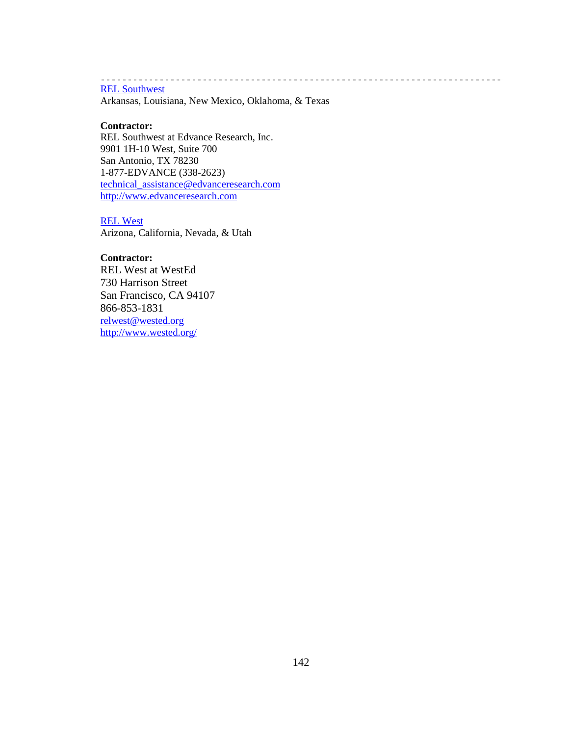# REL Southwest

Arkansas, Louisiana, New Mexico, Oklahoma, & Texas

-----------------

---------------------------

#### **Contractor:**

REL Southwest at Edvance Research, Inc. 9901 1H-10 West, Suite 700 San Antonio, TX 78230 1-877-EDVANCE (338-2623) technical\_assistance@edvanceresearch.com http://www.edvanceresearch.com

### REL West

Arizona, California, Nevada, & Utah

### **Contractor:**

REL West at WestEd 730 Harrison Street San Francisco, CA 94107 866-853-1831 relwest@wested.org http://www.wested.org/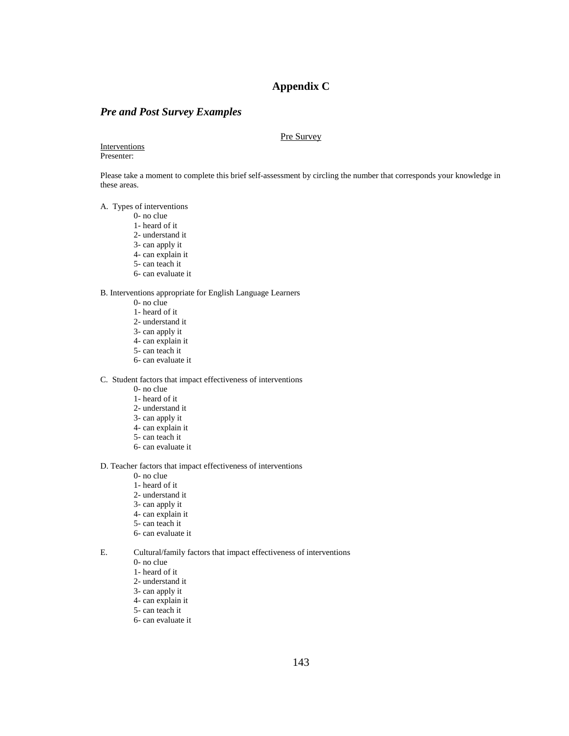## **Appendix C**

## *Pre and Post Survey Examples*

#### Pre Survey

#### Interventions Presenter:

Please take a moment to complete this brief self-assessment by circling the number that corresponds your knowledge in these areas.

A. Types of interventions

- 0- no clue
- 1- heard of it
- 2- understand it
- 3- can apply it
- 4- can explain it
- 5- can teach it
- 6- can evaluate it

B. Interventions appropriate for English Language Learners

- 0- no clue
- 1- heard of it
- 2- understand it
- 3- can apply it
- 4- can explain it
- 5- can teach it 6- can evaluate it
- 

C. Student factors that impact effectiveness of interventions

- 0- no clue
- 1- heard of it
- 2- understand it
- 3- can apply it
- 4- can explain it
- 5- can teach it
- 6- can evaluate it

D. Teacher factors that impact effectiveness of interventions

- 0- no clue
- 1- heard of it
- 2- understand it
- 3- can apply it
- 4- can explain it
- 5- can teach it
- 6- can evaluate it
- E. Cultural/family factors that impact effectiveness of interventions
	- 0- no clue
	- 1- heard of it
	- 2- understand it
	- 3- can apply it
	- 4- can explain it
	- 5- can teach it
	- 6- can evaluate it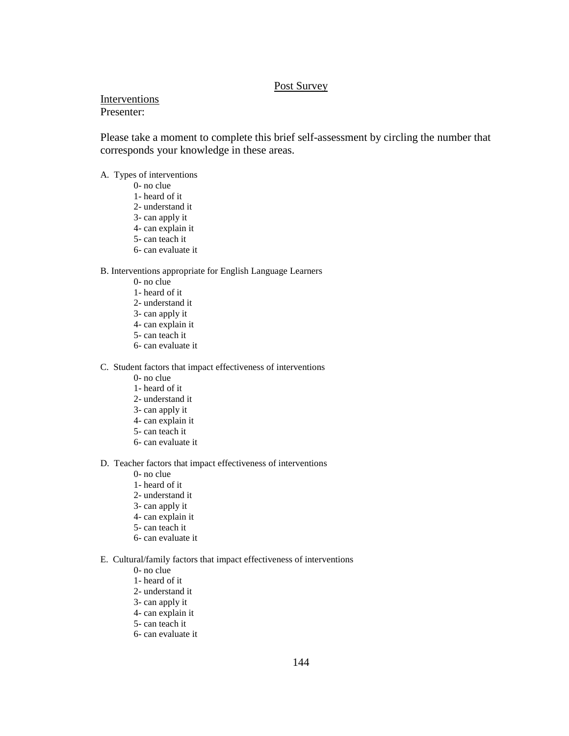## Post Survey

### Interventions Presenter:

Please take a moment to complete this brief self-assessment by circling the number that corresponds your knowledge in these areas.

- A. Types of interventions
	- 0- no clue
	- 1- heard of it
	- 2- understand it
	- 3- can apply it
	- 4- can explain it
	- 5- can teach it
	- 6- can evaluate it

### B. Interventions appropriate for English Language Learners

- 0- no clue
- 1- heard of it
- 2- understand it
- 3- can apply it
- 4- can explain it
- 5- can teach it
- 6- can evaluate it

### C. Student factors that impact effectiveness of interventions

- 0- no clue
- 1- heard of it
- 2- understand it
- 3- can apply it
- 4- can explain it
- 5- can teach it
- 6- can evaluate it
- D. Teacher factors that impact effectiveness of interventions
	- 0- no clue
	- 1- heard of it
	- 2- understand it
	- 3- can apply it
	- 4- can explain it
	- 5- can teach it
	- 6- can evaluate it
- E. Cultural/family factors that impact effectiveness of interventions
	- 0- no clue
	- 1- heard of it
	- 2- understand it
	- 3- can apply it
	- 4- can explain it
	- 5- can teach it
	- 6- can evaluate it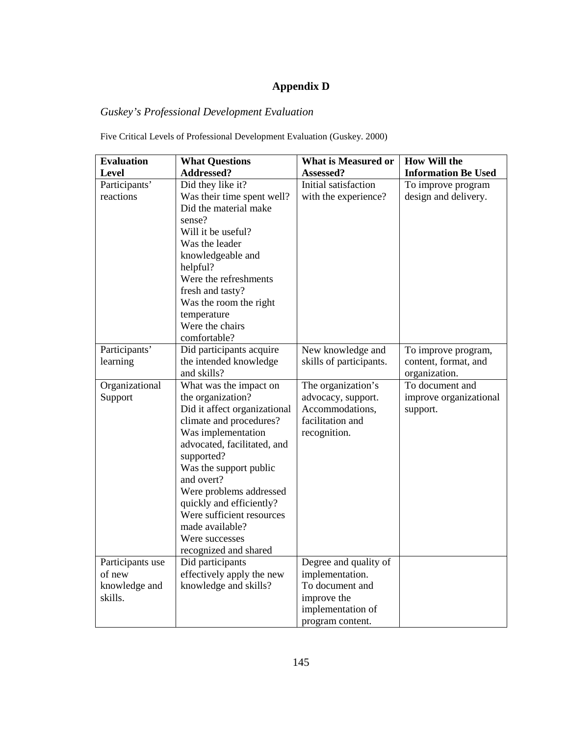# **Appendix D**

# *Guskey's Professional Development Evaluation*

Five Critical Levels of Professional Development Evaluation (Guskey. 2000)

| <b>Evaluation</b>                                      | <b>What Questions</b>                                                                                                                                                                                                                                                                                                                                               | <b>What is Measured or</b>                                                                                          | <b>How Will the</b>                                          |
|--------------------------------------------------------|---------------------------------------------------------------------------------------------------------------------------------------------------------------------------------------------------------------------------------------------------------------------------------------------------------------------------------------------------------------------|---------------------------------------------------------------------------------------------------------------------|--------------------------------------------------------------|
| <b>Level</b>                                           | Addressed?                                                                                                                                                                                                                                                                                                                                                          | Assessed?                                                                                                           | <b>Information Be Used</b>                                   |
| Participants'<br>reactions                             | Did they like it?<br>Was their time spent well?<br>Did the material make<br>sense?<br>Will it be useful?<br>Was the leader<br>knowledgeable and<br>helpful?<br>Were the refreshments<br>fresh and tasty?<br>Was the room the right<br>temperature<br>Were the chairs<br>comfortable?                                                                                | Initial satisfaction<br>with the experience?                                                                        | To improve program<br>design and delivery.                   |
| Participants'<br>learning                              | Did participants acquire<br>the intended knowledge<br>and skills?                                                                                                                                                                                                                                                                                                   | New knowledge and<br>skills of participants.                                                                        | To improve program,<br>content, format, and<br>organization. |
| Organizational<br>Support                              | What was the impact on<br>the organization?<br>Did it affect organizational<br>climate and procedures?<br>Was implementation<br>advocated, facilitated, and<br>supported?<br>Was the support public<br>and overt?<br>Were problems addressed<br>quickly and efficiently?<br>Were sufficient resources<br>made available?<br>Were successes<br>recognized and shared | The organization's<br>advocacy, support.<br>Accommodations,<br>facilitation and<br>recognition.                     | To document and<br>improve organizational<br>support.        |
| Participants use<br>of new<br>knowledge and<br>skills. | Did participants<br>effectively apply the new<br>knowledge and skills?                                                                                                                                                                                                                                                                                              | Degree and quality of<br>implementation.<br>To document and<br>improve the<br>implementation of<br>program content. |                                                              |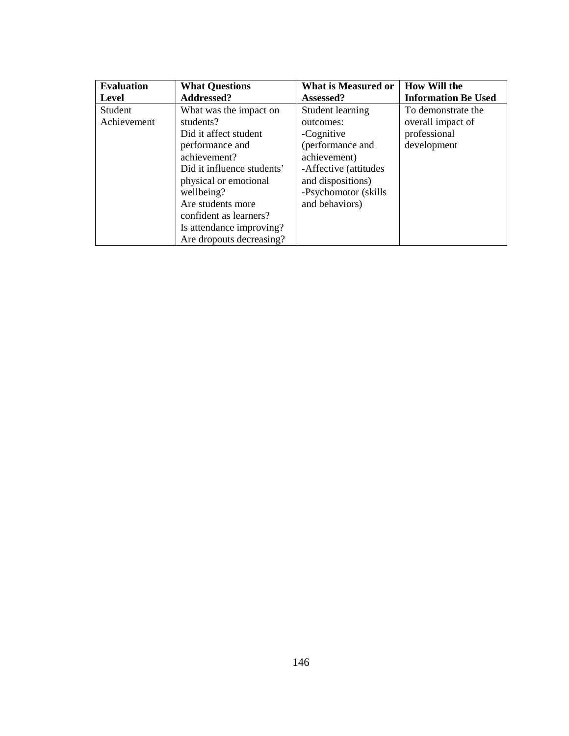| <b>Evaluation</b> | <b>What Questions</b>      | What is Measured or   | <b>How Will the</b>        |
|-------------------|----------------------------|-----------------------|----------------------------|
| Level             | <b>Addressed?</b>          | Assessed?             | <b>Information Be Used</b> |
| <b>Student</b>    | What was the impact on     | Student learning      | To demonstrate the         |
| Achievement       | students?                  | outcomes:             | overall impact of          |
|                   | Did it affect student      | -Cognitive            | professional               |
|                   | performance and            | (performance and      | development                |
|                   | achievement?               | achievement)          |                            |
|                   | Did it influence students' | -Affective (attitudes |                            |
|                   | physical or emotional      | and dispositions)     |                            |
|                   | wellbeing?                 | -Psychomotor (skills) |                            |
|                   | Are students more          | and behaviors)        |                            |
|                   | confident as learners?     |                       |                            |
|                   | Is attendance improving?   |                       |                            |
|                   | Are dropouts decreasing?   |                       |                            |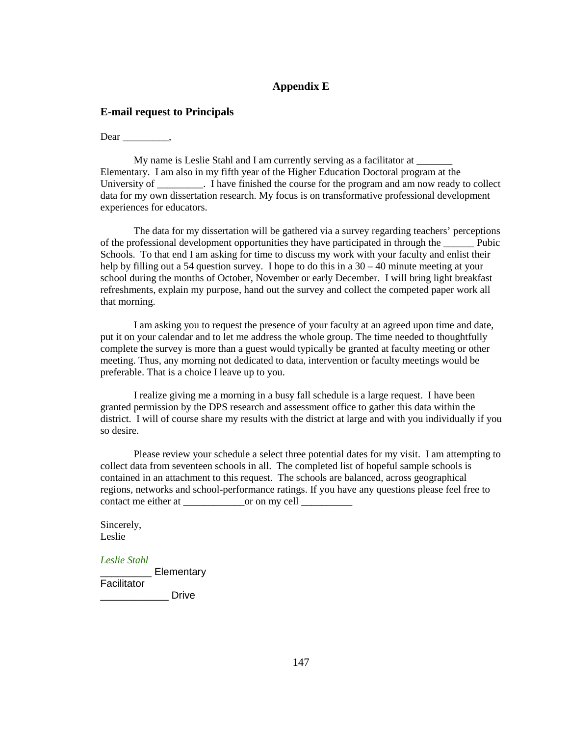## **Appendix E**

### **E-mail request to Principals**

Dear .

My name is Leslie Stahl and I am currently serving as a facilitator at Elementary. I am also in my fifth year of the Higher Education Doctoral program at the University of Thave finished the course for the program and am now ready to collect data for my own dissertation research. My focus is on transformative professional development experiences for educators.

The data for my dissertation will be gathered via a survey regarding teachers' perceptions of the professional development opportunities they have participated in through the Pubic Schools. To that end I am asking for time to discuss my work with your faculty and enlist their help by filling out a 54 question survey. I hope to do this in a 30 – 40 minute meeting at your school during the months of October, November or early December. I will bring light breakfast refreshments, explain my purpose, hand out the survey and collect the competed paper work all that morning.

I am asking you to request the presence of your faculty at an agreed upon time and date, put it on your calendar and to let me address the whole group. The time needed to thoughtfully complete the survey is more than a guest would typically be granted at faculty meeting or other meeting. Thus, any morning not dedicated to data, intervention or faculty meetings would be preferable. That is a choice I leave up to you.

I realize giving me a morning in a busy fall schedule is a large request. I have been granted permission by the DPS research and assessment office to gather this data within the district. I will of course share my results with the district at large and with you individually if you so desire.

Please review your schedule a select three potential dates for my visit. I am attempting to collect data from seventeen schools in all. The completed list of hopeful sample schools is contained in an attachment to this request. The schools are balanced, across geographical regions, networks and school-performance ratings. If you have any questions please feel free to contact me either at \_\_\_\_\_\_\_\_\_\_\_\_or on my cell \_\_\_\_\_\_\_\_\_\_

Sincerely, Leslie

*Leslie Stahl*

\_\_\_\_\_\_\_\_\_ Elementary Facilitator  $\rho_\text{true}$  Drive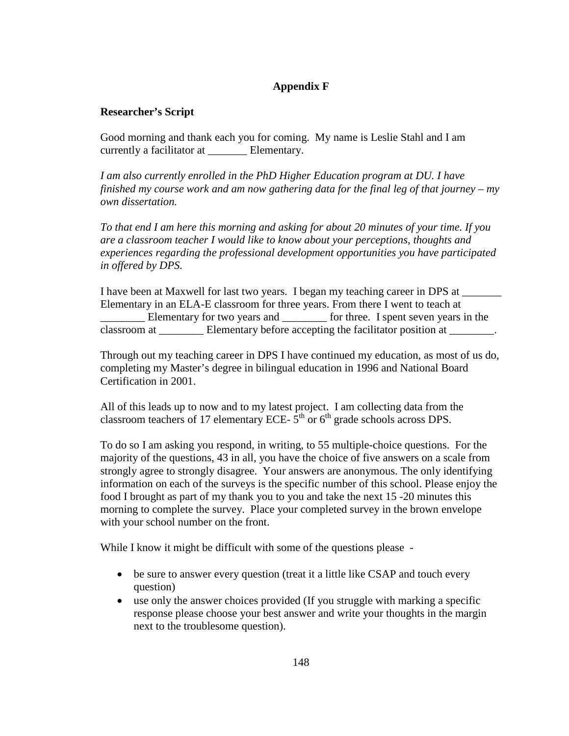# **Appendix F**

## **Researcher's Script**

Good morning and thank each you for coming. My name is Leslie Stahl and I am currently a facilitator at Elementary.

*I am also currently enrolled in the PhD Higher Education program at DU. I have finished my course work and am now gathering data for the final leg of that journey – my own dissertation.* 

*To that end I am here this morning and asking for about 20 minutes of your time. If you are a classroom teacher I would like to know about your perceptions, thoughts and experiences regarding the professional development opportunities you have participated in offered by DPS.*

I have been at Maxwell for last two years. I began my teaching career in DPS at \_\_\_\_\_\_\_ Elementary in an ELA-E classroom for three years. From there I went to teach at \_\_\_\_\_\_\_\_ Elementary for two years and \_\_\_\_\_\_\_\_ for three. I spent seven years in the classroom at \_\_\_\_\_\_\_\_\_ Elementary before accepting the facilitator position at \_\_\_\_\_\_.

Through out my teaching career in DPS I have continued my education, as most of us do, completing my Master's degree in bilingual education in 1996 and National Board Certification in 2001.

All of this leads up to now and to my latest project. I am collecting data from the classroom teachers of 17 elementary ECE-  $5<sup>th</sup>$  or  $6<sup>th</sup>$  grade schools across DPS.

To do so I am asking you respond, in writing, to 55 multiple-choice questions. For the majority of the questions, 43 in all, you have the choice of five answers on a scale from strongly agree to strongly disagree. Your answers are anonymous. The only identifying information on each of the surveys is the specific number of this school. Please enjoy the food I brought as part of my thank you to you and take the next 15 -20 minutes this morning to complete the survey. Place your completed survey in the brown envelope with your school number on the front.

While I know it might be difficult with some of the questions please -

- be sure to answer every question (treat it a little like CSAP and touch every question)
- use only the answer choices provided (If you struggle with marking a specific response please choose your best answer and write your thoughts in the margin next to the troublesome question).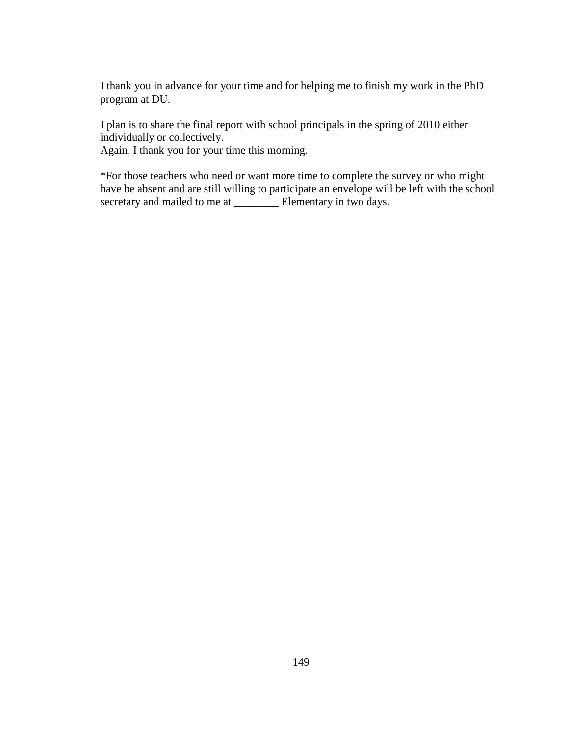I thank you in advance for your time and for helping me to finish my work in the PhD program at DU.

I plan is to share the final report with school principals in the spring of 2010 either individually or collectively.

Again, I thank you for your time this morning.

\*For those teachers who need or want more time to complete the survey or who might have be absent and are still willing to participate an envelope will be left with the school secretary and mailed to me at \_\_\_\_\_\_\_\_\_\_\_ Elementary in two days.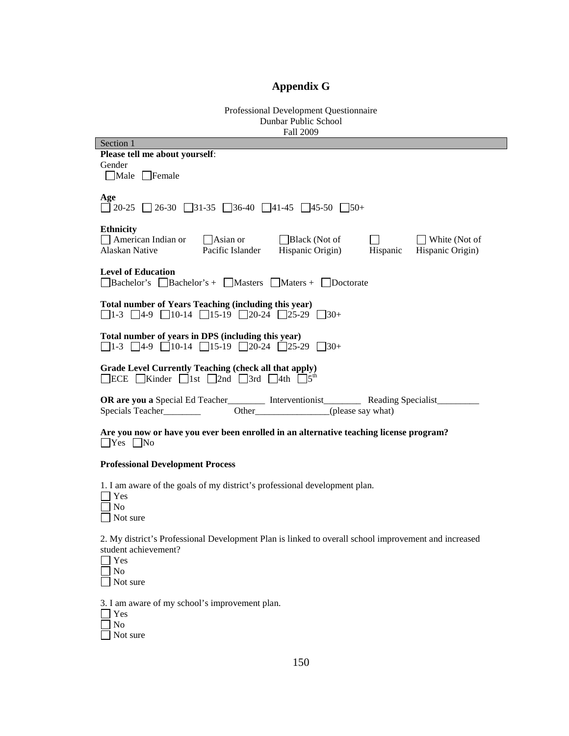# **Appendix G**

Professional Development Questionnaire Dunbar Public School Fall 2009

| Section 1                                                                                                                                           |  |  |  |  |  |  |  |
|-----------------------------------------------------------------------------------------------------------------------------------------------------|--|--|--|--|--|--|--|
| Please tell me about yourself:                                                                                                                      |  |  |  |  |  |  |  |
| Gender                                                                                                                                              |  |  |  |  |  |  |  |
| Male Female                                                                                                                                         |  |  |  |  |  |  |  |
|                                                                                                                                                     |  |  |  |  |  |  |  |
| Age<br>$\Box$ 20-25 $\Box$ 26-30 $\Box$ 31-35 $\Box$ 36-40 $\Box$ 41-45 $\Box$ 45-50 $\Box$ 50+                                                     |  |  |  |  |  |  |  |
|                                                                                                                                                     |  |  |  |  |  |  |  |
| <b>Ethnicity</b>                                                                                                                                    |  |  |  |  |  |  |  |
| $\Box$ American Indian or<br>$\Box$ Asian or<br>Black (Not of<br>$\Box$ White (Not of                                                               |  |  |  |  |  |  |  |
| Alaskan Native<br>Pacific Islander<br>Hispanic Origin)<br>Hispanic<br>Hispanic Origin)                                                              |  |  |  |  |  |  |  |
| <b>Level of Education</b><br>$\Box$ Bachelor's $\Box$ Bachelor's + $\Box$ Masters $\Box$ Maters + $\Box$ Doctorate                                  |  |  |  |  |  |  |  |
|                                                                                                                                                     |  |  |  |  |  |  |  |
| <b>Total number of Years Teaching (including this year)</b><br>$\Box$ 1-3 $\Box$ 4-9 $\Box$ 10-14 $\Box$ 15-19 $\Box$ 20-24 $\Box$ 25-29 $\Box$ 30+ |  |  |  |  |  |  |  |
| Total number of years in DPS (including this year)                                                                                                  |  |  |  |  |  |  |  |
| $\Box$ 1-3 $\Box$ 4-9 $\Box$ 10-14 $\Box$ 15-19 $\Box$ 20-24 $\Box$ 25-29 $\Box$ 30+                                                                |  |  |  |  |  |  |  |
|                                                                                                                                                     |  |  |  |  |  |  |  |
| <b>Grade Level Currently Teaching (check all that apply)</b><br><b>ECE</b> Kinder 1st 2nd 3rd 4th $5^{th}$                                          |  |  |  |  |  |  |  |
|                                                                                                                                                     |  |  |  |  |  |  |  |
| OR are you a Special Ed Teacher__________ Interventionist___________ Reading Specialist_____                                                        |  |  |  |  |  |  |  |
| Other (please say what)<br>Specials Teacher                                                                                                         |  |  |  |  |  |  |  |
| Are you now or have you ever been enrolled in an alternative teaching license program?<br>$\Box$ Yes $\Box$ No                                      |  |  |  |  |  |  |  |
| <b>Professional Development Process</b>                                                                                                             |  |  |  |  |  |  |  |
| 1. I am aware of the goals of my district's professional development plan.                                                                          |  |  |  |  |  |  |  |
| Yes                                                                                                                                                 |  |  |  |  |  |  |  |
| N <sub>o</sub>                                                                                                                                      |  |  |  |  |  |  |  |
|                                                                                                                                                     |  |  |  |  |  |  |  |
| Not sure                                                                                                                                            |  |  |  |  |  |  |  |
| 2. My district's Professional Development Plan is linked to overall school improvement and increased<br>student achievement?                        |  |  |  |  |  |  |  |
|                                                                                                                                                     |  |  |  |  |  |  |  |
| Yes                                                                                                                                                 |  |  |  |  |  |  |  |
| N <sub>o</sub>                                                                                                                                      |  |  |  |  |  |  |  |
| Not sure                                                                                                                                            |  |  |  |  |  |  |  |
| 3. I am aware of my school's improvement plan.                                                                                                      |  |  |  |  |  |  |  |

Yes

 No Not sure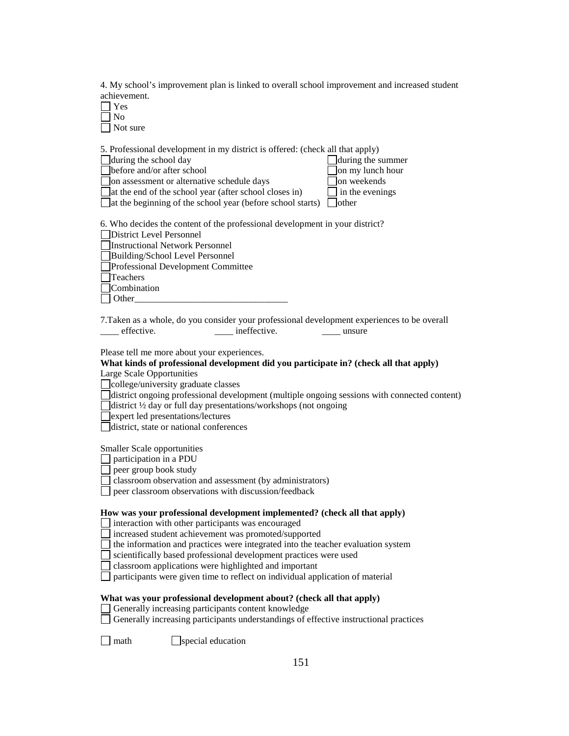4. My school's improvement plan is linked to overall school improvement and increased student achievement.

| Yes      |
|----------|
| Nο       |
| Not sure |

5. Professional development in my district is offered: (check all that apply)

| during the school day                                                          | $\Box$ during the summer      |
|--------------------------------------------------------------------------------|-------------------------------|
| before and/or after school                                                     | $\Box$ on my lunch hour       |
| on assessment or alternative schedule days                                     | $\Box$ on weekends            |
| at the end of the school year (after school closes in)                         | $\frac{1}{2}$ in the evenings |
| $\Box$ at the beginning of the school year (before school starts) $\Box$ other |                               |

| 6. Who decides the content of the professional development in your district? |
|------------------------------------------------------------------------------|
| <b>District Level Personnel</b>                                              |
| <b>Instructional Network Personnel</b>                                       |
| Building/School Level Personnel                                              |

Professional Development Committee

Teachers

**Combination**  $\Box$  Other

7.Taken as a whole, do you consider your professional development experiences to be overall \_\_\_\_ effective. \_\_\_\_\_ ineffective. \_\_\_\_ unsure

Please tell me more about your experiences.

#### **What kinds of professional development did you participate in? (check all that apply)**  Large Scale Opportunities

college/university graduate classes

district ongoing professional development (multiple ongoing sessions with connected content)

district ½ day or full day presentations/workshops (not ongoing

expert led presentations/lectures

district, state or national conferences

Smaller Scale opportunities

 $\Box$  participation in a PDU

 $\Box$  peer group book study

classroom observation and assessment (by administrators)

peer classroom observations with discussion/feedback

#### **How was your professional development implemented? (check all that apply)**

 $\Box$  interaction with other participants was encouraged

increased student achievement was promoted/supported

 $\Box$  the information and practices were integrated into the teacher evaluation system

scientifically based professional development practices were used

classroom applications were highlighted and important

 $\Box$  participants were given time to reflect on individual application of material

**What was your professional development about? (check all that apply)**

Generally increasing participants content knowledge

Generally increasing participants understandings of effective instructional practices

 $\Box$  math  $\Box$  special education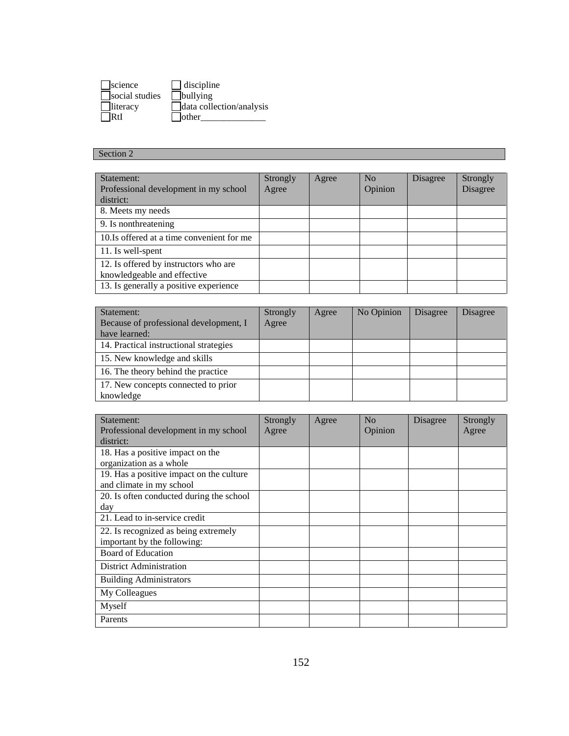| science         | $\Box$ discipline        |
|-----------------|--------------------------|
| social studies  | $\Box$ bullying          |
| $\Box$ literacy | data collection/analysis |
| IRfI            | $\Box$ other             |

## Section 2

| Statement:<br>Professional development in my school<br>district:     | <b>Strongly</b><br>Agree | Agree | N <sub>o</sub><br>Opinion | Disagree | Strongly<br><b>Disagree</b> |
|----------------------------------------------------------------------|--------------------------|-------|---------------------------|----------|-----------------------------|
| 8. Meets my needs                                                    |                          |       |                           |          |                             |
| 9. Is nonthreatening                                                 |                          |       |                           |          |                             |
| 10. Is offered at a time convenient for me                           |                          |       |                           |          |                             |
| 11. Is well-spent                                                    |                          |       |                           |          |                             |
| 12. Is offered by instructors who are<br>knowledgeable and effective |                          |       |                           |          |                             |
| 13. Is generally a positive experience                               |                          |       |                           |          |                             |

| Statement:                             | <b>Strongly</b> | Agree | No Opinion | <b>Disagree</b> | Disagree |
|----------------------------------------|-----------------|-------|------------|-----------------|----------|
| Because of professional development, I | Agree           |       |            |                 |          |
| have learned:                          |                 |       |            |                 |          |
| 14. Practical instructional strategies |                 |       |            |                 |          |
| 15. New knowledge and skills           |                 |       |            |                 |          |
| 16. The theory behind the practice     |                 |       |            |                 |          |
| 17. New concepts connected to prior    |                 |       |            |                 |          |
| knowledge                              |                 |       |            |                 |          |

| Statement:                                         | Strongly | Agree | N <sub>0</sub> | Disagree | Strongly |
|----------------------------------------------------|----------|-------|----------------|----------|----------|
| Professional development in my school<br>district: | Agree    |       | Opinion        |          | Agree    |
| 18. Has a positive impact on the                   |          |       |                |          |          |
| organization as a whole                            |          |       |                |          |          |
| 19. Has a positive impact on the culture           |          |       |                |          |          |
| and climate in my school                           |          |       |                |          |          |
| 20. Is often conducted during the school           |          |       |                |          |          |
| day                                                |          |       |                |          |          |
| 21. Lead to in-service credit                      |          |       |                |          |          |
| 22. Is recognized as being extremely               |          |       |                |          |          |
| important by the following:                        |          |       |                |          |          |
| <b>Board of Education</b>                          |          |       |                |          |          |
| <b>District Administration</b>                     |          |       |                |          |          |
| <b>Building Administrators</b>                     |          |       |                |          |          |
| My Colleagues                                      |          |       |                |          |          |
| Myself                                             |          |       |                |          |          |
| Parents                                            |          |       |                |          |          |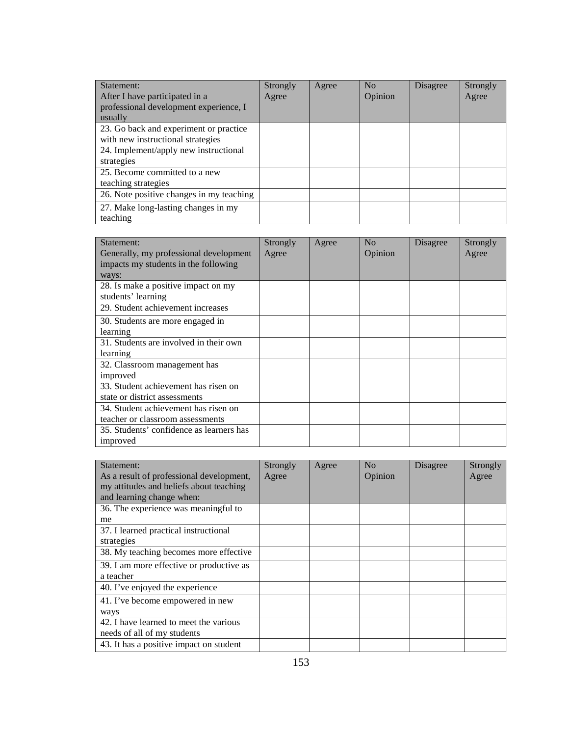| Statement:                               | Strongly | Agree | N <sub>0</sub> | <b>Disagree</b> | Strongly |
|------------------------------------------|----------|-------|----------------|-----------------|----------|
| After I have participated in a           | Agree    |       | Opinion        |                 | Agree    |
| professional development experience, I   |          |       |                |                 |          |
| usually                                  |          |       |                |                 |          |
| 23. Go back and experiment or practice   |          |       |                |                 |          |
| with new instructional strategies        |          |       |                |                 |          |
| 24. Implement/apply new instructional    |          |       |                |                 |          |
| strategies                               |          |       |                |                 |          |
| 25. Become committed to a new            |          |       |                |                 |          |
| teaching strategies                      |          |       |                |                 |          |
| 26. Note positive changes in my teaching |          |       |                |                 |          |
| 27. Make long-lasting changes in my      |          |       |                |                 |          |
| teaching                                 |          |       |                |                 |          |

| Statement:<br>Generally, my professional development                     | <b>Strongly</b><br>Agree | Agree | N <sub>0</sub><br>Opinion | Disagree | Strongly<br>Agree |
|--------------------------------------------------------------------------|--------------------------|-------|---------------------------|----------|-------------------|
| impacts my students in the following                                     |                          |       |                           |          |                   |
| ways:<br>28. Is make a positive impact on my<br>students' learning       |                          |       |                           |          |                   |
| 29. Student achievement increases                                        |                          |       |                           |          |                   |
| 30. Students are more engaged in<br>learning                             |                          |       |                           |          |                   |
| 31. Students are involved in their own<br>learning                       |                          |       |                           |          |                   |
| 32. Classroom management has<br>improved                                 |                          |       |                           |          |                   |
| 33. Student achievement has risen on<br>state or district assessments    |                          |       |                           |          |                   |
| 34. Student achievement has risen on<br>teacher or classroom assessments |                          |       |                           |          |                   |
| 35. Students' confidence as learners has<br>improved                     |                          |       |                           |          |                   |

| Statement:                               | Strongly | Agree | No      | Disagree | Strongly |
|------------------------------------------|----------|-------|---------|----------|----------|
| As a result of professional development, | Agree    |       | Opinion |          | Agree    |
| my attitudes and beliefs about teaching  |          |       |         |          |          |
| and learning change when:                |          |       |         |          |          |
| 36. The experience was meaningful to     |          |       |         |          |          |
| me                                       |          |       |         |          |          |
| 37. I learned practical instructional    |          |       |         |          |          |
| strategies                               |          |       |         |          |          |
| 38. My teaching becomes more effective   |          |       |         |          |          |
| 39. I am more effective or productive as |          |       |         |          |          |
| a teacher                                |          |       |         |          |          |
| 40. I've enjoyed the experience          |          |       |         |          |          |
| 41. I've become empowered in new         |          |       |         |          |          |
| ways                                     |          |       |         |          |          |
| 42. I have learned to meet the various   |          |       |         |          |          |
| needs of all of my students              |          |       |         |          |          |
| 43. It has a positive impact on student  |          |       |         |          |          |